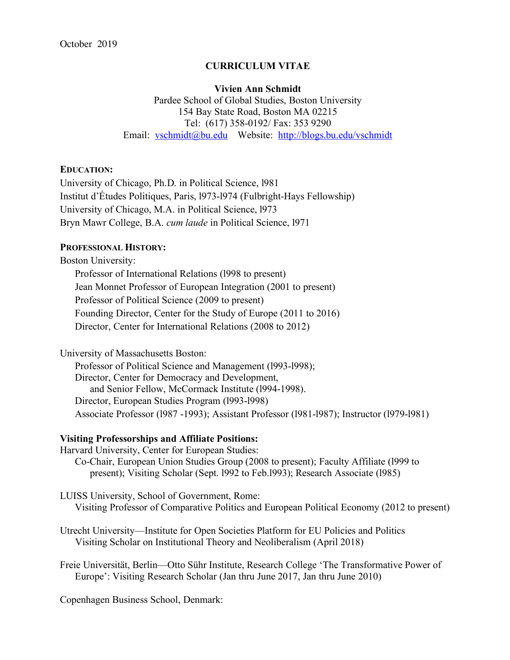# **CURRICULUM VITAE**

#### **Vivien Ann Schmidt**

Pardee School of Global Studies, Boston University 154 Bay State Road, Boston MA 02215 Tel: (617) 358-0192/ Fax: 353 9290 Email: vschmidt@bu.edu Website: http://blogs.bu.edu/vschmidt

### **EDUCATION:**

University of Chicago, Ph.D. in Political Science, l981 Institut d'Études Politiques, Paris, l973-l974 (Fulbright-Hays Fellowship) University of Chicago, M.A. in Political Science, l973 Bryn Mawr College, B.A. *cum laude* in Political Science, l971

# **PROFESSIONAL HISTORY:**

Boston University: Professor of International Relations (l998 to present) Jean Monnet Professor of European Integration (2001 to present) Professor of Political Science (2009 to present) Founding Director, Center for the Study of Europe (2011 to 2016) Director, Center for International Relations (2008 to 2012)

University of Massachusetts Boston:

Professor of Political Science and Management (1993-1998); Director, Center for Democracy and Development, and Senior Fellow, McCormack Institute (l994-1998). Director, European Studies Program (l993-l998) Associate Professor (l987 -1993); Assistant Professor (l981-l987); Instructor (l979-l981)

## **Visiting Professorships and Affiliate Positions:**

Harvard University, Center for European Studies: Co-Chair, European Union Studies Group (2008 to present); Faculty Affiliate (l999 to present); Visiting Scholar (Sept. l992 to Feb.l993); Research Associate (l985)

LUISS University, School of Government, Rome: Visiting Professor of Comparative Politics and European Political Economy (2012 to present)

Utrecht University—Institute for Open Societies Platform for EU Policies and Politics Visiting Scholar on Institutional Theory and Neoliberalism (April 2018)

Freie Universität, Berlin—Otto Sühr Institute, Research College 'The Transformative Power of Europe': Visiting Research Scholar (Jan thru June 2017, Jan thru June 2010)

Copenhagen Business School, Denmark: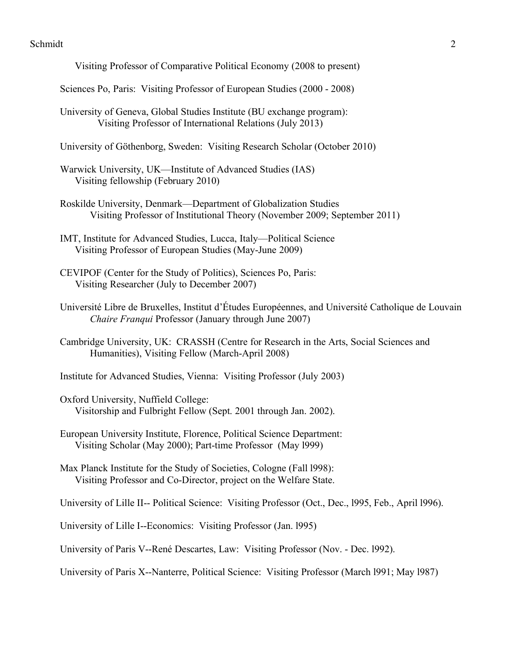- Visiting Professor of Comparative Political Economy (2008 to present)
- Sciences Po, Paris: Visiting Professor of European Studies (2000 2008)
- University of Geneva, Global Studies Institute (BU exchange program): Visiting Professor of International Relations (July 2013)
- University of Göthenborg, Sweden: Visiting Research Scholar (October 2010)
- Warwick University, UK—Institute of Advanced Studies (IAS) Visiting fellowship (February 2010)
- Roskilde University, Denmark—Department of Globalization Studies Visiting Professor of Institutional Theory (November 2009; September 2011)
- IMT, Institute for Advanced Studies, Lucca, Italy—Political Science Visiting Professor of European Studies (May-June 2009)
- CEVIPOF (Center for the Study of Politics), Sciences Po, Paris: Visiting Researcher (July to December 2007)
- Université Libre de Bruxelles, Institut d'Études Européennes, and Université Catholique de Louvain *Chaire Franqui* Professor (January through June 2007)
- Cambridge University, UK: CRASSH (Centre for Research in the Arts, Social Sciences and Humanities), Visiting Fellow (March-April 2008)
- Institute for Advanced Studies, Vienna: Visiting Professor (July 2003)
- Oxford University, Nuffield College: Visitorship and Fulbright Fellow (Sept. 2001 through Jan. 2002).
- European University Institute, Florence, Political Science Department: Visiting Scholar (May 2000); Part-time Professor (May l999)
- Max Planck Institute for the Study of Societies, Cologne (Fall l998): Visiting Professor and Co-Director, project on the Welfare State.
- University of Lille II-- Political Science: Visiting Professor (Oct., Dec., l995, Feb., April l996).
- University of Lille I--Economics: Visiting Professor (Jan. l995)
- University of Paris V--René Descartes, Law: Visiting Professor (Nov. Dec. l992).
- University of Paris X--Nanterre, Political Science: Visiting Professor (March l991; May l987)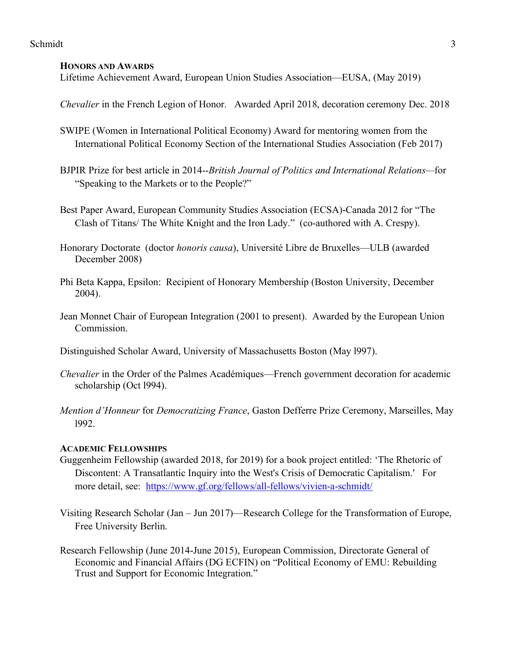### **HONORS AND AWARDS**

Lifetime Achievement Award, European Union Studies Association—EUSA, (May 2019)

*Chevalier* in the French Legion of Honor. Awarded April 2018, decoration ceremony Dec. 2018

- SWIPE (Women in International Political Economy) Award for mentoring women from the International Political Economy Section of the International Studies Association (Feb 2017)
- BJPIR Prize for best article in 2014--*British Journal of Politics and International Relations—*for "Speaking to the Markets or to the People?"
- Best Paper Award, European Community Studies Association (ECSA)-Canada 2012 for "The Clash of Titans/ The White Knight and the Iron Lady." (co-authored with A. Crespy).
- Honorary Doctorate (doctor *honoris causa*), Université Libre de Bruxelles—ULB (awarded December 2008)
- Phi Beta Kappa, Epsilon: Recipient of Honorary Membership (Boston University, December 2004).
- Jean Monnet Chair of European Integration (2001 to present). Awarded by the European Union **Commission**

Distinguished Scholar Award, University of Massachusetts Boston (May l997).

- *Chevalier* in the Order of the Palmes Académiques—French government decoration for academic scholarship (Oct l994).
- *Mention d'Honneur* for *Democratizing France*, Gaston Defferre Prize Ceremony, Marseilles, May l992.

## **ACADEMIC FELLOWSHIPS**

- Guggenheim Fellowship (awarded 2018, for 2019) for a book project entitled: 'The Rhetoric of Discontent: A Transatlantic Inquiry into the West's Crisis of Democratic Capitalism.' For more detail, see: https://www.gf.org/fellows/all-fellows/vivien-a-schmidt/
- Visiting Research Scholar (Jan Jun 2017)—Research College for the Transformation of Europe, Free University Berlin.
- Research Fellowship (June 2014-June 2015), European Commission, Directorate General of Economic and Financial Affairs (DG ECFIN) on "Political Economy of EMU: Rebuilding Trust and Support for Economic Integration."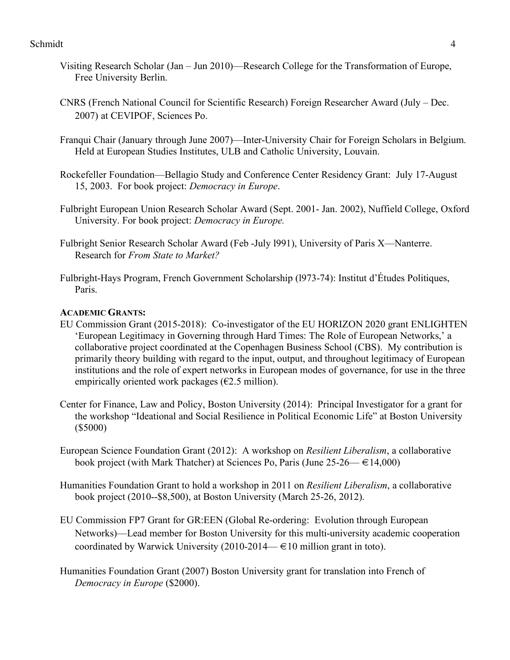- Visiting Research Scholar (Jan Jun 2010)—Research College for the Transformation of Europe, Free University Berlin.
- CNRS (French National Council for Scientific Research) Foreign Researcher Award (July Dec. 2007) at CEVIPOF, Sciences Po.
- Franqui Chair (January through June 2007)—Inter-University Chair for Foreign Scholars in Belgium. Held at European Studies Institutes, ULB and Catholic University, Louvain.
- Rockefeller Foundation—Bellagio Study and Conference Center Residency Grant: July 17-August 15, 2003. For book project: *Democracy in Europe*.
- Fulbright European Union Research Scholar Award (Sept. 2001- Jan. 2002), Nuffield College, Oxford University. For book project: *Democracy in Europe.*
- Fulbright Senior Research Scholar Award (Feb -July l991), University of Paris X—Nanterre. Research for *From State to Market?*
- Fulbright-Hays Program, French Government Scholarship (l973-74): Institut d'Études Politiques, Paris.

## **ACADEMIC GRANTS:**

- EU Commission Grant (2015-2018): Co-investigator of the EU HORIZON 2020 grant ENLIGHTEN 'European Legitimacy in Governing through Hard Times: The Role of European Networks,' a collaborative project coordinated at the Copenhagen Business School (CBS). My contribution is primarily theory building with regard to the input, output, and throughout legitimacy of European institutions and the role of expert networks in European modes of governance, for use in the three empirically oriented work packages ( $\epsilon$ 2.5 million).
- Center for Finance, Law and Policy, Boston University (2014): Principal Investigator for a grant for the workshop "Ideational and Social Resilience in Political Economic Life" at Boston University (\$5000)
- European Science Foundation Grant (2012): A workshop on *Resilient Liberalism*, a collaborative book project (with Mark Thatcher) at Sciences Po, Paris (June  $25-26 \rightarrow \text{\textsterling}14,000$ )
- Humanities Foundation Grant to hold a workshop in 2011 on *Resilient Liberalism*, a collaborative book project (2010--\$8,500), at Boston University (March 25-26, 2012).
- EU Commission FP7 Grant for GR:EEN (Global Re-ordering: Evolution through European Networks)—Lead member for Boston University for this multi-university academic cooperation coordinated by Warwick University (2010-2014— $\in$ 10 million grant in toto).
- Humanities Foundation Grant (2007) Boston University grant for translation into French of *Democracy in Europe* (\$2000).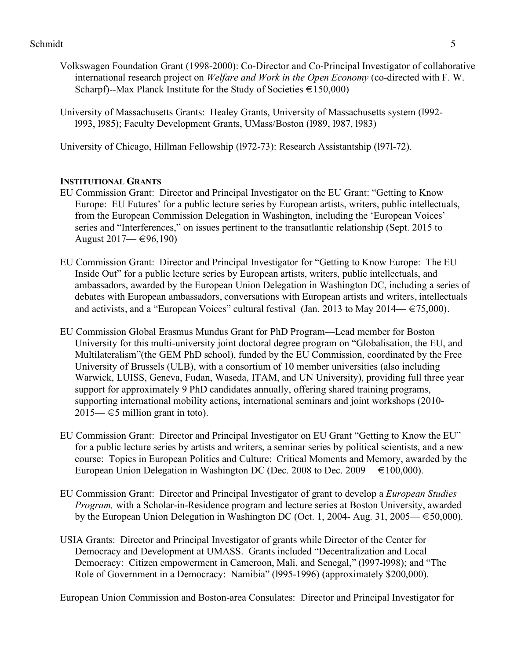- Volkswagen Foundation Grant (1998-2000): Co-Director and Co-Principal Investigator of collaborative international research project on *Welfare and Work in the Open Economy* (co-directed with F. W. Scharpf)--Max Planck Institute for the Study of Societies  $\in$  150,000)
- University of Massachusetts Grants: Healey Grants, University of Massachusetts system (l992 l993, l985); Faculty Development Grants, UMass/Boston (l989, l987, l983)

University of Chicago, Hillman Fellowship (l972-73): Research Assistantship (l97l-72).

## **INSTITUTIONAL GRANTS**

- EU Commission Grant: Director and Principal Investigator on the EU Grant: "Getting to Know Europe: EU Futures' for a public lecture series by European artists, writers, public intellectuals, from the European Commission Delegation in Washington, including the 'European Voices' series and "Interferences," on issues pertinent to the transatlantic relationship (Sept. 2015 to August  $2017$ — €96,190)
- EU Commission Grant: Director and Principal Investigator for "Getting to Know Europe: The EU Inside Out" for a public lecture series by European artists, writers, public intellectuals, and ambassadors, awarded by the European Union Delegation in Washington DC, including a series of debates with European ambassadors, conversations with European artists and writers, intellectuals and activists, and a "European Voices" cultural festival (Jan. 2013 to May 2014— $\in$  75,000).
- EU Commission Global Erasmus Mundus Grant for PhD Program—Lead member for Boston University for this multi-university joint doctoral degree program on "Globalisation, the EU, and Multilateralism"(the GEM PhD school), funded by the EU Commission, coordinated by the Free University of Brussels (ULB), with a consortium of 10 member universities (also including Warwick, LUISS, Geneva, Fudan, Waseda, ITAM, and UN University), providing full three year support for approximately 9 PhD candidates annually, offering shared training programs, supporting international mobility actions, international seminars and joint workshops (2010-2015— $\in$ 5 million grant in toto).
- EU Commission Grant: Director and Principal Investigator on EU Grant "Getting to Know the EU" for a public lecture series by artists and writers, a seminar series by political scientists, and a new course: Topics in European Politics and Culture: Critical Moments and Memory, awarded by the European Union Delegation in Washington DC (Dec. 2008 to Dec. 2009— $\in$ 100,000).
- EU Commission Grant: Director and Principal Investigator of grant to develop a *European Studies Program,* with a Scholar-in-Residence program and lecture series at Boston University, awarded by the European Union Delegation in Washington DC (Oct. 1, 2004- Aug. 31, 2005— $\epsilon$ 50,000).
- USIA Grants: Director and Principal Investigator of grants while Director of the Center for Democracy and Development at UMASS. Grants included "Decentralization and Local Democracy: Citizen empowerment in Cameroon, Mali, and Senegal," (1997-1998); and "The Role of Government in a Democracy: Namibia" (l995-1996) (approximately \$200,000).

European Union Commission and Boston-area Consulates: Director and Principal Investigator for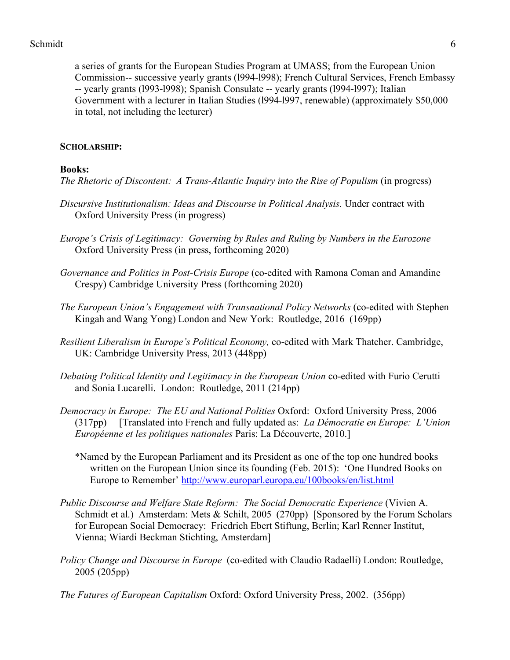a series of grants for the European Studies Program at UMASS; from the European Union Commission-- successive yearly grants (l994-l998); French Cultural Services, French Embassy -- yearly grants (l993-l998); Spanish Consulate -- yearly grants (l994-l997); Italian Government with a lecturer in Italian Studies (l994-l997, renewable) (approximately \$50,000 in total, not including the lecturer)

# **SCHOLARSHIP:**

# **Books:**

*The Rhetoric of Discontent: A Trans-Atlantic Inquiry into the Rise of Populism* (in progress)

- *Discursive Institutionalism: Ideas and Discourse in Political Analysis.* Under contract with Oxford University Press (in progress)
- *Europe's Crisis of Legitimacy: Governing by Rules and Ruling by Numbers in the Eurozone* Oxford University Press (in press, forthcoming 2020)
- *Governance and Politics in Post-Crisis Europe* (co-edited with Ramona Coman and Amandine Crespy) Cambridge University Press (forthcoming 2020)
- *The European Union's Engagement with Transnational Policy Networks* (co-edited with Stephen Kingah and Wang Yong) London and New York: Routledge, 2016 (169pp)
- *Resilient Liberalism in Europe's Political Economy,* co-edited with Mark Thatcher. Cambridge, UK: Cambridge University Press, 2013 (448pp)
- *Debating Political Identity and Legitimacy in the European Union* co-edited with Furio Cerutti and Sonia Lucarelli. London: Routledge, 2011 (214pp)
- *Democracy in Europe: The EU and National Polities* Oxford: Oxford University Press, 2006 (317pp) [Translated into French and fully updated as: *La Démocratie en Europe: L'Union Européenne et les politiques nationales* Paris: La Découverte, 2010.]
	- \*Named by the European Parliament and its President as one of the top one hundred books written on the European Union since its founding (Feb. 2015): 'One Hundred Books on Europe to Remember' http://www.europarl.europa.eu/100books/en/list.html
- *Public Discourse and Welfare State Reform: The Social Democratic Experience* (Vivien A. Schmidt et al.) Amsterdam: Mets & Schilt, 2005 (270pp) [Sponsored by the Forum Scholars for European Social Democracy: Friedrich Ebert Stiftung, Berlin; Karl Renner Institut, Vienna; Wiardi Beckman Stichting, Amsterdam]
- *Policy Change and Discourse in Europe* (co-edited with Claudio Radaelli) London: Routledge, 2005 (205pp)
- *The Futures of European Capitalism* Oxford: Oxford University Press, 2002. (356pp)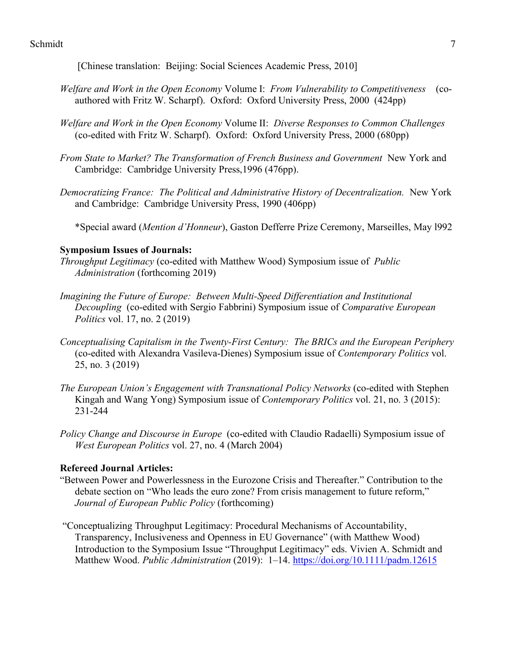[Chinese translation: Beijing: Social Sciences Academic Press, 2010]

- *Welfare and Work in the Open Economy* Volume I: *From Vulnerability to Competitiveness* (coauthored with Fritz W. Scharpf). Oxford: Oxford University Press, 2000 (424pp)
- *Welfare and Work in the Open Economy* Volume II: *Diverse Responses to Common Challenges* (co-edited with Fritz W. Scharpf). Oxford: Oxford University Press, 2000 (680pp)
- *From State to Market? The Transformation of French Business and Government* New York and Cambridge: Cambridge University Press,1996 (476pp).
- *Democratizing France: The Political and Administrative History of Decentralization.* New York and Cambridge: Cambridge University Press, 1990 (406pp)

\*Special award (*Mention d'Honneur*), Gaston Defferre Prize Ceremony, Marseilles, May l992

## **Symposium Issues of Journals:**

*Throughput Legitimacy* (co-edited with Matthew Wood) Symposium issue of *Public Administration* (forthcoming 2019)

- *Imagining the Future of Europe: Between Multi-Speed Differentiation and Institutional Decoupling* (co-edited with Sergio Fabbrini) Symposium issue of *Comparative European Politics* vol. 17, no. 2 (2019)
- *Conceptualising Capitalism in the Twenty-First Century: The BRICs and the European Periphery* (co-edited with Alexandra Vasileva-Dienes) Symposium issue of *Contemporary Politics* vol. 25, no. 3 (2019)
- *The European Union's Engagement with Transnational Policy Networks* (co-edited with Stephen Kingah and Wang Yong) Symposium issue of *Contemporary Politics* vol. 21, no. 3 (2015): 231-244
- *Policy Change and Discourse in Europe* (co-edited with Claudio Radaelli) Symposium issue of *West European Politics* vol. 27, no. 4 (March 2004)

## **Refereed Journal Articles:**

- "Between Power and Powerlessness in the Eurozone Crisis and Thereafter." Contribution to the debate section on "Who leads the euro zone? From crisis management to future reform," *Journal of European Public Policy* (forthcoming)
- "Conceptualizing Throughput Legitimacy: Procedural Mechanisms of Accountability, Transparency, Inclusiveness and Openness in EU Governance" (with Matthew Wood) Introduction to the Symposium Issue "Throughput Legitimacy" eds. Vivien A. Schmidt and Matthew Wood. *Public Administration* (2019): 1–14. https://doi.org/10.1111/padm.12615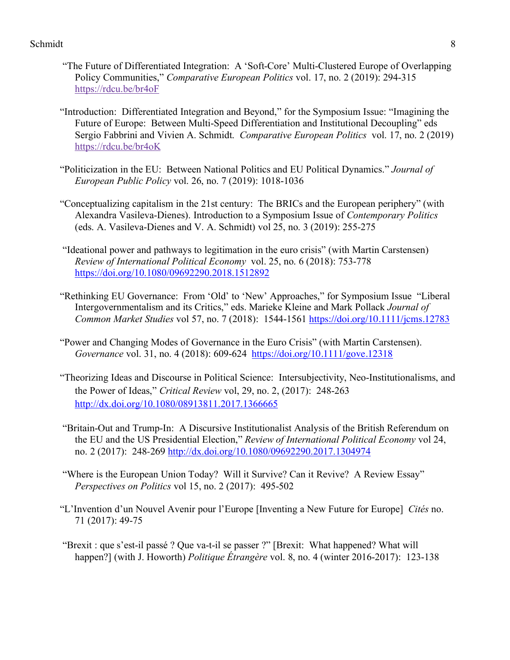- "The Future of Differentiated Integration: A 'Soft-Core' Multi-Clustered Europe of Overlapping Policy Communities," *Comparative European Politics* vol. 17, no. 2 (2019): 294-315 https://rdcu.be/br4oF
- "Introduction: Differentiated Integration and Beyond," for the Symposium Issue: "Imagining the Future of Europe: Between Multi-Speed Differentiation and Institutional Decoupling" eds Sergio Fabbrini and Vivien A. Schmidt. *Comparative European Politics* vol. 17, no. 2 (2019) https://rdcu.be/br4oK
- "Politicization in the EU: Between National Politics and EU Political Dynamics." *Journal of European Public Policy* vol. 26, no. 7 (2019): 1018-1036
- "Conceptualizing capitalism in the 21st century: The BRICs and the European periphery" (with Alexandra Vasileva-Dienes). Introduction to a Symposium Issue of *Contemporary Politics* (eds. A. Vasileva-Dienes and V. A. Schmidt) vol 25, no. 3 (2019): 255-275
- "Ideational power and pathways to legitimation in the euro crisis" (with Martin Carstensen) *Review of International Political Economy* vol. 25, no. 6 (2018): 753-778 https://doi.org/10.1080/09692290.2018.1512892
- "Rethinking EU Governance: From 'Old' to 'New' Approaches," for Symposium Issue "Liberal Intergovernmentalism and its Critics," eds. Marieke Kleine and Mark Pollack *Journal of Common Market Studies* vol 57, no. 7 (2018): 1544-1561 https://doi.org/10.1111/jcms.12783
- "Power and Changing Modes of Governance in the Euro Crisis" (with Martin Carstensen). *Governance* vol. 31, no. 4 (2018): 609-624 https://doi.org/10.1111/gove.12318
- "Theorizing Ideas and Discourse in Political Science: Intersubjectivity, Neo-Institutionalisms, and the Power of Ideas," *Critical Review* vol, 29, no. 2, (2017): 248-263 http://dx.doi.org/10.1080/08913811.2017.1366665
- "Britain-Out and Trump-In: A Discursive Institutionalist Analysis of the British Referendum on the EU and the US Presidential Election," *Review of International Political Economy* vol 24, no. 2 (2017): 248-269 http://dx.doi.org/10.1080/09692290.2017.1304974
- "Where is the European Union Today? Will it Survive? Can it Revive? A Review Essay" *Perspectives on Politics* vol 15, no. 2 (2017): 495-502
- "L'Invention d'un Nouvel Avenir pour l'Europe [Inventing a New Future for Europe] *Cités* no. 71 (2017): 49-75
- "Brexit : que s'est-il passé ? Que va-t-il se passer ?" [Brexit: What happened? What will happen?] (with J. Howorth) *Politique Étrangère* vol. 8, no. 4 (winter 2016-2017): 123-138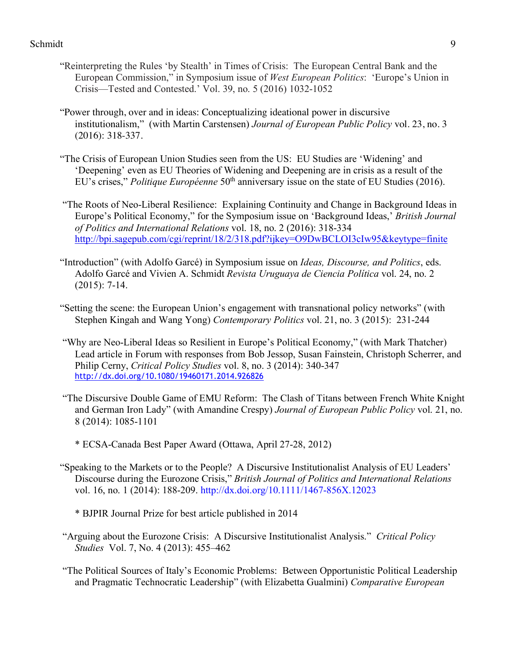- "Reinterpreting the Rules 'by Stealth' in Times of Crisis: The European Central Bank and the European Commission," in Symposium issue of *West European Politics*: 'Europe's Union in Crisis—Tested and Contested.' Vol. 39, no. 5 (2016) 1032-1052
- "Power through, over and in ideas: Conceptualizing ideational power in discursive institutionalism," (with Martin Carstensen) *Journal of European Public Policy* vol. 23, no. 3 (2016): 318-337.
- "The Crisis of European Union Studies seen from the US: EU Studies are 'Widening' and 'Deepening' even as EU Theories of Widening and Deepening are in crisis as a result of the EU's crises," *Politique Européenne* 50<sup>th</sup> anniversary issue on the state of EU Studies (2016).
- "The Roots of Neo-Liberal Resilience: Explaining Continuity and Change in Background Ideas in Europe's Political Economy," for the Symposium issue on 'Background Ideas,' *British Journal of Politics and International Relations* vol. 18, no. 2 (2016): 318-334 http://bpi.sagepub.com/cgi/reprint/18/2/318.pdf?ijkey=O9DwBCLOI3cIw95&keytype=finite
- "Introduction" (with Adolfo Garcé) in Symposium issue on *Ideas, Discourse, and Politics*, eds. Adolfo Garcé and Vivien A. Schmidt *Revista Uruguaya de Ciencia Política* vol. 24, no. 2 (2015): 7-14.
- "Setting the scene: the European Union's engagement with transnational policy networks" (with Stephen Kingah and Wang Yong) *Contemporary Politics* vol. 21, no. 3 (2015): 231-244
- "Why are Neo-Liberal Ideas so Resilient in Europe's Political Economy," (with Mark Thatcher) Lead article in Forum with responses from Bob Jessop, Susan Fainstein, Christoph Scherrer, and Philip Cerny, *Critical Policy Studies* vol. 8, no. 3 (2014): 340-347 http://dx.doi.org/10.1080/19460171.2014.926826
- "The Discursive Double Game of EMU Reform: The Clash of Titans between French White Knight and German Iron Lady" (with Amandine Crespy) *Journal of European Public Policy* vol. 21, no. 8 (2014): 1085-1101
	- \* ECSA-Canada Best Paper Award (Ottawa, April 27-28, 2012)
- "Speaking to the Markets or to the People? A Discursive Institutionalist Analysis of EU Leaders' Discourse during the Eurozone Crisis," *British Journal of Politics and International Relations* vol. 16, no. 1 (2014): 188-209. http://dx.doi.org/10.1111/1467-856X.12023
	- \* BJPIR Journal Prize for best article published in 2014
- "Arguing about the Eurozone Crisis: A Discursive Institutionalist Analysis." *Critical Policy Studies* Vol. 7, No. 4 (2013): 455–462
- "The Political Sources of Italy's Economic Problems: Between Opportunistic Political Leadership and Pragmatic Technocratic Leadership" (with Elizabetta Gualmini) *Comparative European*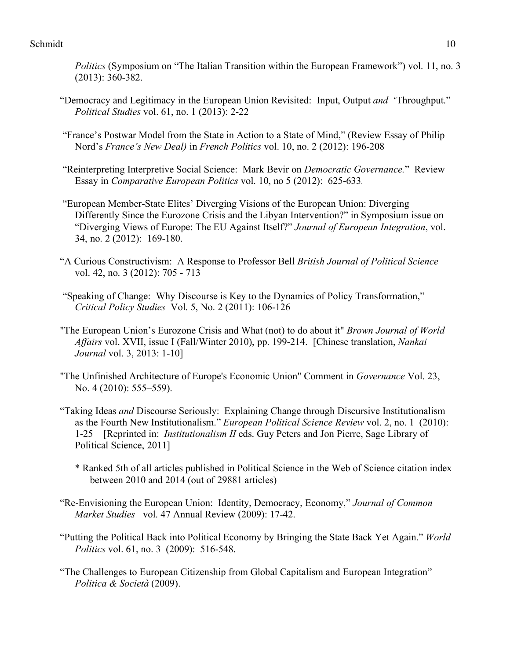*Politics* (Symposium on "The Italian Transition within the European Framework") vol. 11, no. 3 (2013): 360-382.

- "Democracy and Legitimacy in the European Union Revisited: Input, Output *and* 'Throughput." *Political Studies* vol. 61, no. 1 (2013): 2-22
- "France's Postwar Model from the State in Action to a State of Mind," (Review Essay of Philip Nord's *France's New Deal)* in *French Politics* vol. 10, no. 2 (2012): 196-208
- "Reinterpreting Interpretive Social Science: Mark Bevir on *Democratic Governance.*" Review Essay in *Comparative European Politics* vol. 10, no 5 (2012): 625-633.
- "European Member-State Elites' Diverging Visions of the European Union: Diverging Differently Since the Eurozone Crisis and the Libyan Intervention?" in Symposium issue on "Diverging Views of Europe: The EU Against Itself?" *Journal of European Integration*, vol. 34, no. 2 (2012): 169-180.
- "A Curious Constructivism: A Response to Professor Bell *British Journal of Political Science* vol. 42, no. 3 (2012): 705 - 713
- "Speaking of Change: Why Discourse is Key to the Dynamics of Policy Transformation," *Critical Policy Studies* Vol. 5, No. 2 (2011): 106-126
- "The European Union's Eurozone Crisis and What (not) to do about it" *Brown Journal of World Affairs* vol. XVII, issue I (Fall/Winter 2010), pp. 199-214. [Chinese translation, *Nankai Journal* vol. 3, 2013: 1-10]
- "The Unfinished Architecture of Europe's Economic Union" Comment in *Governance* Vol. 23, No. 4 (2010): 555–559).
- "Taking Ideas *and* Discourse Seriously: Explaining Change through Discursive Institutionalism as the Fourth New Institutionalism." *European Political Science Review* vol. 2, no. 1 (2010): 1-25 [Reprinted in: *Institutionalism II* eds. Guy Peters and Jon Pierre, Sage Library of Political Science, 2011]
	- \* Ranked 5th of all articles published in Political Science in the Web of Science citation index between 2010 and 2014 (out of 29881 articles)
- "Re-Envisioning the European Union: Identity, Democracy, Economy," *Journal of Common Market Studies* vol. 47 Annual Review (2009): 17-42.
- "Putting the Political Back into Political Economy by Bringing the State Back Yet Again." *World Politics* vol. 61, no. 3 (2009): 516-548.
- "The Challenges to European Citizenship from Global Capitalism and European Integration" *Politica & Società* (2009).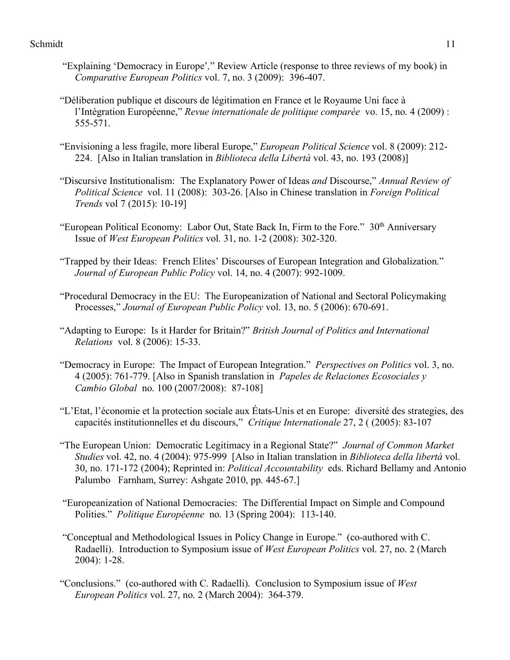- "Explaining 'Democracy in Europe'*,*" Review Article (response to three reviews of my book) in *Comparative European Politics* vol. 7, no. 3 (2009): 396-407.
- "Déliberation publique et discours de légitimation en France et le Royaume Uni face à l'Intégration Européenne," *Revue internationale de politique comparée* vo. 15, no. 4 (2009) : 555-571.
- "Envisioning a less fragile, more liberal Europe," *European Political Science* vol. 8 (2009): 212- 224. [Also in Italian translation in *Biblioteca della Libertà* vol. 43, no. 193 (2008)]
- "Discursive Institutionalism: The Explanatory Power of Ideas *and* Discourse," *Annual Review of Political Science* vol. 11 (2008): 303-26. [Also in Chinese translation in *Foreign Political Trends* vol 7 (2015): 10-19]
- "European Political Economy: Labor Out, State Back In, Firm to the Fore."  $30<sup>th</sup>$  Anniversary Issue of *West European Politics* vol. 31, no. 1-2 (2008): 302-320.
- "Trapped by their Ideas: French Elites' Discourses of European Integration and Globalization." *Journal of European Public Policy* vol. 14, no. 4 (2007): 992-1009.
- "Procedural Democracy in the EU: The Europeanization of National and Sectoral Policymaking Processes," *Journal of European Public Policy* vol. 13, no. 5 (2006): 670-691.
- "Adapting to Europe: Is it Harder for Britain?" *British Journal of Politics and International Relations* vol. 8 (2006): 15-33.
- "Democracy in Europe: The Impact of European Integration." *Perspectives on Politics* vol. 3, no. 4 (2005): 761-779. [Also in Spanish translation in *Papeles de Relaciones Ecosociales y Cambio Global* no. 100 (2007/2008): 87-108]
- "L'Etat, l'économie et la protection sociale aux États-Unis et en Europe: diversité des strategies, des capacités institutionnelles et du discours," *Critique Internationale* 27, 2 ( (2005): 83-107
- "The European Union: Democratic Legitimacy in a Regional State?" *Journal of Common Market Studies* vol. 42, no. 4 (2004): 975-999 [Also in Italian translation in *Biblioteca della libertà* vol. 30, no. 171-172 (2004); Reprinted in: *Political Accountability* eds. Richard Bellamy and Antonio Palumbo Farnham, Surrey: Ashgate 2010, pp. 445-67.]
- "Europeanization of National Democracies: The Differential Impact on Simple and Compound Polities." *Politique Européenne* no. 13 (Spring 2004): 113-140.
- "Conceptual and Methodological Issues in Policy Change in Europe." (co-authored with C. Radaelli). Introduction to Symposium issue of *West European Politics* vol. 27, no. 2 (March 2004): 1-28.
- "Conclusions." (co-authored with C. Radaelli). Conclusion to Symposium issue of *West European Politics* vol. 27, no. 2 (March 2004): 364-379.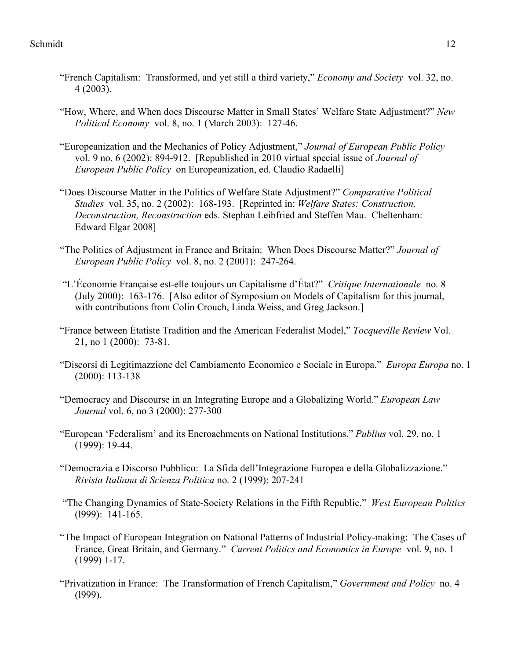- "French Capitalism: Transformed, and yet still a third variety," *Economy and Society* vol. 32, no. 4 (2003).
- "How, Where, and When does Discourse Matter in Small States' Welfare State Adjustment?" *New Political Economy* vol. 8, no. 1 (March 2003): 127-46.
- "Europeanization and the Mechanics of Policy Adjustment," *Journal of European Public Policy* vol. 9 no. 6 (2002): 894-912. [Republished in 2010 virtual special issue of *Journal of European Public Policy* on Europeanization, ed. Claudio Radaelli]
- "Does Discourse Matter in the Politics of Welfare State Adjustment?" *Comparative Political Studies* vol. 35, no. 2 (2002): 168-193. [Reprinted in: *Welfare States: Construction, Deconstruction, Reconstruction* eds. Stephan Leibfried and Steffen Mau. Cheltenham: Edward Elgar 2008]
- "The Politics of Adjustment in France and Britain: When Does Discourse Matter?" *Journal of European Public Policy* vol. 8, no. 2 (2001): 247-264.
- "L'Économie Française est-elle toujours un Capitalisme d'État?" *Critique Internationale* no. 8 (July 2000): 163-176. [Also editor of Symposium on Models of Capitalism for this journal, with contributions from Colin Crouch, Linda Weiss, and Greg Jackson.]
- "France between Étatiste Tradition and the American Federalist Model," *Tocqueville Review* Vol. 21, no 1 (2000): 73-81.
- "Discorsi di Legitimazzione del Cambiamento Economico e Sociale in Europa." *Europa Europa* no. 1 (2000): 113-138
- "Democracy and Discourse in an Integrating Europe and a Globalizing World." *European Law Journal* vol. 6, no 3 (2000): 277-300
- "European 'Federalism' and its Encroachments on National Institutions." *Publius* vol. 29, no. 1 (1999): 19-44.
- "Democrazia e Discorso Pubblico: La Sfida dell'Integrazione Europea e della Globalizzazione." *Rivista Italiana di Scienza Politica* no. 2 (1999): 207-241
- "The Changing Dynamics of State-Society Relations in the Fifth Republic." *West European Politics* (l999): 141-165.
- "The Impact of European Integration on National Patterns of Industrial Policy-making: The Cases of France, Great Britain, and Germany." *Current Politics and Economics in Europe* vol. 9, no. 1 (1999) 1-17.
- "Privatization in France: The Transformation of French Capitalism," *Government and Policy* no. 4 (l999).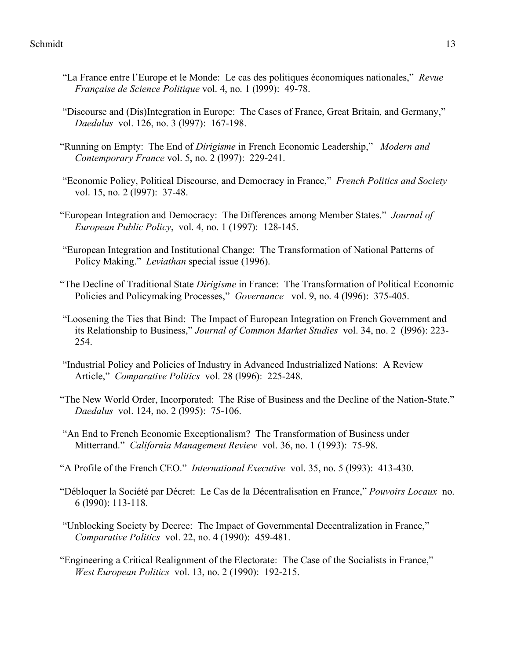- "La France entre l'Europe et le Monde: Le cas des politiques économiques nationales," *Revue Française de Science Politique* vol. 4, no. 1 (l999): 49-78.
- "Discourse and (Dis)Integration in Europe: The Cases of France, Great Britain, and Germany," *Daedalus* vol. 126, no. 3 (l997): 167-198.
- "Running on Empty: The End of *Dirigisme* in French Economic Leadership," *Modern and Contemporary France* vol. 5, no. 2 (l997): 229-241.
- "Economic Policy, Political Discourse, and Democracy in France," *French Politics and Society* vol. 15, no. 2 (1997): 37-48.
- "European Integration and Democracy: The Differences among Member States." *Journal of European Public Policy*, vol. 4, no. 1 (1997): 128-145.
- "European Integration and Institutional Change: The Transformation of National Patterns of Policy Making." *Leviathan* special issue (1996).
- "The Decline of Traditional State *Dirigisme* in France: The Transformation of Political Economic Policies and Policymaking Processes," *Governance* vol. 9, no. 4 (l996): 375-405.
- "Loosening the Ties that Bind: The Impact of European Integration on French Government and its Relationship to Business," *Journal of Common Market Studies* vol. 34, no. 2 (l996): 223- 254.
- "Industrial Policy and Policies of Industry in Advanced Industrialized Nations: A Review Article," *Comparative Politics* vol. 28 (l996): 225-248.
- "The New World Order, Incorporated: The Rise of Business and the Decline of the Nation-State." *Daedalus* vol. 124, no. 2 (l995): 75-106.
- "An End to French Economic Exceptionalism? The Transformation of Business under Mitterrand." *California Management Review* vol. 36, no. 1 (1993): 75-98.
- "A Profile of the French CEO." *International Executive* vol. 35, no. 5 (l993): 413-430.
- "Débloquer la Société par Décret: Le Cas de la Décentralisation en France," *Pouvoirs Locaux* no. 6 (l990): 113-118.
- "Unblocking Society by Decree: The Impact of Governmental Decentralization in France," *Comparative Politics* vol. 22, no. 4 (1990): 459-481.
- "Engineering a Critical Realignment of the Electorate: The Case of the Socialists in France," *West European Politics* vol. 13, no. 2 (1990): 192-215.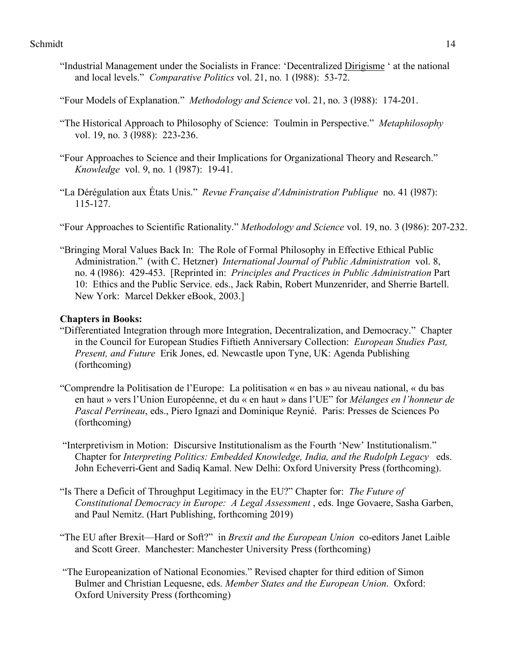- "Industrial Management under the Socialists in France: 'Decentralized Dirigisme ' at the national and local levels." *Comparative Politics* vol. 21, no. 1 (l988): 53-72.
- "Four Models of Explanation." *Methodology and Science* vol. 21, no. 3 (l988): 174-201.
- "The Historical Approach to Philosophy of Science: Toulmin in Perspective." *Metaphilosophy* vol. 19, no. 3 (l988): 223-236.
- "Four Approaches to Science and their Implications for Organizational Theory and Research." *Knowledge* vol. 9, no. 1 (l987): 19-41.
- "La Dérégulation aux États Unis." *Revue Française d'Administration Publique* no. 41 (l987): 115-127.
- "Four Approaches to Scientific Rationality." *Methodology and Science* vol. 19, no. 3 (l986): 207-232.
- "Bringing Moral Values Back In: The Role of Formal Philosophy in Effective Ethical Public Administration." (with C. Hetzner) *International Journal of Public Administration* vol. 8, no. 4 (l986): 429-453. [Reprinted in: *Principles and Practices in Public Administration* Part 10: Ethics and the Public Service. eds., Jack Rabin, Robert Munzenrider, and Sherrie Bartell. New York: Marcel Dekker eBook, 2003.]

# **Chapters in Books:**

- "Differentiated Integration through more Integration, Decentralization, and Democracy." Chapter in the Council for European Studies Fiftieth Anniversary Collection: *European Studies Past, Present, and Future* Erik Jones, ed. Newcastle upon Tyne, UK: Agenda Publishing (forthcoming)
- "Comprendre la Politisation de l'Europe: La politisation « en bas » au niveau national, « du bas en haut » vers l'Union Européenne, et du « en haut » dans l'UE" for *Mélanges en l'honneur de Pascal Perrineau*, eds., Piero Ignazi and Dominique Reynié. Paris: Presses de Sciences Po (forthcoming)
- "Interpretivism in Motion: Discursive Institutionalism as the Fourth 'New' Institutionalism." Chapter for *Interpreting Politics: Embedded Knowledge, India, and the Rudolph Legacy* eds. John Echeverri-Gent and Sadiq Kamal. New Delhi: Oxford University Press (forthcoming).
- "Is There a Deficit of Throughput Legitimacy in the EU?" Chapter for: *The Future of Constitutional Democracy in Europe: A Legal Assessment* , eds. Inge Govaere, Sasha Garben, and Paul Nemitz. (Hart Publishing, forthcoming 2019)
- "The EU after Brexit—Hard or Soft?" in *Brexit and the European Union* co-editors Janet Laible and Scott Greer. Manchester: Manchester University Press (forthcoming)
- "The Europeanization of National Economies." Revised chapter for third edition of Simon Bulmer and Christian Lequesne, eds. *Member States and the European Union*. Oxford: Oxford University Press (forthcoming)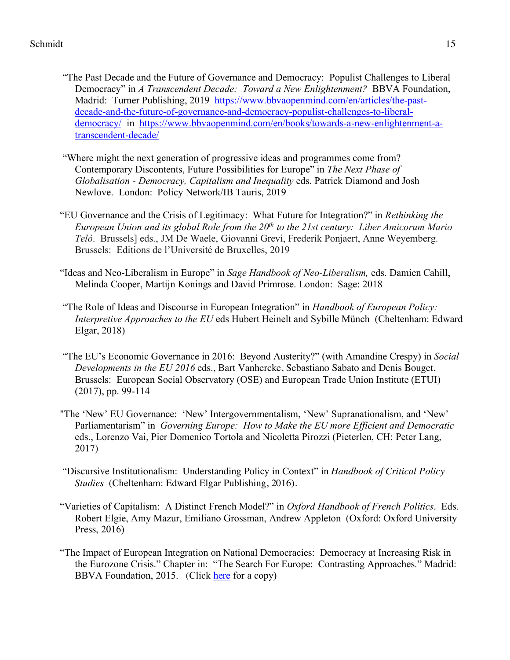- "The Past Decade and the Future of Governance and Democracy: Populist Challenges to Liberal Democracy" in *A Transcendent Decade: Toward a New Enlightenment?* BBVA Foundation, Madrid: Turner Publishing, 2019 https://www.bbvaopenmind.com/en/articles/the-pastdecade-and-the-future-of-governance-and-democracy-populist-challenges-to-liberaldemocracy/ in https://www.bbvaopenmind.com/en/books/towards-a-new-enlightenment-atranscendent-decade/
- "Where might the next generation of progressive ideas and programmes come from? Contemporary Discontents, Future Possibilities for Europe" in *The Next Phase of Globalisation - Democracy, Capitalism and Inequality* eds. Patrick Diamond and Josh Newlove. London: Policy Network/IB Tauris, 2019
- "EU Governance and the Crisis of Legitimacy: What Future for Integration?" in *Rethinking the European Union and its global Role from the 20th to the 21st century: Liber Amicorum Mario Telò*. Brussels] eds., JM De Waele, Giovanni Grevi, Frederik Ponjaert, Anne Weyemberg. Brussels: Editions de l'Université de Bruxelles, 2019
- "Ideas and Neo-Liberalism in Europe" in *Sage Handbook of Neo-Liberalism,* eds. Damien Cahill, Melinda Cooper, Martijn Konings and David Primrose. London: Sage: 2018
- "The Role of Ideas and Discourse in European Integration" in *Handbook of European Policy: Interpretive Approaches to the EU* eds Hubert Heinelt and Sybille Münch (Cheltenham: Edward Elgar, 2018)
- "The EU's Economic Governance in 2016: Beyond Austerity?" (with Amandine Crespy) in *Social Developments in the EU 2016* eds., Bart Vanhercke, Sebastiano Sabato and Denis Bouget. Brussels: European Social Observatory (OSE) and European Trade Union Institute (ETUI) (2017), pp. 99-114
- "The 'New' EU Governance: 'New' Intergovernmentalism, 'New' Supranationalism, and 'New' Parliamentarism" in *Governing Europe: How to Make the EU more Efficient and Democratic* eds., Lorenzo Vai, Pier Domenico Tortola and Nicoletta Pirozzi (Pieterlen, CH: Peter Lang, 2017)
- "Discursive Institutionalism: Understanding Policy in Context" in *Handbook of Critical Policy Studies* (Cheltenham: Edward Elgar Publishing, 2016).
- "Varieties of Capitalism: A Distinct French Model?" in *Oxford Handbook of French Politics*. Eds. Robert Elgie, Amy Mazur, Emiliano Grossman, Andrew Appleton (Oxford: Oxford University Press, 2016)
- "The Impact of European Integration on National Democracies: Democracy at Increasing Risk in the Eurozone Crisis." Chapter in: "The Search For Europe: Contrasting Approaches." Madrid: BBVA Foundation, 2015. (Click here for a copy)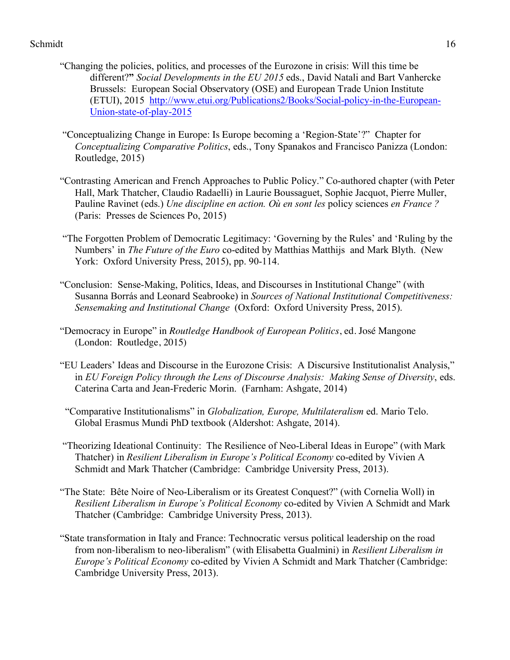- "Changing the policies, politics, and processes of the Eurozone in crisis: Will this time be different?**"** *Social Developments in the EU 2015* eds., David Natali and Bart Vanhercke Brussels: European Social Observatory (OSE) and European Trade Union Institute (ETUI), 2015 http://www.etui.org/Publications2/Books/Social-policy-in-the-European-Union-state-of-play-2015
- "Conceptualizing Change in Europe: Is Europe becoming a 'Region-State'?" Chapter for *Conceptualizing Comparative Politics*, eds., Tony Spanakos and Francisco Panizza (London: Routledge, 2015)
- "Contrasting American and French Approaches to Public Policy." Co-authored chapter (with Peter Hall, Mark Thatcher, Claudio Radaelli) in Laurie Boussaguet, Sophie Jacquot, Pierre Muller, Pauline Ravinet (eds.) *Une discipline en action. Où en sont les policy sciences en France* ? (Paris: Presses de Sciences Po, 2015)
- "The Forgotten Problem of Democratic Legitimacy: 'Governing by the Rules' and 'Ruling by the Numbers' in *The Future of the Euro* co-edited by Matthias Matthijs and Mark Blyth. (New York: Oxford University Press, 2015), pp. 90-114.
- "Conclusion: Sense-Making, Politics, Ideas, and Discourses in Institutional Change" (with Susanna Borrás and Leonard Seabrooke) in *Sources of National Institutional Competitiveness: Sensemaking and Institutional Change* (Oxford: Oxford University Press, 2015).
- "Democracy in Europe" in *Routledge Handbook of European Politics*, ed. José Mangone (London: Routledge, 2015)
- "EU Leaders' Ideas and Discourse in the Eurozone Crisis: A Discursive Institutionalist Analysis," in *EU Foreign Policy through the Lens of Discourse Analysis: Making Sense of Diversity*, eds. Caterina Carta and Jean-Frederic Morin. (Farnham: Ashgate, 2014)
- "Comparative Institutionalisms" in *Globalization, Europe, Multilateralism* ed. Mario Telo. Global Erasmus Mundi PhD textbook (Aldershot: Ashgate, 2014).
- "Theorizing Ideational Continuity: The Resilience of Neo-Liberal Ideas in Europe" (with Mark Thatcher) in *Resilient Liberalism in Europe's Political Economy* co-edited by Vivien A Schmidt and Mark Thatcher (Cambridge: Cambridge University Press, 2013).
- "The State: Bête Noire of Neo-Liberalism or its Greatest Conquest?" (with Cornelia Woll) in *Resilient Liberalism in Europe's Political Economy* co-edited by Vivien A Schmidt and Mark Thatcher (Cambridge: Cambridge University Press, 2013).
- "State transformation in Italy and France: Technocratic versus political leadership on the road from non-liberalism to neo-liberalism" (with Elisabetta Gualmini) in *Resilient Liberalism in Europe's Political Economy* co-edited by Vivien A Schmidt and Mark Thatcher (Cambridge: Cambridge University Press, 2013).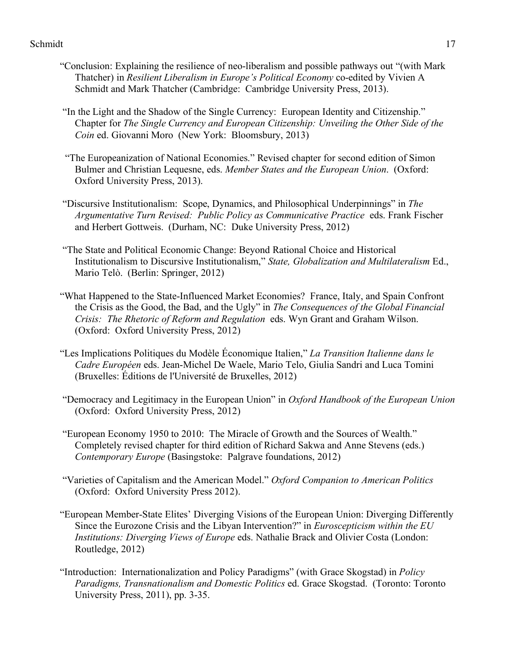- "Conclusion: Explaining the resilience of neo-liberalism and possible pathways out "(with Mark Thatcher) in *Resilient Liberalism in Europe's Political Economy* co-edited by Vivien A Schmidt and Mark Thatcher (Cambridge: Cambridge University Press, 2013).
- "In the Light and the Shadow of the Single Currency: European Identity and Citizenship." Chapter for *The Single Currency and European Citizenship: Unveiling the Other Side of the Coin* ed. Giovanni Moro (New York: Bloomsbury, 2013)
- "The Europeanization of National Economies." Revised chapter for second edition of Simon Bulmer and Christian Lequesne, eds. *Member States and the European Union*. (Oxford: Oxford University Press, 2013).
- "Discursive Institutionalism: Scope, Dynamics, and Philosophical Underpinnings" in *The Argumentative Turn Revised: Public Policy as Communicative Practice* eds. Frank Fischer and Herbert Gottweis. (Durham, NC: Duke University Press, 2012)
- "The State and Political Economic Change: Beyond Rational Choice and Historical Institutionalism to Discursive Institutionalism," *State, Globalization and Multilateralism* Ed., Mario Telò. (Berlin: Springer, 2012)
- "What Happened to the State-Influenced Market Economies? France, Italy, and Spain Confront the Crisis as the Good, the Bad, and the Ugly" in *The Consequences of the Global Financial Crisis: The Rhetoric of Reform and Regulation* eds. Wyn Grant and Graham Wilson. (Oxford: Oxford University Press, 2012)
- "Les Implications Politiques du Modèle Économique Italien," *La Transition Italienne dans le Cadre Européen* eds. Jean-Michel De Waele, Mario Telo, Giulia Sandri and Luca Tomini (Bruxelles: Éditions de l'Université de Bruxelles, 2012)
- "Democracy and Legitimacy in the European Union" in *Oxford Handbook of the European Union* (Oxford: Oxford University Press, 2012)
- "European Economy 1950 to 2010: The Miracle of Growth and the Sources of Wealth." Completely revised chapter for third edition of Richard Sakwa and Anne Stevens (eds.) *Contemporary Europe* (Basingstoke: Palgrave foundations, 2012)
- "Varieties of Capitalism and the American Model." *Oxford Companion to American Politics* (Oxford: Oxford University Press 2012).
- "European Member-State Elites' Diverging Visions of the European Union: Diverging Differently Since the Eurozone Crisis and the Libyan Intervention?" in *Euroscepticism within the EU Institutions: Diverging Views of Europe* eds. Nathalie Brack and Olivier Costa (London: Routledge, 2012)
- "Introduction: Internationalization and Policy Paradigms" (with Grace Skogstad) in *Policy Paradigms, Transnationalism and Domestic Politics* ed. Grace Skogstad. (Toronto: Toronto University Press, 2011), pp. 3-35.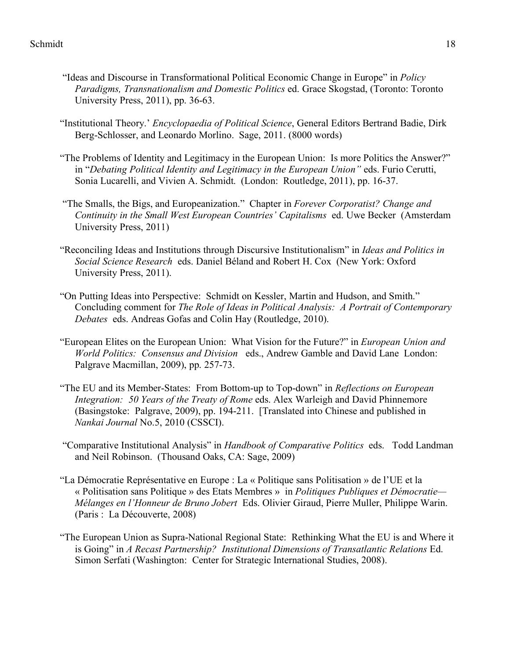- "Ideas and Discourse in Transformational Political Economic Change in Europe" in *Policy Paradigms, Transnationalism and Domestic Politics* ed. Grace Skogstad, (Toronto: Toronto University Press, 2011), pp. 36-63.
- "Institutional Theory.' *Encyclopaedia of Political Science*, General Editors Bertrand Badie, Dirk Berg-Schlosser, and Leonardo Morlino. Sage, 2011. (8000 words)
- "The Problems of Identity and Legitimacy in the European Union: Is more Politics the Answer?" in "*Debating Political Identity and Legitimacy in the European Union"* eds. Furio Cerutti, Sonia Lucarelli, and Vivien A. Schmidt. (London: Routledge, 2011), pp. 16-37.
- "The Smalls, the Bigs, and Europeanization." Chapter in *Forever Corporatist? Change and Continuity in the Small West European Countries' Capitalisms* ed. Uwe Becker (Amsterdam University Press, 2011)
- "Reconciling Ideas and Institutions through Discursive Institutionalism" in *Ideas and Politics in Social Science Research* eds. Daniel Béland and Robert H. Cox (New York: Oxford University Press, 2011).
- "On Putting Ideas into Perspective: Schmidt on Kessler, Martin and Hudson, and Smith." Concluding comment for *The Role of Ideas in Political Analysis: A Portrait of Contemporary Debates* eds. Andreas Gofas and Colin Hay (Routledge, 2010).
- "European Elites on the European Union: What Vision for the Future?" in *European Union and World Politics: Consensus and Division* eds., Andrew Gamble and David Lane London: Palgrave Macmillan, 2009), pp. 257-73.
- "The EU and its Member-States: From Bottom-up to Top-down" in *Reflections on European Integration: 50 Years of the Treaty of Rome* eds. Alex Warleigh and David Phinnemore (Basingstoke: Palgrave, 2009), pp. 194-211. [Translated into Chinese and published in *Nankai Journal* No.5, 2010 (CSSCI).
- "Comparative Institutional Analysis" in *Handbook of Comparative Politics*eds. Todd Landman and Neil Robinson. (Thousand Oaks, CA: Sage, 2009)
- "La Démocratie Représentative en Europe : La « Politique sans Politisation » de l'UE et la « Politisation sans Politique » des Etats Membres » in *Politiques Publiques et Démocratie— Mélanges en l'Honneur de Bruno Jobert* Eds. Olivier Giraud, Pierre Muller, Philippe Warin. (Paris : La Découverte, 2008)
- "The European Union as Supra-National Regional State: Rethinking What the EU is and Where it is Going" in *A Recast Partnership? Institutional Dimensions of Transatlantic Relations* Ed. Simon Serfati (Washington: Center for Strategic International Studies, 2008).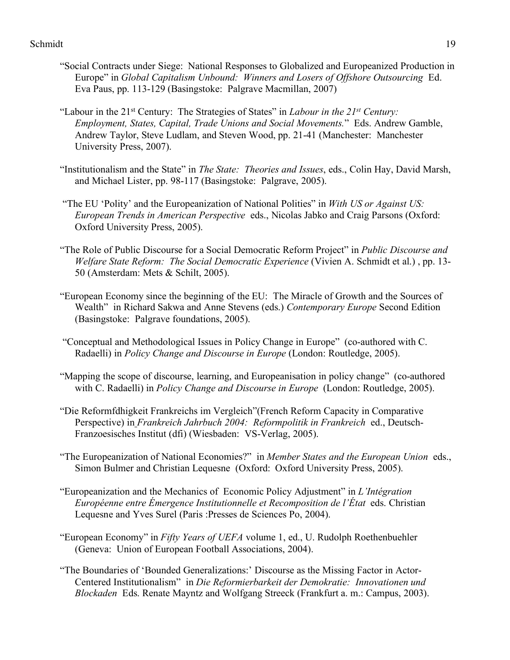- "Social Contracts under Siege: National Responses to Globalized and Europeanized Production in Europe" in *Global Capitalism Unbound: Winners and Losers of Offshore Outsourcing* Ed. Eva Paus, pp. 113-129 (Basingstoke: Palgrave Macmillan, 2007)
- "Labour in the 21st Century: The Strategies of States" in *Labour in the 21st Century: Employment, States, Capital, Trade Unions and Social Movements.*" Eds. Andrew Gamble, Andrew Taylor, Steve Ludlam, and Steven Wood, pp. 21-41 (Manchester: Manchester University Press, 2007).
- "Institutionalism and the State" in *The State: Theories and Issues*, eds., Colin Hay, David Marsh, and Michael Lister, pp. 98-117 (Basingstoke: Palgrave, 2005).
- "The EU 'Polity' and the Europeanization of National Polities" in *With US or Against US: European Trends in American Perspective* eds., Nicolas Jabko and Craig Parsons (Oxford: Oxford University Press, 2005).
- "The Role of Public Discourse for a Social Democratic Reform Project" in *Public Discourse and Welfare State Reform: The Social Democratic Experience* (Vivien A. Schmidt et al.) , pp. 13- 50 (Amsterdam: Mets & Schilt, 2005).
- "European Economy since the beginning of the EU: The Miracle of Growth and the Sources of Wealth" in Richard Sakwa and Anne Stevens (eds.) *Contemporary Europe* Second Edition (Basingstoke: Palgrave foundations, 2005).
- "Conceptual and Methodological Issues in Policy Change in Europe" (co-authored with C. Radaelli) in *Policy Change and Discourse in Europe* (London: Routledge, 2005).
- "Mapping the scope of discourse, learning, and Europeanisation in policy change" (co-authored with C. Radaelli) in *Policy Change and Discourse in Europe* (London: Routledge, 2005).
- "Die Reformfdhigkeit Frankreichs im Vergleich"(French Reform Capacity in Comparative Perspective) in *Frankreich Jahrbuch 2004: Reformpolitik in Frankreich* ed., Deutsch-Franzoesisches Institut (dfi) (Wiesbaden: VS-Verlag, 2005).
- "The Europeanization of National Economies?" in *Member States and the European Union* eds., Simon Bulmer and Christian Lequesne (Oxford: Oxford University Press, 2005).
- "Europeanization and the Mechanics of Economic Policy Adjustment" in *L'Intégration Européenne entre Émergence Institutionnelle et Recomposition de l'État* eds. Christian Lequesne and Yves Surel (Paris :Presses de Sciences Po, 2004).
- "European Economy" in *Fifty Years of UEFA* volume 1, ed., U. Rudolph Roethenbuehler (Geneva: Union of European Football Associations, 2004).
- "The Boundaries of 'Bounded Generalizations:' Discourse as the Missing Factor in Actor-Centered Institutionalism" in *Die Reformierbarkeit der Demokratie: Innovationen und Blockaden* Eds. Renate Mayntz and Wolfgang Streeck (Frankfurt a. m.: Campus, 2003).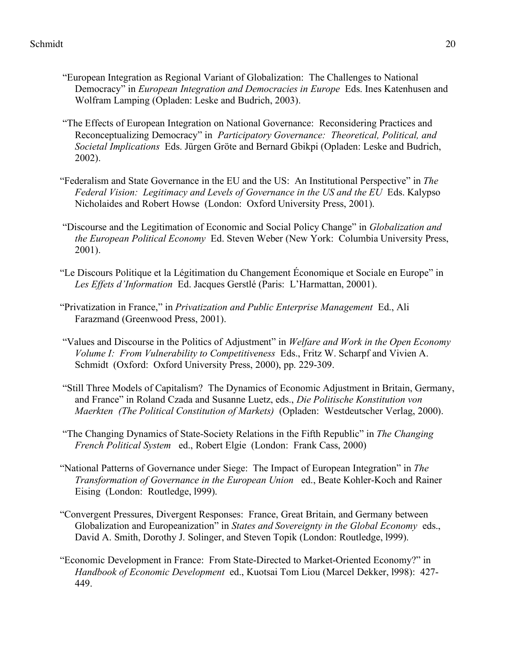- "European Integration as Regional Variant of Globalization: The Challenges to National Democracy" in *European Integration and Democracies in Europe* Eds. Ines Katenhusen and Wolfram Lamping (Opladen: Leske and Budrich, 2003).
- "The Effects of European Integration on National Governance: Reconsidering Practices and Reconceptualizing Democracy" in *Participatory Governance: Theoretical, Political, and Societal Implications* Eds. Jürgen Gröte and Bernard Gbikpi (Opladen: Leske and Budrich, 2002).
- "Federalism and State Governance in the EU and the US: An Institutional Perspective" in *The Federal Vision: Legitimacy and Levels of Governance in the US and the EU* Eds. Kalypso Nicholaides and Robert Howse (London: Oxford University Press, 2001).
- "Discourse and the Legitimation of Economic and Social Policy Change" in *Globalization and the European Political Economy* Ed. Steven Weber (New York: Columbia University Press, 2001).
- "Le Discours Politique et la Légitimation du Changement Économique et Sociale en Europe" in *Les Effets d'Information* Ed. Jacques Gerstlé (Paris: L'Harmattan, 20001).
- "Privatization in France," in *Privatization and Public Enterprise Management* Ed., Ali Farazmand (Greenwood Press, 2001).
- "Values and Discourse in the Politics of Adjustment" in *Welfare and Work in the Open Economy Volume I: From Vulnerability to Competitiveness* Eds., Fritz W. Scharpf and Vivien A. Schmidt (Oxford: Oxford University Press, 2000), pp. 229-309.
- "Still Three Models of Capitalism? The Dynamics of Economic Adjustment in Britain, Germany, and France" in Roland Czada and Susanne Luetz, eds., *Die Politische Konstitution von Maerkten (The Political Constitution of Markets)* (Opladen: Westdeutscher Verlag, 2000).
- "The Changing Dynamics of State-Society Relations in the Fifth Republic" in *The Changing French Political System* ed., Robert Elgie (London: Frank Cass, 2000)
- "National Patterns of Governance under Siege: The Impact of European Integration" in *The Transformation of Governance in the European Union* ed., Beate Kohler-Koch and Rainer Eising (London: Routledge, l999).
- "Convergent Pressures, Divergent Responses: France, Great Britain, and Germany between Globalization and Europeanization" in *States and Sovereignty in the Global Economy* eds., David A. Smith, Dorothy J. Solinger, and Steven Topik (London: Routledge, l999).
- "Economic Development in France: From State-Directed to Market-Oriented Economy?" in *Handbook of Economic Development* ed., Kuotsai Tom Liou (Marcel Dekker, l998): 427- 449.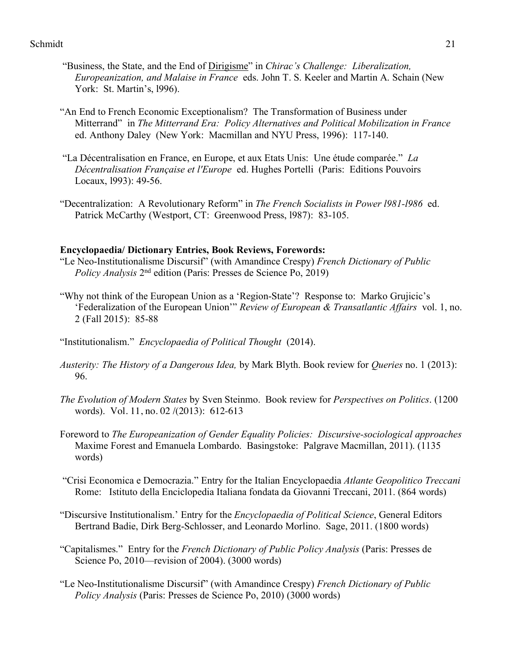- "Business, the State, and the End of Dirigisme" in *Chirac's Challenge: Liberalization, Europeanization, and Malaise in France* eds. John T. S. Keeler and Martin A. Schain (New York: St. Martin's, l996).
- "An End to French Economic Exceptionalism? The Transformation of Business under Mitterrand" in *The Mitterrand Era: Policy Alternatives and Political Mobilization in France*  ed. Anthony Daley (New York: Macmillan and NYU Press, 1996): 117-140.
- "La Décentralisation en France, en Europe, et aux Etats Unis: Une étude comparée." *La Décentralisation Française et l'Europe* ed. Hughes Portelli (Paris: Editions Pouvoirs Locaux, l993): 49-56.
- "Decentralization: A Revolutionary Reform" in *The French Socialists in Power l981-l986* ed. Patrick McCarthy (Westport, CT: Greenwood Press, l987): 83-105.

### **Encyclopaedia/ Dictionary Entries, Book Reviews, Forewords:**

- "Le Neo-Institutionalisme Discursif" (with Amandince Crespy) *French Dictionary of Public Policy Analysis* 2nd edition (Paris: Presses de Science Po, 2019)
- "Why not think of the European Union as a 'Region-State'? Response to: Marko Grujicic's 'Federalization of the European Union'" *Review of European & Transatlantic Affairs* vol. 1, no. 2 (Fall 2015): 85-88
- "Institutionalism." *Encyclopaedia of Political Thought* (2014).
- *Austerity: The History of a Dangerous Idea,* by Mark Blyth. Book review for *Queries* no. 1 (2013): 96.
- *The Evolution of Modern States* by Sven Steinmo. Book review for *Perspectives on Politics*. (1200 words). Vol. 11, no. 02 /(2013): 612-613
- Foreword to *The Europeanization of Gender Equality Policies: Discursive-sociological approaches*  Maxime Forest and Emanuela Lombardo. Basingstoke: Palgrave Macmillan, 2011). (1135 words)
- "Crisi Economica e Democrazia." Entry for the Italian Encyclopaedia *Atlante Geopolitico Treccani* Rome: Istituto della Enciclopedia Italiana fondata da Giovanni Treccani, 2011. (864 words)
- "Discursive Institutionalism.' Entry for the *Encyclopaedia of Political Science*, General Editors Bertrand Badie, Dirk Berg-Schlosser, and Leonardo Morlino. Sage, 2011. (1800 words)
- "Capitalismes." Entry for the *French Dictionary of Public Policy Analysis* (Paris: Presses de Science Po, 2010—revision of 2004). (3000 words)
- "Le Neo-Institutionalisme Discursif" (with Amandince Crespy) *French Dictionary of Public Policy Analysis* (Paris: Presses de Science Po, 2010) (3000 words)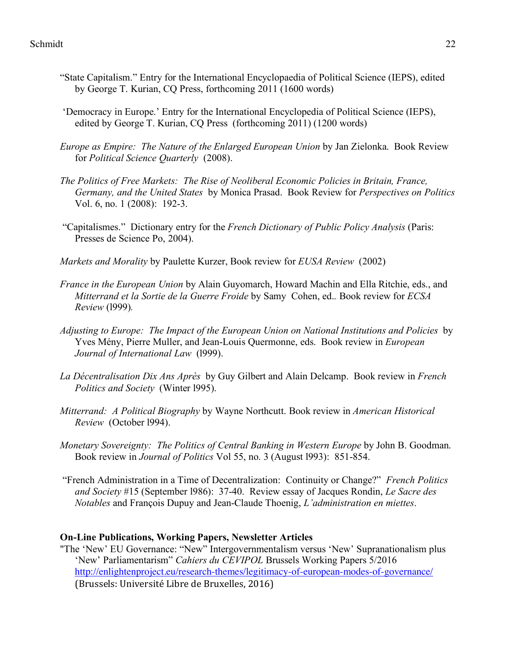- "State Capitalism." Entry for the International Encyclopaedia of Political Science (IEPS), edited by George T. Kurian, CQ Press, forthcoming 2011 (1600 words)
- 'Democracy in Europe.' Entry for the International Encyclopedia of Political Science (IEPS), edited by George T. Kurian, CQ Press (forthcoming 2011) (1200 words)
- *Europe as Empire: The Nature of the Enlarged European Union* by Jan Zielonka. Book Review for *Political Science Quarterly* (2008).
- *The Politics of Free Markets: The Rise of Neoliberal Economic Policies in Britain, France, Germany, and the United States* by Monica Prasad. Book Review for *Perspectives on Politics* Vol. 6, no. 1 (2008): 192-3.
- "Capitalismes." Dictionary entry for the *French Dictionary of Public Policy Analysis* (Paris: Presses de Science Po, 2004).
- *Markets and Morality* by Paulette Kurzer, Book review for *EUSA Review* (2002)
- *France in the European Union* by Alain Guyomarch, Howard Machin and Ella Ritchie, eds., and *Mitterrand et la Sortie de la Guerre Froide* by Samy Cohen, ed.*.* Book review for *ECSA Review* (l999)*.*
- *Adjusting to Europe: The Impact of the European Union on National Institutions and Policies* by Yves Mény, Pierre Muller, and Jean-Louis Quermonne, eds. Book review in *European Journal of International Law* (l999).
- *La Décentralisation Dix Ans Après* by Guy Gilbert and Alain Delcamp. Book review in *French Politics and Society* (Winter l995).
- *Mitterrand: A Political Biography* by Wayne Northcutt. Book review in *American Historical Review* (October l994).
- *Monetary Sovereignty: The Politics of Central Banking in Western Europe* by John B. Goodman. Book review in *Journal of Politics* Vol 55, no. 3 (August l993): 851-854.
- "French Administration in a Time of Decentralization: Continuity or Change?" *French Politics and Society* #15 (September l986): 37-40. Review essay of Jacques Rondin, *Le Sacre des Notables* and François Dupuy and Jean-Claude Thoenig, *L'administration en miettes*.

## **On-Line Publications, Working Papers, Newsletter Articles**

"The 'New' EU Governance: "New" Intergovernmentalism versus 'New' Supranationalism plus 'New' Parliamentarism" *Cahiers du CEVIPOL* Brussels Working Papers 5/2016 http://enlightenproject.eu/research-themes/legitimacy-of-european-modes-of-governance/ (Brussels: Université Libre de Bruxelles, 2016)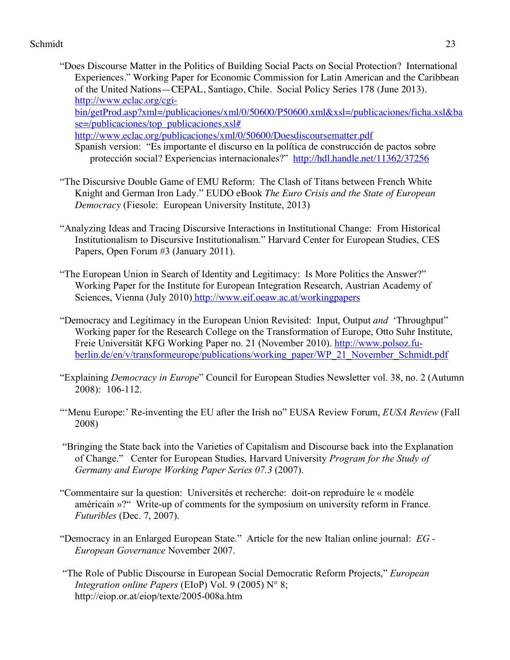- "Does Discourse Matter in the Politics of Building Social Pacts on Social Protection? International Experiences." Working Paper for Economic Commission for Latin American and the Caribbean of the United Nations—CEPAL, Santiago, Chile. Social Policy Series 178 (June 2013). http://www.eclac.org/cgibin/getProd.asp?xml=/publicaciones/xml/0/50600/P50600.xml&xsl=/publicaciones/ficha.xsl&ba se=/publicaciones/top\_publicaciones.xsl# http://www.eclac.org/publicaciones/xml/0/50600/Doesdiscoursematter.pdf
	- Spanish version: "Es importante el discurso en la política de construcción de pactos sobre protección social? Experiencias internacionales?" http://hdl.handle.net/11362/37256
- "The Discursive Double Game of EMU Reform: The Clash of Titans between French White Knight and German Iron Lady." EUDO eBook *The Euro Crisis and the State of European Democracy* (Fiesole: European University Institute, 2013)
- "Analyzing Ideas and Tracing Discursive Interactions in Institutional Change: From Historical Institutionalism to Discursive Institutionalism." Harvard Center for European Studies, CES Papers, Open Forum #3 (January 2011).
- "The European Union in Search of Identity and Legitimacy: Is More Politics the Answer?" Working Paper for the Institute for European Integration Research, Austrian Academy of Sciences, Vienna (July 2010) http://www.eif.oeaw.ac.at/workingpapers
- "Democracy and Legitimacy in the European Union Revisited: Input, Output *and* 'Throughput" Working paper for the Research College on the Transformation of Europe, Otto Suhr Institute, Freie Universität KFG Working Paper no. 21 (November 2010). http://www.polsoz.fuberlin.de/en/v/transformeurope/publications/working\_paper/WP\_21\_November\_Schmidt.pdf
- "Explaining *Democracy in Europe*" Council for European Studies Newsletter vol. 38, no. 2 (Autumn 2008): 106-112.
- "'Menu Europe:' Re-inventing the EU after the Irish no" EUSA Review Forum, *EUSA Review* (Fall 2008)
- "Bringing the State back into the Varieties of Capitalism and Discourse back into the Explanation of Change." Center for European Studies, Harvard University *Program for the Study of Germany and Europe Working Paper Series 07.3* (2007).
- "Commentaire sur la question: Universités et recherche: doit-on reproduire le « modèle américain »?" Write-up of comments for the symposium on university reform in France. *Futuribles* (Dec. 7, 2007).
- "Democracy in an Enlarged European State." Article for the new Italian online journal: *EG - European Governance* November 2007.
- "The Role of Public Discourse in European Social Democratic Reform Projects," *European Integration online Papers* (EIoP) Vol. 9 (2005) N° 8; http://eiop.or.at/eiop/texte/2005-008a.htm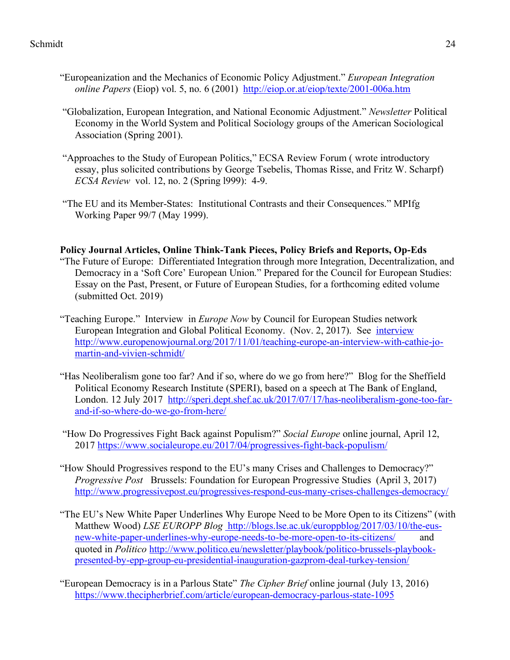- "Europeanization and the Mechanics of Economic Policy Adjustment." *European Integration online Papers* (Eiop) vol. 5, no. 6 (2001) http://eiop.or.at/eiop/texte/2001-006a.htm
- "Globalization, European Integration, and National Economic Adjustment." *Newsletter* Political Economy in the World System and Political Sociology groups of the American Sociological Association (Spring 2001).
- "Approaches to the Study of European Politics," ECSA Review Forum ( wrote introductory essay, plus solicited contributions by George Tsebelis, Thomas Risse, and Fritz W. Scharpf) *ECSA Review* vol. 12, no. 2 (Spring l999): 4-9.
- "The EU and its Member-States: Institutional Contrasts and their Consequences." MPIfg Working Paper 99/7 (May 1999).

# **Policy Journal Articles, Online Think-Tank Pieces, Policy Briefs and Reports, Op-Eds**

- "The Future of Europe: Differentiated Integration through more Integration, Decentralization, and Democracy in a 'Soft Core' European Union." Prepared for the Council for European Studies: Essay on the Past, Present, or Future of European Studies, for a forthcoming edited volume (submitted Oct. 2019)
- "Teaching Europe." Interview in *Europe Now* by Council for European Studies network European Integration and Global Political Economy. (Nov. 2, 2017). See interview http://www.europenowjournal.org/2017/11/01/teaching-europe-an-interview-with-cathie-jomartin-and-vivien-schmidt/
- "Has Neoliberalism gone too far? And if so, where do we go from here?" Blog for the Sheffield Political Economy Research Institute (SPERI), based on a speech at The Bank of England, London. 12 July 2017 http://speri.dept.shef.ac.uk/2017/07/17/has-neoliberalism-gone-too-farand-if-so-where-do-we-go-from-here/
- "How Do Progressives Fight Back against Populism?" *Social Europe* online journal, April 12, 2017 https://www.socialeurope.eu/2017/04/progressives-fight-back-populism/
- "How Should Progressives respond to the EU's many Crises and Challenges to Democracy?" *Progressive Post* Brussels: Foundation for European Progressive Studies (April 3, 2017) http://www.progressivepost.eu/progressives-respond-eus-many-crises-challenges-democracy/
- "The EU's New White Paper Underlines Why Europe Need to be More Open to its Citizens" (with Matthew Wood) *LSE EUROPP Blog* http://blogs.lse.ac.uk/europpblog/2017/03/10/the-eusnew-white-paper-underlines-why-europe-needs-to-be-more-open-to-its-citizens/ and quoted in *Politico* http://www.politico.eu/newsletter/playbook/politico-brussels-playbookpresented-by-epp-group-eu-presidential-inauguration-gazprom-deal-turkey-tension/
- "European Democracy is in a Parlous State" *The Cipher Brief* online journal (July 13, 2016) https://www.thecipherbrief.com/article/european-democracy-parlous-state-1095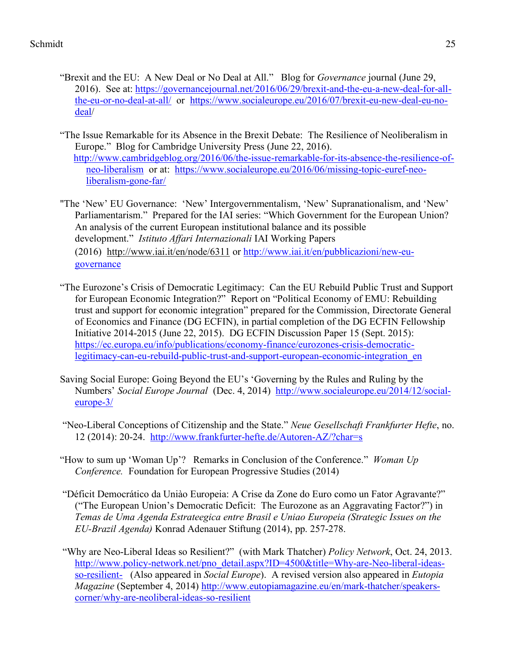- "Brexit and the EU: A New Deal or No Deal at All." Blog for *Governance* journal (June 29, 2016). See at: https://governancejournal.net/2016/06/29/brexit-and-the-eu-a-new-deal-for-allthe-eu-or-no-deal-at-all/ or https://www.socialeurope.eu/2016/07/brexit-eu-new-deal-eu-nodeal/
- "The Issue Remarkable for its Absence in the Brexit Debate: The Resilience of Neoliberalism in Europe." Blog for Cambridge University Press (June 22, 2016). http://www.cambridgeblog.org/2016/06/the-issue-remarkable-for-its-absence-the-resilience-ofneo-liberalism or at: https://www.socialeurope.eu/2016/06/missing-topic-euref-neoliberalism-gone-far/
- "The 'New' EU Governance: 'New' Intergovernmentalism, 'New' Supranationalism, and 'New' Parliamentarism." Prepared for the IAI series: "Which Government for the European Union? An analysis of the current European institutional balance and its possible development." *Istituto Affari Internazionali* IAI Working Papers (2016) http://www.iai.it/en/node/6311 or http://www.iai.it/en/pubblicazioni/new-eugovernance
- "The Eurozone's Crisis of Democratic Legitimacy: Can the EU Rebuild Public Trust and Support for European Economic Integration?" Report on "Political Economy of EMU: Rebuilding trust and support for economic integration" prepared for the Commission, Directorate General of Economics and Finance (DG ECFIN), in partial completion of the DG ECFIN Fellowship Initiative 2014-2015 (June 22, 2015). DG ECFIN Discussion Paper 15 (Sept. 2015): https://ec.europa.eu/info/publications/economy-finance/eurozones-crisis-democraticlegitimacy-can-eu-rebuild-public-trust-and-support-european-economic-integration\_en
- Saving Social Europe: Going Beyond the EU's 'Governing by the Rules and Ruling by the Numbers' *Social Europe Journal* (Dec. 4, 2014) http://www.socialeurope.eu/2014/12/socialeurope-3/
- "Neo-Liberal Conceptions of Citizenship and the State." *Neue Gesellschaft Frankfurter Hefte*, no. 12 (2014): 20-24. http://www.frankfurter-hefte.de/Autoren-AZ/?char=s
- "How to sum up 'Woman Up'? Remarks in Conclusion of the Conference." *Woman Up Conference.* Foundation for European Progressive Studies (2014)
- "Déficit Democrático da Uniào Europeia: A Crise da Zone do Euro como un Fator Agravante?" ("The European Union's Democratic Deficit: The Eurozone as an Aggravating Factor?") in *Temas de Uma Agenda Estrateegica entre Brasil e Uniao Europeia (Strategic Issues on the EU-Brazil Agenda)* Konrad Adenauer Stiftung (2014), pp. 257-278.
- "Why are Neo-Liberal Ideas so Resilient?" (with Mark Thatcher) *Policy Network*, Oct. 24, 2013. http://www.policy-network.net/pno\_detail.aspx?ID=4500&title=Why-are-Neo-liberal-ideasso-resilient- (Also appeared in *Social Europe*). A revised version also appeared in *Eutopia Magazine* (September 4, 2014) http://www.eutopiamagazine.eu/en/mark-thatcher/speakerscorner/why-are-neoliberal-ideas-so-resilient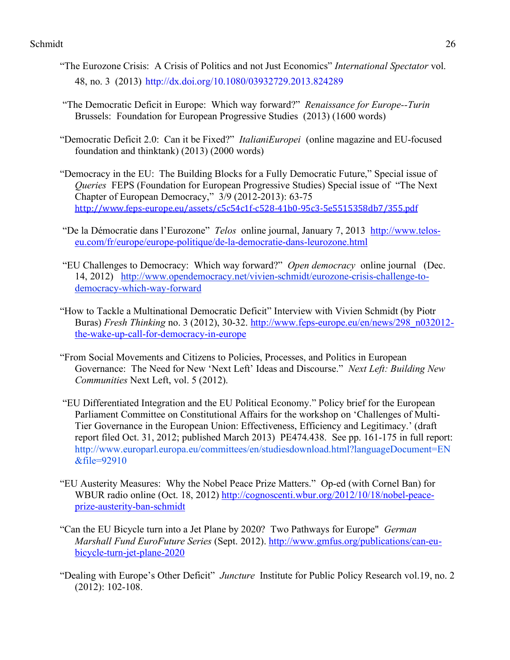- "The Eurozone Crisis: A Crisis of Politics and not Just Economics" *International Spectator* vol. 48, no. 3 (2013) http://dx.doi.org/10.1080/03932729.2013.824289
- "The Democratic Deficit in Europe: Which way forward?" *Renaissance for Europe--Turin* Brussels: Foundation for European Progressive Studies (2013) (1600 words)
- "Democratic Deficit 2.0: Can it be Fixed?" *ItalianiEuropei* (online magazine and EU-focused foundation and thinktank) (2013) (2000 words)
- "Democracy in the EU: The Building Blocks for a Fully Democratic Future," Special issue of *Queries* FEPS (Foundation for European Progressive Studies) Special issue of "The Next Chapter of European Democracy," 3/9 (2012-2013): 63-75 http://www.feps-europe.eu/assets/c5c54c1f-c528-41b0-95c3-5e5515358db7/355.pdf
- "De la Démocratie dans l'Eurozone" *Telos* online journal, January 7, 2013 http://www.teloseu.com/fr/europe/europe-politique/de-la-democratie-dans-leurozone.html
- "EU Challenges to Democracy: Which way forward?" *Open democracy* online journal (Dec. 14, 2012) http://www.opendemocracy.net/vivien-schmidt/eurozone-crisis-challenge-todemocracy-which-way-forward
- "How to Tackle a Multinational Democratic Deficit" Interview with Vivien Schmidt (by Piotr Buras) *Fresh Thinking* no. 3 (2012), 30-32. http://www.feps-europe.eu/en/news/298\_n032012 the-wake-up-call-for-democracy-in-europe
- "From Social Movements and Citizens to Policies, Processes, and Politics in European Governance: The Need for New 'Next Left' Ideas and Discourse." *Next Left: Building New Communities* Next Left, vol. 5 (2012).
- "EU Differentiated Integration and the EU Political Economy." Policy brief for the European Parliament Committee on Constitutional Affairs for the workshop on 'Challenges of Multi-Tier Governance in the European Union: Effectiveness, Efficiency and Legitimacy.' (draft report filed Oct. 31, 2012; published March 2013) PE474.438. See pp. 161-175 in full report: http://www.europarl.europa.eu/committees/en/studiesdownload.html?languageDocument=EN &file=92910
- "EU Austerity Measures: Why the Nobel Peace Prize Matters." Op-ed (with Cornel Ban) for WBUR radio online (Oct. 18, 2012) http://cognoscenti.wbur.org/2012/10/18/nobel-peaceprize-austerity-ban-schmidt
- "Can the EU Bicycle turn into a Jet Plane by 2020? Two Pathways for Europe" *German Marshall Fund EuroFuture Series* (Sept. 2012). http://www.gmfus.org/publications/can-eubicycle-turn-jet-plane-2020
- "Dealing with Europe's Other Deficit" *Juncture* Institute for Public Policy Research vol.19, no. 2 (2012): 102-108.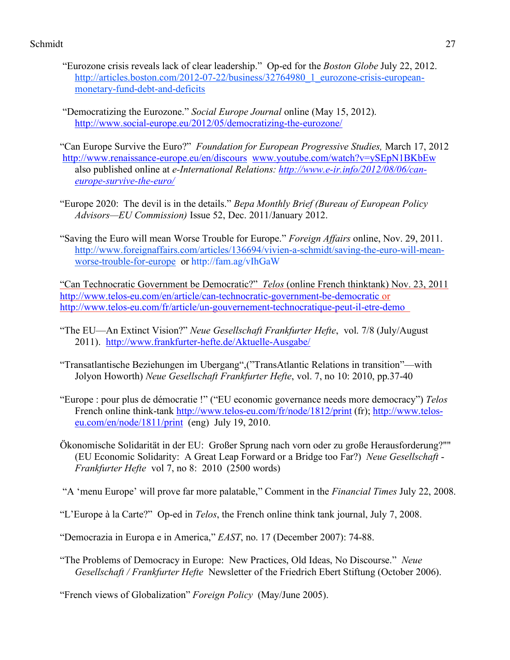- "Eurozone crisis reveals lack of clear leadership." Op-ed for the *Boston Globe* July 22, 2012. http://articles.boston.com/2012-07-22/business/32764980\_1\_eurozone-crisis-europeanmonetary-fund-debt-and-deficits
- "Democratizing the Eurozone." *Social Europe Journal* online (May 15, 2012). http://www.social-europe.eu/2012/05/democratizing-the-eurozone/
- "Can Europe Survive the Euro?" *Foundation for European Progressive Studies,* March 17, 2012 http://www.renaissance-europe.eu/en/discours www.youtube.com/watch?v=ySEpN1BKbEw also published online at *e-International Relations: http://www.e-ir.info/2012/08/06/caneurope-survive-the-euro/*
- "Europe 2020: The devil is in the details." *Bepa Monthly Brief (Bureau of European Policy Advisors—EU Commission)* Issue 52, Dec. 2011/January 2012.
- "Saving the Euro will mean Worse Trouble for Europe." *Foreign Affairs* online, Nov. 29, 2011. http://www.foreignaffairs.com/articles/136694/vivien-a-schmidt/saving-the-euro-will-meanworse-trouble-for-europe or http://fam.ag/vIhGaW

"Can Technocratic Government be Democratic?" *Telos* (online French thinktank) Nov. 23, 2011 http://www.telos-eu.com/en/article/can-technocratic-government-be-democratic or http://www.telos-eu.com/fr/article/un-gouvernement-technocratique-peut-il-etre-demo

- "The EU—An Extinct Vision?" *Neue Gesellschaft Frankfurter Hefte*, vol. 7/8 (July/August 2011). http://www.frankfurter-hefte.de/Aktuelle-Ausgabe/
- "Transatlantische Beziehungen im Ubergang",("TransAtlantic Relations in transition"—with Jolyon Howorth) *Neue Gesellschaft Frankfurter Hefte*, vol. 7, no 10: 2010, pp.37-40
- "Europe : pour plus de démocratie !" ("EU economic governance needs more democracy") *Telos* French online think-tank http://www.telos-eu.com/fr/node/1812/print (fr); http://www.teloseu.com/en/node/1811/print (eng) July 19, 2010.
- Ökonomische Solidarität in der EU: Großer Sprung nach vorn oder zu große Herausforderung?"" (EU Economic Solidarity: A Great Leap Forward or a Bridge too Far?) *Neue Gesellschaft* - *Frankfurter Hefte* vol 7, no 8: 2010 (2500 words)

"A 'menu Europe' will prove far more palatable," Comment in the *Financial Times* July 22, 2008.

"L'Europe à la Carte?" Op-ed in *Telos*, the French online think tank journal, July 7, 2008.

"Democrazia in Europa e in America," *EAST*, no. 17 (December 2007): 74-88.

"The Problems of Democracy in Europe: New Practices, Old Ideas, No Discourse." *Neue Gesellschaft / Frankfurter Hefte* Newsletter of the Friedrich Ebert Stiftung (October 2006).

"French views of Globalization" *Foreign Policy* (May/June 2005).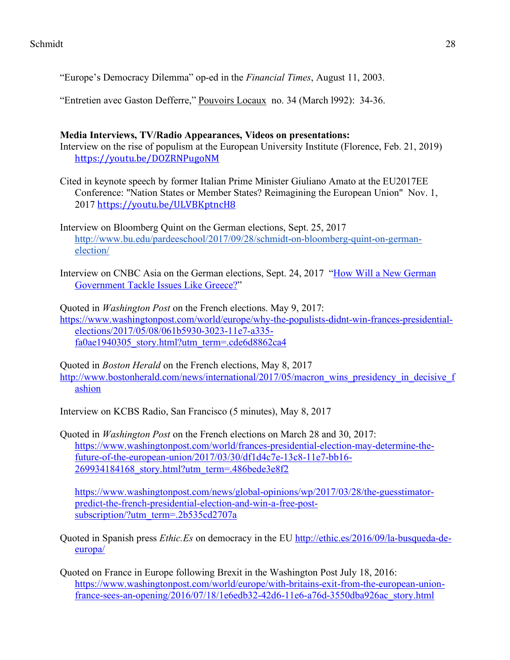"Europe's Democracy Dilemma" op-ed in the *Financial Times*, August 11, 2003.

"Entretien avec Gaston Defferre," Pouvoirs Locaux no. 34 (March 1992): 34-36.

# **Media Interviews, TV/Radio Appearances, Videos on presentations:**

Interview on the rise of populism at the European University Institute (Florence, Feb. 21, 2019) https://youtu.be/DOZRNPugoNM

Cited in keynote speech by former Italian Prime Minister Giuliano Amato at the EU2017EE Conference: "Nation States or Member States? Reimagining the European Union" Nov. 1, 2017 https://youtu.be/ULVBKptncH8

Interview on Bloomberg Quint on the German elections, Sept. 25, 2017 http://www.bu.edu/pardeeschool/2017/09/28/schmidt-on-bloomberg-quint-on-germanelection/

Interview on CNBC Asia on the German elections, Sept. 24, 2017 "How Will a New German Government Tackle Issues Like Greece?"

Quoted in *Washington Post* on the French elections. May 9, 2017: https://www.washingtonpost.com/world/europe/why-the-populists-didnt-win-frances-presidentialelections/2017/05/08/061b5930-3023-11e7-a335 fa0ae1940305\_story.html?utm\_term=.cde6d8862ca4

Quoted in *Boston Herald* on the French elections, May 8, 2017 http://www.bostonherald.com/news/international/2017/05/macron\_wins\_presidency\_in\_decisive\_f ashion

Interview on KCBS Radio, San Francisco (5 minutes), May 8, 2017

Quoted in *Washington Post* on the French elections on March 28 and 30, 2017: https://www.washingtonpost.com/world/frances-presidential-election-may-determine-thefuture-of-the-european-union/2017/03/30/df1d4c7e-13c8-11e7-bb16- 269934184168\_story.html?utm\_term=.486bede3e8f2

https://www.washingtonpost.com/news/global-opinions/wp/2017/03/28/the-guesstimatorpredict-the-french-presidential-election-and-win-a-free-postsubscription/?utm\_term=.2b535cd2707a

Quoted in Spanish press *Ethic.Es* on democracy in the EU http://ethic.es/2016/09/la-busqueda-deeuropa/

Quoted on France in Europe following Brexit in the Washington Post July 18, 2016: https://www.washingtonpost.com/world/europe/with-britains-exit-from-the-european-unionfrance-sees-an-opening/2016/07/18/1e6edb32-42d6-11e6-a76d-3550dba926ac\_story.html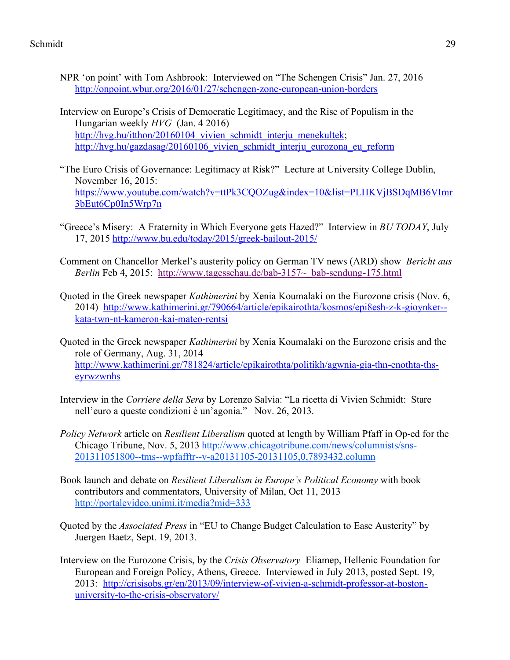- NPR 'on point' with Tom Ashbrook: Interviewed on "The Schengen Crisis" Jan. 27, 2016 http://onpoint.wbur.org/2016/01/27/schengen-zone-european-union-borders
- Interview on Europe's Crisis of Democratic Legitimacy, and the Rise of Populism in the Hungarian weekly *HVG* (Jan. 4 2016) http://hvg.hu/itthon/20160104 vivien schmidt interju menekultek; http://hvg.hu/gazdasag/20160106\_vivien\_schmidt\_interju\_eurozona\_eu\_reform
- "The Euro Crisis of Governance: Legitimacy at Risk?" Lecture at University College Dublin, November 16, 2015: https://www.youtube.com/watch?v=ttPk3CQOZug&index=10&list=PLHKVjBSDqMB6VImr 3bEut6Cp0In5Wrp7n
- "Greece's Misery: A Fraternity in Which Everyone gets Hazed?" Interview in *BU TODAY*, July 17, 2015 http://www.bu.edu/today/2015/greek-bailout-2015/
- Comment on Chancellor Merkel's austerity policy on German TV news (ARD) show *Bericht aus Berlin* Feb 4, 2015: http://www.tagesschau.de/bab-3157~ bab-sendung-175.html
- Quoted in the Greek newspaper *Kathimerini* by Xenia Koumalaki on the Eurozone crisis (Nov. 6, 2014) http://www.kathimerini.gr/790664/article/epikairothta/kosmos/epi8esh-z-k-gioynker- kata-twn-nt-kameron-kai-mateo-rentsi
- Quoted in the Greek newspaper *Kathimerini* by Xenia Koumalaki on the Eurozone crisis and the role of Germany, Aug. 31, 2014 http://www.kathimerini.gr/781824/article/epikairothta/politikh/agwnia-gia-thn-enothta-thseyrwzwnhs
- Interview in the *Corriere della Sera* by Lorenzo Salvia: "La ricetta di Vivien Schmidt: Stare nell'euro a queste condizioni è un'agonia." Nov. 26, 2013.
- *Policy Network* article on *Resilient Liberalism* quoted at length by William Pfaff in Op-ed for the Chicago Tribune, Nov. 5, 2013 http://www.chicagotribune.com/news/columnists/sns-201311051800--tms--wpfafftr--v-a20131105-20131105,0,7893432.column
- Book launch and debate on *Resilient Liberalism in Europe's Political Economy* with book contributors and commentators, University of Milan, Oct 11, 2013 http://portalevideo.unimi.it/media?mid=333
- Quoted by the *Associated Press* in "EU to Change Budget Calculation to Ease Austerity" by Juergen Baetz, Sept. 19, 2013.
- Interview on the Eurozone Crisis, by the *Crisis Observatory* Eliamep, Hellenic Foundation for European and Foreign Policy, Athens, Greece. Interviewed in July 2013, posted Sept. 19, 2013: http://crisisobs.gr/en/2013/09/interview-of-vivien-a-schmidt-professor-at-bostonuniversity-to-the-crisis-observatory/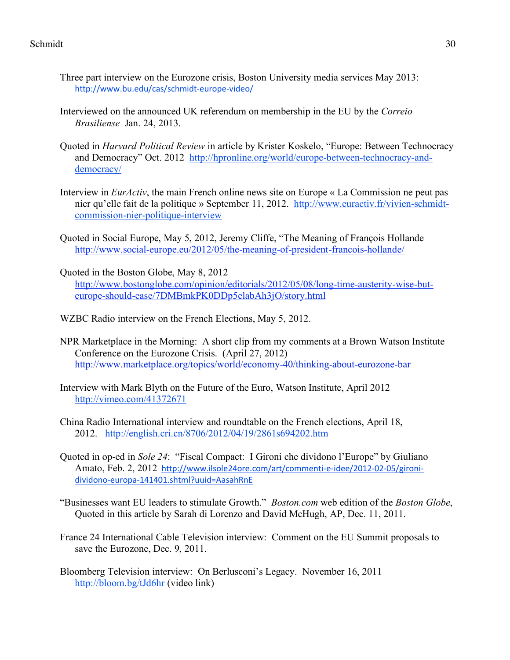- Three part interview on the Eurozone crisis, Boston University media services May 2013: http://www.bu.edu/cas/schmidt-europe-video/
- Interviewed on the announced UK referendum on membership in the EU by the *Correio Brasiliense* Jan. 24, 2013.
- Quoted in *Harvard Political Review* in article by Krister Koskelo, "Europe: Between Technocracy and Democracy" Oct. 2012 http://hpronline.org/world/europe-between-technocracy-anddemocracy/
- Interview in *EurActiv*, the main French online news site on Europe « La Commission ne peut pas nier qu'elle fait de la politique » September 11, 2012. http://www.euractiv.fr/vivien-schmidtcommission-nier-politique-interview
- Quoted in Social Europe, May 5, 2012, Jeremy Cliffe, "The Meaning of François Hollande http://www.social-europe.eu/2012/05/the-meaning-of-president-francois-hollande/
- Quoted in the Boston Globe, May 8, 2012 http://www.bostonglobe.com/opinion/editorials/2012/05/08/long-time-austerity-wise-buteurope-should-ease/7DMBmkPK0DDp5elabAh3jO/story.html
- WZBC Radio interview on the French Elections, May 5, 2012.
- NPR Marketplace in the Morning: A short clip from my comments at a Brown Watson Institute Conference on the Eurozone Crisis. (April 27, 2012) http://www.marketplace.org/topics/world/economy-40/thinking-about-eurozone-bar
- Interview with Mark Blyth on the Future of the Euro, Watson Institute, April 2012 http://vimeo.com/41372671
- China Radio International interview and roundtable on the French elections, April 18, 2012. http://english.cri.cn/8706/2012/04/19/2861s694202.htm
- Quoted in op-ed in *Sole 24*: "Fiscal Compact: I Gironi che dividono l'Europe" by Giuliano Amato, Feb. 2, 2012 http://www.ilsole24ore.com/art/commenti-e-idee/2012-02-05/gironidividono-europa-141401.shtml?uuid=AasahRnE
- "Businesses want EU leaders to stimulate Growth." *Boston.com* web edition of the *Boston Globe*, Quoted in this article by Sarah di Lorenzo and David McHugh, AP, Dec. 11, 2011.
- France 24 International Cable Television interview: Comment on the EU Summit proposals to save the Eurozone, Dec. 9, 2011.
- Bloomberg Television interview: On Berlusconi's Legacy. November 16, 2011 http://bloom.bg/tJd6hr (video link)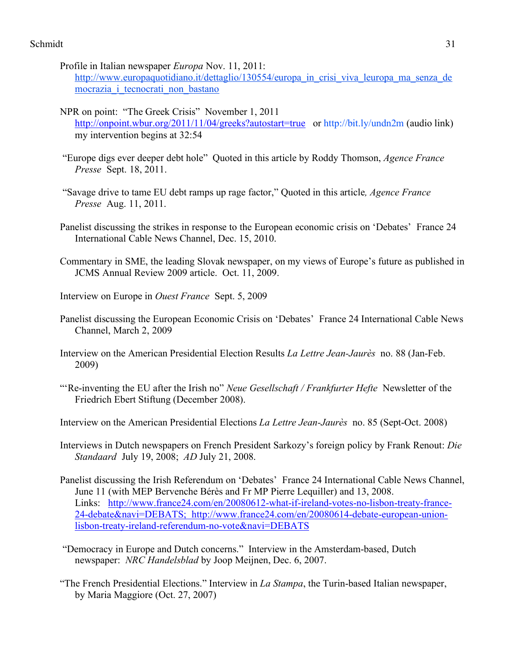- Profile in Italian newspaper *Europa* Nov. 11, 2011: http://www.europaquotidiano.it/dettaglio/130554/europa in crisi viva leuropa ma senza de mocrazia i tecnocrati non bastano
- NPR on point: "The Greek Crisis" November 1, 2011 http://onpoint.wbur.org/2011/11/04/greeks?autostart=true or http://bit.ly/undn2m (audio link) my intervention begins at 32:54
- "Europe digs ever deeper debt hole" Quoted in this article by Roddy Thomson, *Agence France Presse* Sept. 18, 2011.
- "Savage drive to tame EU debt ramps up rage factor," Quoted in this article*, Agence France Presse* Aug. 11, 2011.
- Panelist discussing the strikes in response to the European economic crisis on 'Debates' France 24 International Cable News Channel, Dec. 15, 2010.
- Commentary in SME, the leading Slovak newspaper, on my views of Europe's future as published in JCMS Annual Review 2009 article. Oct. 11, 2009.
- Interview on Europe in *Ouest France* Sept. 5, 2009
- Panelist discussing the European Economic Crisis on 'Debates' France 24 International Cable News Channel, March 2, 2009
- Interview on the American Presidential Election Results *La Lettre Jean-Jaurès* no. 88 (Jan-Feb. 2009)
- "'Re-inventing the EU after the Irish no" *Neue Gesellschaft / Frankfurter Hefte* Newsletter of the Friedrich Ebert Stiftung (December 2008).
- Interview on the American Presidential Elections *La Lettre Jean-Jaurès* no. 85 (Sept-Oct. 2008)
- Interviews in Dutch newspapers on French President Sarkozy's foreign policy by Frank Renout: *Die Standaard* July 19, 2008; *AD* July 21, 2008.
- Panelist discussing the Irish Referendum on 'Debates' France 24 International Cable News Channel, June 11 (with MEP Bervenche Bérès and Fr MP Pierre Lequiller) and 13, 2008. Links: http://www.france24.com/en/20080612-what-if-ireland-votes-no-lisbon-treaty-france-24-debate&navi=DEBATS; http://www.france24.com/en/20080614-debate-european-unionlisbon-treaty-ireland-referendum-no-vote&navi=DEBATS
- "Democracy in Europe and Dutch concerns." Interview in the Amsterdam-based, Dutch newspaper: *NRC Handelsblad* by Joop Meijnen, Dec. 6, 2007.
- "The French Presidential Elections." Interview in *La Stampa*, the Turin-based Italian newspaper, by Maria Maggiore (Oct. 27, 2007)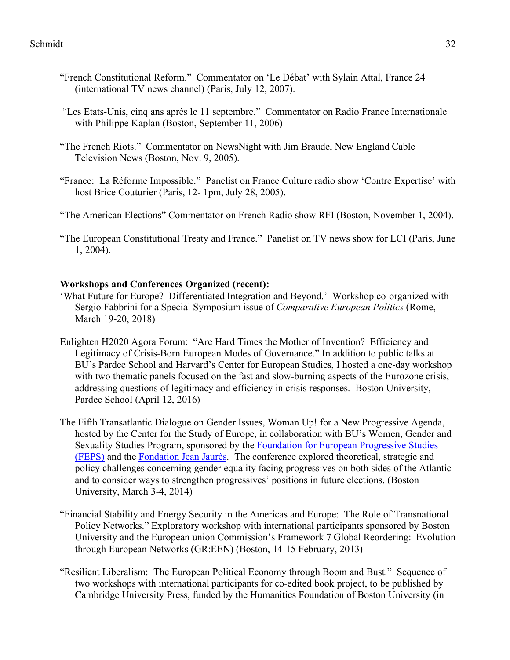- "French Constitutional Reform." Commentator on 'Le Débat' with Sylain Attal, France 24 (international TV news channel) (Paris, July 12, 2007).
- "Les Etats-Unis, cinq ans après le 11 septembre." Commentator on Radio France Internationale with Philippe Kaplan (Boston, September 11, 2006)
- "The French Riots." Commentator on NewsNight with Jim Braude, New England Cable Television News (Boston, Nov. 9, 2005).
- "France: La Réforme Impossible." Panelist on France Culture radio show 'Contre Expertise' with host Brice Couturier (Paris, 12- 1pm, July 28, 2005).
- "The American Elections" Commentator on French Radio show RFI (Boston, November 1, 2004).
- "The European Constitutional Treaty and France." Panelist on TV news show for LCI (Paris, June 1, 2004).

# **Workshops and Conferences Organized (recent):**

- 'What Future for Europe? Differentiated Integration and Beyond.' Workshop co-organized with Sergio Fabbrini for a Special Symposium issue of *Comparative European Politics* (Rome, March 19-20, 2018)
- Enlighten H2020 Agora Forum: "Are Hard Times the Mother of Invention? Efficiency and Legitimacy of Crisis-Born European Modes of Governance." In addition to public talks at BU's Pardee School and Harvard's Center for European Studies, I hosted a one-day workshop with two thematic panels focused on the fast and slow-burning aspects of the Eurozone crisis, addressing questions of legitimacy and efficiency in crisis responses. Boston University, Pardee School (April 12, 2016)
- The Fifth Transatlantic Dialogue on Gender Issues, Woman Up! for a New Progressive Agenda, hosted by the Center for the Study of Europe, in collaboration with BU's Women, Gender and Sexuality Studies Program, sponsored by the Foundation for European Progressive Studies (FEPS) and the Fondation Jean Jaurès. The conference explored theoretical, strategic and policy challenges concerning gender equality facing progressives on both sides of the Atlantic and to consider ways to strengthen progressives' positions in future elections. (Boston University, March 3-4, 2014)
- "Financial Stability and Energy Security in the Americas and Europe: The Role of Transnational Policy Networks." Exploratory workshop with international participants sponsored by Boston University and the European union Commission's Framework 7 Global Reordering: Evolution through European Networks (GR:EEN) (Boston, 14-15 February, 2013)
- "Resilient Liberalism: The European Political Economy through Boom and Bust." Sequence of two workshops with international participants for co-edited book project, to be published by Cambridge University Press, funded by the Humanities Foundation of Boston University (in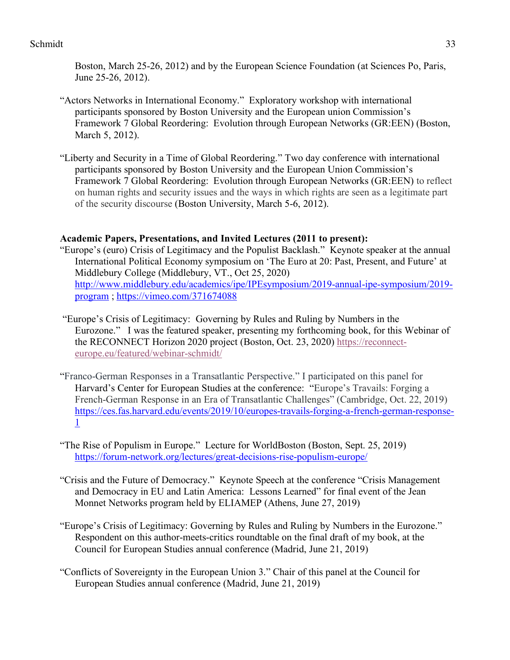Boston, March 25-26, 2012) and by the European Science Foundation (at Sciences Po, Paris, June 25-26, 2012).

- "Actors Networks in International Economy." Exploratory workshop with international participants sponsored by Boston University and the European union Commission's Framework 7 Global Reordering: Evolution through European Networks (GR:EEN) (Boston, March 5, 2012).
- "Liberty and Security in a Time of Global Reordering." Two day conference with international participants sponsored by Boston University and the European Union Commission's Framework 7 Global Reordering: Evolution through European Networks (GR:EEN) to reflect on human rights and security issues and the ways in which rights are seen as a legitimate part of the security discourse (Boston University, March 5-6, 2012).

# **Academic Papers, Presentations, and Invited Lectures (2011 to present):**

- "Europe's (euro) Crisis of Legitimacy and the Populist Backlash." Keynote speaker at the annual International Political Economy symposium on 'The Euro at 20: Past, Present, and Future' at Middlebury College (Middlebury, VT., Oct 25, 2020) http://www.middlebury.edu/academics/ipe/IPEsymposium/2019-annual-ipe-symposium/2019 program ; https://vimeo.com/371674088
- "Europe's Crisis of Legitimacy: Governing by Rules and Ruling by Numbers in the Eurozone." I was the featured speaker, presenting my forthcoming book, for this Webinar of the RECONNECT Horizon 2020 project (Boston, Oct. 23, 2020) https://reconnecteurope.eu/featured/webinar-schmidt/
- "Franco-German Responses in a Transatlantic Perspective." I participated on this panel for Harvard's Center for European Studies at the conference: "Europe's Travails: Forging a French-German Response in an Era of Transatlantic Challenges" (Cambridge, Oct. 22, 2019) https://ces.fas.harvard.edu/events/2019/10/europes-travails-forging-a-french-german-response-1
- "The Rise of Populism in Europe." Lecture for WorldBoston (Boston, Sept. 25, 2019) https://forum-network.org/lectures/great-decisions-rise-populism-europe/
- "Crisis and the Future of Democracy." Keynote Speech at the conference "Crisis Management and Democracy in EU and Latin America: Lessons Learned" for final event of the Jean Monnet Networks program held by ELIAMEP (Athens, June 27, 2019)
- "Europe's Crisis of Legitimacy: Governing by Rules and Ruling by Numbers in the Eurozone." Respondent on this author-meets-critics roundtable on the final draft of my book, at the Council for European Studies annual conference (Madrid, June 21, 2019)
- "Conflicts of Sovereignty in the European Union 3." Chair of this panel at the Council for European Studies annual conference (Madrid, June 21, 2019)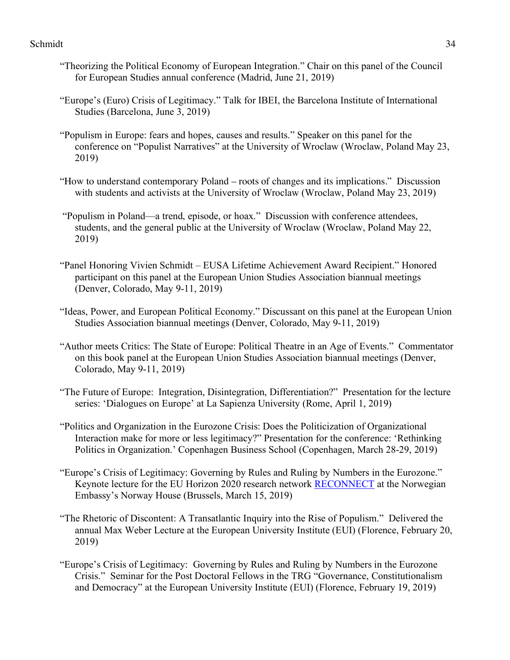- "Theorizing the Political Economy of European Integration." Chair on this panel of the Council for European Studies annual conference (Madrid, June 21, 2019)
- "Europe's (Euro) Crisis of Legitimacy." Talk for IBEI, the Barcelona Institute of International Studies (Barcelona, June 3, 2019)
- "Populism in Europe: fears and hopes, causes and results." Speaker on this panel for the conference on "Populist Narratives" at the University of Wroclaw (Wroclaw, Poland May 23, 2019)
- "How to understand contemporary Poland roots of changes and its implications." Discussion with students and activists at the University of Wroclaw (Wroclaw, Poland May 23, 2019)
- "Populism in Poland—a trend, episode, or hoax." Discussion with conference attendees, students, and the general public at the University of Wroclaw (Wroclaw, Poland May 22, 2019)
- "Panel Honoring Vivien Schmidt EUSA Lifetime Achievement Award Recipient." Honored participant on this panel at the European Union Studies Association biannual meetings (Denver, Colorado, May 9-11, 2019)
- "Ideas, Power, and European Political Economy." Discussant on this panel at the European Union Studies Association biannual meetings (Denver, Colorado, May 9-11, 2019)
- "Author meets Critics: The State of Europe: Political Theatre in an Age of Events." Commentator on this book panel at the European Union Studies Association biannual meetings (Denver, Colorado, May 9-11, 2019)
- "The Future of Europe: Integration, Disintegration, Differentiation?" Presentation for the lecture series: 'Dialogues on Europe' at La Sapienza University (Rome, April 1, 2019)
- "Politics and Organization in the Eurozone Crisis: Does the Politicization of Organizational Interaction make for more or less legitimacy?" Presentation for the conference: 'Rethinking Politics in Organization.' Copenhagen Business School (Copenhagen, March 28-29, 2019)
- "Europe's Crisis of Legitimacy: Governing by Rules and Ruling by Numbers in the Eurozone." Keynote lecture for the EU Horizon 2020 research network RECONNECT at the Norwegian Embassy's Norway House (Brussels, March 15, 2019)
- "The Rhetoric of Discontent: A Transatlantic Inquiry into the Rise of Populism." Delivered the annual Max Weber Lecture at the European University Institute (EUI) (Florence, February 20, 2019)
- "Europe's Crisis of Legitimacy: Governing by Rules and Ruling by Numbers in the Eurozone Crisis." Seminar for the Post Doctoral Fellows in the TRG "Governance, Constitutionalism and Democracy" at the European University Institute (EUI) (Florence, February 19, 2019)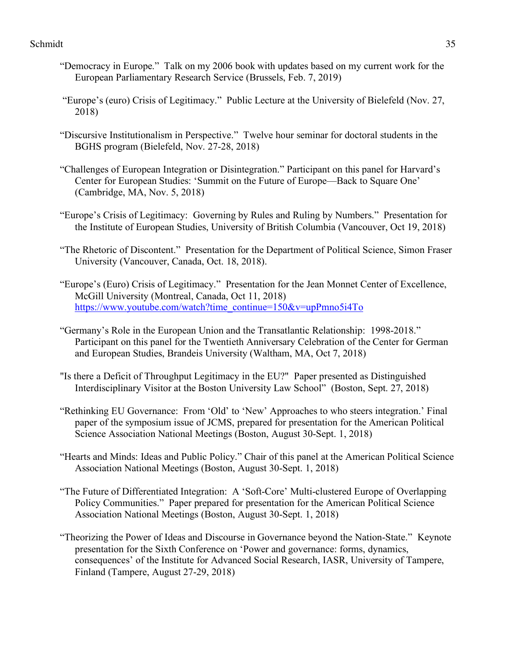- "Democracy in Europe." Talk on my 2006 book with updates based on my current work for the European Parliamentary Research Service (Brussels, Feb. 7, 2019)
- "Europe's (euro) Crisis of Legitimacy." Public Lecture at the University of Bielefeld (Nov. 27, 2018)
- "Discursive Institutionalism in Perspective." Twelve hour seminar for doctoral students in the BGHS program (Bielefeld, Nov. 27-28, 2018)
- "Challenges of European Integration or Disintegration." Participant on this panel for Harvard's Center for European Studies: 'Summit on the Future of Europe—Back to Square One' (Cambridge, MA, Nov. 5, 2018)
- "Europe's Crisis of Legitimacy: Governing by Rules and Ruling by Numbers." Presentation for the Institute of European Studies, University of British Columbia (Vancouver, Oct 19, 2018)
- "The Rhetoric of Discontent." Presentation for the Department of Political Science, Simon Fraser University (Vancouver, Canada, Oct. 18, 2018).
- "Europe's (Euro) Crisis of Legitimacy." Presentation for the Jean Monnet Center of Excellence, McGill University (Montreal, Canada, Oct 11, 2018) https://www.youtube.com/watch?time\_continue=150&v=upPmno5i4To
- "Germany's Role in the European Union and the Transatlantic Relationship: 1998-2018." Participant on this panel for the Twentieth Anniversary Celebration of the Center for German and European Studies, Brandeis University (Waltham, MA, Oct 7, 2018)
- "Is there a Deficit of Throughput Legitimacy in the EU?" Paper presented as Distinguished Interdisciplinary Visitor at the Boston University Law School" (Boston, Sept. 27, 2018)
- "Rethinking EU Governance: From 'Old' to 'New' Approaches to who steers integration.' Final paper of the symposium issue of JCMS, prepared for presentation for the American Political Science Association National Meetings (Boston, August 30-Sept. 1, 2018)
- "Hearts and Minds: Ideas and Public Policy." Chair of this panel at the American Political Science Association National Meetings (Boston, August 30-Sept. 1, 2018)
- "The Future of Differentiated Integration: A 'Soft-Core' Multi-clustered Europe of Overlapping Policy Communities." Paper prepared for presentation for the American Political Science Association National Meetings (Boston, August 30-Sept. 1, 2018)
- "Theorizing the Power of Ideas and Discourse in Governance beyond the Nation-State." Keynote presentation for the Sixth Conference on 'Power and governance: forms, dynamics, consequences' of the Institute for Advanced Social Research, IASR, University of Tampere, Finland (Tampere, August 27-29, 2018)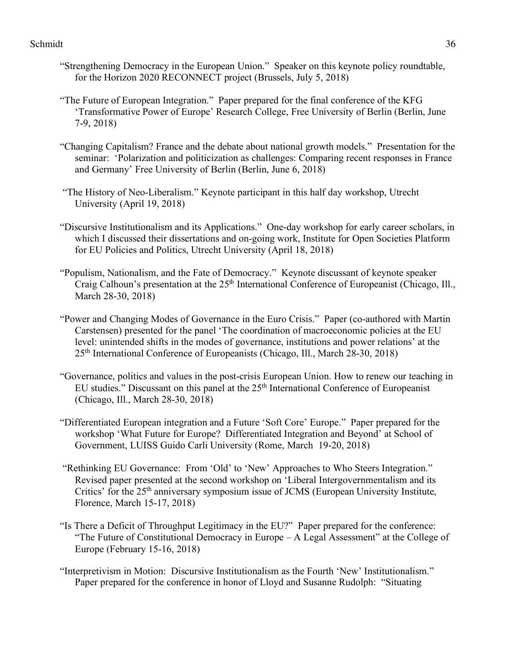- "Strengthening Democracy in the European Union." Speaker on this keynote policy roundtable, for the Horizon 2020 RECONNECT project (Brussels, July 5, 2018)
- "The Future of European Integration." Paper prepared for the final conference of the KFG 'Transformative Power of Europe' Research College, Free University of Berlin (Berlin, June 7-9, 2018)
- "Changing Capitalism? France and the debate about national growth models." Presentation for the seminar: 'Polarization and politicization as challenges: Comparing recent responses in France and Germany' Free University of Berlin (Berlin, June 6, 2018)
- "The History of Neo-Liberalism." Keynote participant in this half day workshop, Utrecht University (April 19, 2018)
- "Discursive Institutionalism and its Applications." One-day workshop for early career scholars, in which I discussed their dissertations and on-going work, Institute for Open Societies Platform for EU Policies and Politics, Utrecht University (April 18, 2018)
- "Populism, Nationalism, and the Fate of Democracy." Keynote discussant of keynote speaker Craig Calhoun's presentation at the 25<sup>th</sup> International Conference of Europeanist (Chicago, Ill., March 28-30, 2018)
- "Power and Changing Modes of Governance in the Euro Crisis." Paper (co-authored with Martin Carstensen) presented for the panel 'The coordination of macroeconomic policies at the EU level: unintended shifts in the modes of governance, institutions and power relations' at the 25th International Conference of Europeanists (Chicago, Ill., March 28-30, 2018)
- "Governance, politics and values in the post-crisis European Union. How to renew our teaching in EU studies." Discussant on this panel at the 25<sup>th</sup> International Conference of Europeanist (Chicago, Ill., March 28-30, 2018)
- "Differentiated European integration and a Future 'Soft Core' Europe." Paper prepared for the workshop 'What Future for Europe? Differentiated Integration and Beyond' at School of Government, LUISS Guido Carli University (Rome, March 19-20, 2018)
- "Rethinking EU Governance: From 'Old' to 'New' Approaches to Who Steers Integration." Revised paper presented at the second workshop on 'Liberal Intergovernmentalism and its Critics' for the 25<sup>th</sup> anniversary symposium issue of JCMS (European University Institute, Florence, March 15-17, 2018)
- "Is There a Deficit of Throughput Legitimacy in the EU?" Paper prepared for the conference: "The Future of Constitutional Democracy in Europe – A Legal Assessment" at the College of Europe (February 15-16, 2018)
- "Interpretivism in Motion: Discursive Institutionalism as the Fourth 'New' Institutionalism." Paper prepared for the conference in honor of Lloyd and Susanne Rudolph: "Situating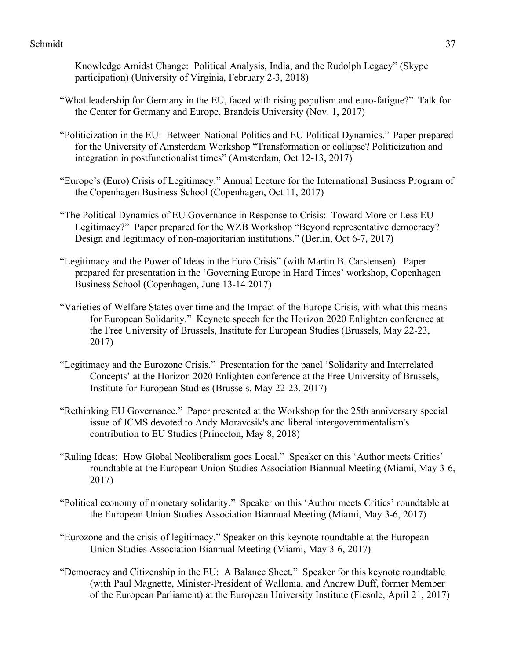Knowledge Amidst Change: Political Analysis, India, and the Rudolph Legacy" (Skype participation) (University of Virginia, February 2-3, 2018)

- "What leadership for Germany in the EU, faced with rising populism and euro-fatigue?" Talk for the Center for Germany and Europe, Brandeis University (Nov. 1, 2017)
- "Politicization in the EU: Between National Politics and EU Political Dynamics."Paper prepared for the University of Amsterdam Workshop "Transformation or collapse? Politicization and integration in postfunctionalist times" (Amsterdam, Oct 12-13, 2017)
- "Europe's (Euro) Crisis of Legitimacy." Annual Lecture for the International Business Program of the Copenhagen Business School (Copenhagen, Oct 11, 2017)
- "The Political Dynamics of EU Governance in Response to Crisis: Toward More or Less EU Legitimacy?" Paper prepared for the WZB Workshop "Beyond representative democracy? Design and legitimacy of non-majoritarian institutions." (Berlin, Oct 6-7, 2017)
- "Legitimacy and the Power of Ideas in the Euro Crisis" (with Martin B. Carstensen). Paper prepared for presentation in the 'Governing Europe in Hard Times' workshop, Copenhagen Business School (Copenhagen, June 13-14 2017)
- "Varieties of Welfare States over time and the Impact of the Europe Crisis, with what this means for European Solidarity." Keynote speech for the Horizon 2020 Enlighten conference at the Free University of Brussels, Institute for European Studies (Brussels, May 22-23, 2017)
- "Legitimacy and the Eurozone Crisis." Presentation for the panel 'Solidarity and Interrelated Concepts' at the Horizon 2020 Enlighten conference at the Free University of Brussels, Institute for European Studies (Brussels, May 22-23, 2017)
- "Rethinking EU Governance." Paper presented at the Workshop for the 25th anniversary special issue of JCMS devoted to Andy Moravcsik's and liberal intergovernmentalism's contribution to EU Studies (Princeton, May 8, 2018)
- "Ruling Ideas: How Global Neoliberalism goes Local." Speaker on this 'Author meets Critics' roundtable at the European Union Studies Association Biannual Meeting (Miami, May 3-6, 2017)
- "Political economy of monetary solidarity." Speaker on this 'Author meets Critics' roundtable at the European Union Studies Association Biannual Meeting (Miami, May 3-6, 2017)
- "Eurozone and the crisis of legitimacy." Speaker on this keynote roundtable at the European Union Studies Association Biannual Meeting (Miami, May 3-6, 2017)
- "Democracy and Citizenship in the EU: A Balance Sheet." Speaker for this keynote roundtable (with Paul Magnette, Minister-President of Wallonia, and Andrew Duff, former Member of the European Parliament) at the European University Institute (Fiesole, April 21, 2017)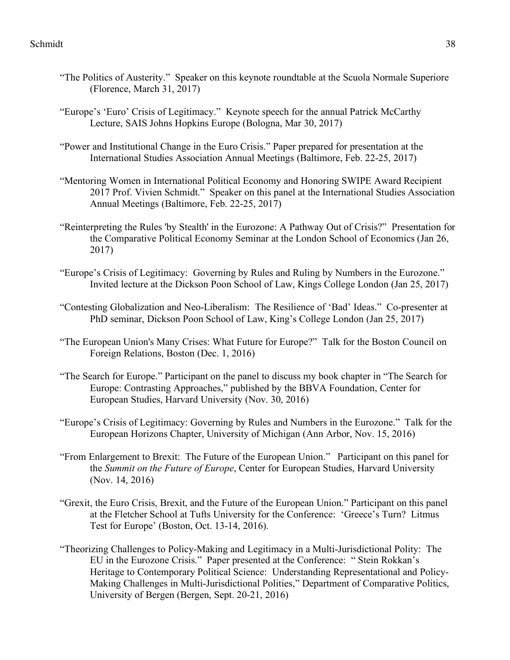- "The Politics of Austerity." Speaker on this keynote roundtable at the Scuola Normale Superiore (Florence, March 31, 2017)
- "Europe's 'Euro' Crisis of Legitimacy." Keynote speech for the annual Patrick McCarthy Lecture, SAIS Johns Hopkins Europe (Bologna, Mar 30, 2017)
- "Power and Institutional Change in the Euro Crisis." Paper prepared for presentation at the International Studies Association Annual Meetings (Baltimore, Feb. 22-25, 2017)
- "Mentoring Women in International Political Economy and Honoring SWIPE Award Recipient 2017 Prof. Vivien Schmidt." Speaker on this panel at the International Studies Association Annual Meetings (Baltimore, Feb. 22-25, 2017)
- "Reinterpreting the Rules 'by Stealth' in the Eurozone: A Pathway Out of Crisis?" Presentation for the Comparative Political Economy Seminar at the London School of Economics (Jan 26, 2017)
- "Europe's Crisis of Legitimacy: Governing by Rules and Ruling by Numbers in the Eurozone." Invited lecture at the Dickson Poon School of Law, Kings College London (Jan 25, 2017)
- "Contesting Globalization and Neo-Liberalism: The Resilience of 'Bad' Ideas." Co-presenter at PhD seminar, Dickson Poon School of Law, King's College London (Jan 25, 2017)
- "The European Union's Many Crises: What Future for Europe?" Talk for the Boston Council on Foreign Relations, Boston (Dec. 1, 2016)
- "The Search for Europe." Participant on the panel to discuss my book chapter in "The Search for Europe: Contrasting Approaches," published by the BBVA Foundation, Center for European Studies, Harvard University (Nov. 30, 2016)
- "Europe's Crisis of Legitimacy: Governing by Rules and Numbers in the Eurozone." Talk for the European Horizons Chapter, University of Michigan (Ann Arbor, Nov. 15, 2016)
- "From Enlargement to Brexit: The Future of the European Union." Participant on this panel for the *Summit on the Future of Europe*, Center for European Studies, Harvard University (Nov. 14, 2016)
- "Grexit, the Euro Crisis, Brexit, and the Future of the European Union." Participant on this panel at the Fletcher School at Tufts University for the Conference: 'Greece's Turn? Litmus Test for Europe' (Boston, Oct. 13-14, 2016).
- "Theorizing Challenges to Policy-Making and Legitimacy in a Multi-Jurisdictional Polity: The EU in the Eurozone Crisis." Paper presented at the Conference: " Stein Rokkan's Heritage to Contemporary Political Science: Understanding Representational and Policy-Making Challenges in Multi-Jurisdictional Polities," Department of Comparative Politics, University of Bergen (Bergen, Sept. 20-21, 2016)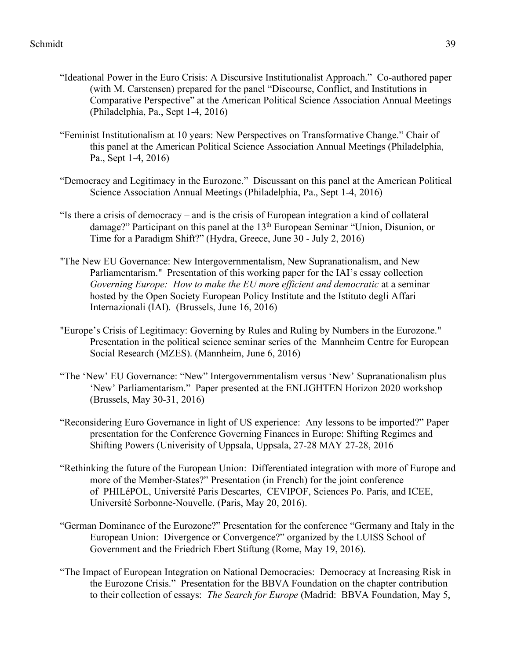- "Ideational Power in the Euro Crisis: A Discursive Institutionalist Approach." Co-authored paper (with M. Carstensen) prepared for the panel "Discourse, Conflict, and Institutions in Comparative Perspective" at the American Political Science Association Annual Meetings (Philadelphia, Pa., Sept 1-4, 2016)
- "Feminist Institutionalism at 10 years: New Perspectives on Transformative Change." Chair of this panel at the American Political Science Association Annual Meetings (Philadelphia, Pa., Sept 1-4, 2016)
- "Democracy and Legitimacy in the Eurozone." Discussant on this panel at the American Political Science Association Annual Meetings (Philadelphia, Pa., Sept 1-4, 2016)
- "Is there a crisis of democracy and is the crisis of European integration a kind of collateral damage?" Participant on this panel at the 13<sup>th</sup> European Seminar "Union, Disunion, or Time for a Paradigm Shift?" (Hydra, Greece, June 30 - July 2, 2016)
- "The New EU Governance: New Intergovernmentalism, New Supranationalism, and New Parliamentarism." Presentation of this working paper for the IAI's essay collection *Governing Europe: How to make the EU mor*e *efficient and democratic* at a seminar hosted by the Open Society European Policy Institute and the Istituto degli Affari Internazionali (IAI). (Brussels, June 16, 2016)
- "Europe's Crisis of Legitimacy: Governing by Rules and Ruling by Numbers in the Eurozone." Presentation in the political science seminar series of the Mannheim Centre for European Social Research (MZES). (Mannheim, June 6, 2016)
- "The 'New' EU Governance: "New" Intergovernmentalism versus 'New' Supranationalism plus 'New' Parliamentarism." Paper presented at the ENLIGHTEN Horizon 2020 workshop (Brussels, May 30-31, 2016)
- "Reconsidering Euro Governance in light of US experience: Any lessons to be imported?" Paper presentation for the Conference Governing Finances in Europe: Shifting Regimes and Shifting Powers (Univerisity of Uppsala, Uppsala, 27-28 MAY 27-28, 2016
- "Rethinking the future of the European Union: Differentiated integration with more of Europe and more of the Member-States?" Presentation (in French) for the joint conference of PHILéPOL, Université Paris Descartes, CEVIPOF, Sciences Po. Paris, and ICEE, Université Sorbonne-Nouvelle. (Paris, May 20, 2016).
- "German Dominance of the Eurozone?" Presentation for the conference "Germany and Italy in the European Union: Divergence or Convergence?" organized by the LUISS School of Government and the Friedrich Ebert Stiftung (Rome, May 19, 2016).
- "The Impact of European Integration on National Democracies: Democracy at Increasing Risk in the Eurozone Crisis." Presentation for the BBVA Foundation on the chapter contribution to their collection of essays: *The Search for Europe* (Madrid: BBVA Foundation, May 5,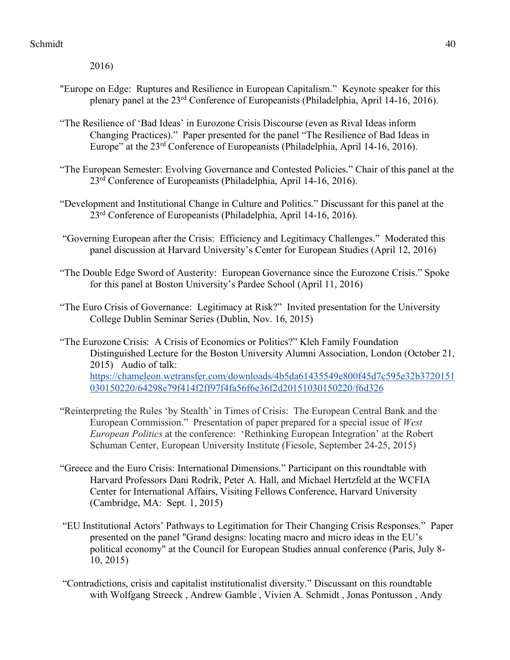2016)

- "Europe on Edge: Ruptures and Resilience in European Capitalism." Keynote speaker for this plenary panel at the 23rd Conference of Europeanists (Philadelphia, April 14-16, 2016).
- "The Resilience of 'Bad Ideas' in Eurozone Crisis Discourse (even as Rival Ideas inform Changing Practices)." Paper presented for the panel "The Resilience of Bad Ideas in Europe" at the 23rd Conference of Europeanists (Philadelphia, April 14-16, 2016).
- "The European Semester: Evolving Governance and Contested Policies." Chair of this panel at the 23rd Conference of Europeanists (Philadelphia, April 14-16, 2016).
- "Development and Institutional Change in Culture and Politics." Discussant for this panel at the 23rd Conference of Europeanists (Philadelphia, April 14-16, 2016).
- "Governing European after the Crisis: Efficiency and Legitimacy Challenges." Moderated this panel discussion at Harvard University's Center for European Studies (April 12, 2016)
- "The Double Edge Sword of Austerity: European Governance since the Eurozone Crisis." Spoke for this panel at Boston University's Pardee School (April 11, 2016)
- "The Euro Crisis of Governance: Legitimacy at Risk?" Invited presentation for the University College Dublin Seminar Series (Dublin, Nov. 16, 2015)
- "The Eurozone Crisis: A Crisis of Economics or Politics?" Kleh Family Foundation Distinguished Lecture for the Boston University Alumni Association, London (October 21, 2015) Audio of talk: https://chameleon.wetransfer.com/downloads/4b5da61435549e800f45d7c595e32b3720151 030150220/64298e79f414f2ff97f4fa56f6e36f2d20151030150220/f6d326
- "Reinterpreting the Rules 'by Stealth' in Times of Crisis: The European Central Bank and the European Commission." Presentation of paper prepared for a special issue of *West European Politics* at the conference: 'Rethinking European Integration' at the Robert Schuman Center, European University Institute (Fiesole, September 24-25, 2015)
- "Greece and the Euro Crisis: International Dimensions." Participant on this roundtable with Harvard Professors Dani Rodrik, Peter A. Hall, and Michael Hertzfeld at the WCFIA Center for International Affairs, Visiting Fellows Conference, Harvard University (Cambridge, MA: Sept. 1, 2015)
- "EU Institutional Actors' Pathways to Legitimation for Their Changing Crisis Responses." Paper presented on the panel "Grand designs: locating macro and micro ideas in the EU's political economy" at the Council for European Studies annual conference (Paris, July 8- 10, 2015)
- "Contradictions, crisis and capitalist institutionalist diversity." Discussant on this roundtable with Wolfgang Streeck , Andrew Gamble , Vivien A. Schmidt , Jonas Pontusson , Andy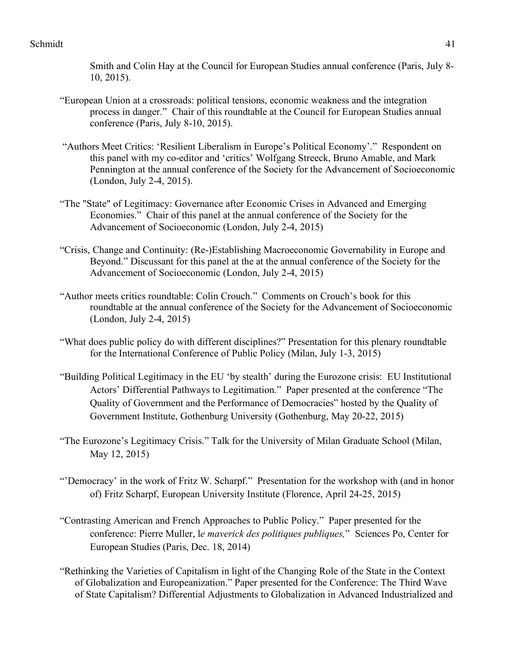Smith and Colin Hay at the Council for European Studies annual conference (Paris, July 8- 10, 2015).

- "European Union at a crossroads: political tensions, economic weakness and the integration process in danger." Chair of this roundtable at the Council for European Studies annual conference (Paris, July 8-10, 2015).
- "Authors Meet Critics: 'Resilient Liberalism in Europe's Political Economy'." Respondent on this panel with my co-editor and 'critics' Wolfgang Streeck, Bruno Amable, and Mark Pennington at the annual conference of the Society for the Advancement of Socioeconomic (London, July 2-4, 2015).
- "The "State" of Legitimacy: Governance after Economic Crises in Advanced and Emerging Economies." Chair of this panel at the annual conference of the Society for the Advancement of Socioeconomic (London, July 2-4, 2015)
- "Crisis, Change and Continuity: (Re-)Establishing Macroeconomic Governability in Europe and Beyond." Discussant for this panel at the at the annual conference of the Society for the Advancement of Socioeconomic (London, July 2-4, 2015)
- "Author meets critics roundtable: Colin Crouch." Comments on Crouch's book for this roundtable at the annual conference of the Society for the Advancement of Socioeconomic (London, July 2-4, 2015)
- "What does public policy do with different disciplines?" Presentation for this plenary roundtable for the International Conference of Public Policy (Milan, July 1-3, 2015)
- "Building Political Legitimacy in the EU 'by stealth' during the Eurozone crisis: EU Institutional Actors' Differential Pathways to Legitimation." Paper presented at the conference "The Quality of Government and the Performance of Democracies" hosted by the Quality of Government Institute, Gothenburg University (Gothenburg, May 20-22, 2015)
- "The Eurozone's Legitimacy Crisis." Talk for the University of Milan Graduate School (Milan, May 12, 2015)
- "'Democracy' in the work of Fritz W. Scharpf." Presentation for the workshop with (and in honor of) Fritz Scharpf, European University Institute (Florence, April 24-25, 2015)
- "Contrasting American and French Approaches to Public Policy." Paper presented for the conference: Pierre Muller, l*e maverick des politiques publiques,*" Sciences Po, Center for European Studies (Paris, Dec. 18, 2014)
- "Rethinking the Varieties of Capitalism in light of the Changing Role of the State in the Context of Globalization and Europeanization." Paper presented for the Conference: The Third Wave of State Capitalism? Differential Adjustments to Globalization in Advanced Industrialized and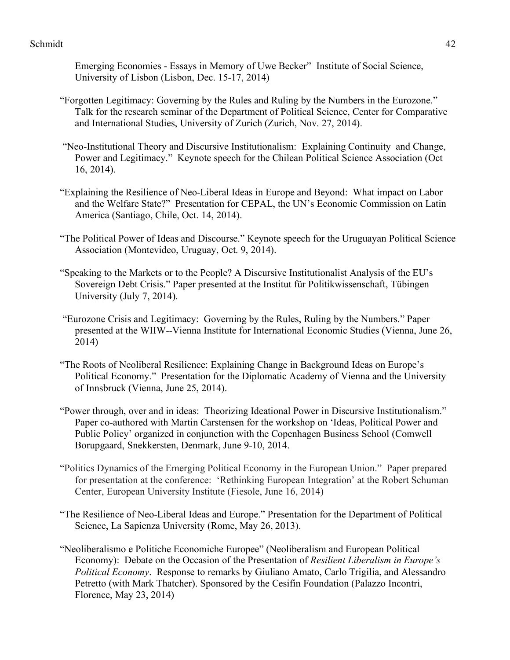Emerging Economies - Essays in Memory of Uwe Becker" Institute of Social Science, University of Lisbon (Lisbon, Dec. 15-17, 2014)

- "Forgotten Legitimacy: Governing by the Rules and Ruling by the Numbers in the Eurozone." Talk for the research seminar of the Department of Political Science, Center for Comparative and International Studies, University of Zurich (Zurich, Nov. 27, 2014).
- "Neo-Institutional Theory and Discursive Institutionalism: Explaining Continuity and Change, Power and Legitimacy." Keynote speech for the Chilean Political Science Association (Oct 16, 2014).
- "Explaining the Resilience of Neo-Liberal Ideas in Europe and Beyond: What impact on Labor and the Welfare State?" Presentation for CEPAL, the UN's Economic Commission on Latin America (Santiago, Chile, Oct. 14, 2014).
- "The Political Power of Ideas and Discourse." Keynote speech for the Uruguayan Political Science Association (Montevideo, Uruguay, Oct. 9, 2014).
- "Speaking to the Markets or to the People? A Discursive Institutionalist Analysis of the EU's Sovereign Debt Crisis." Paper presented at the Institut für Politikwissenschaft, Tübingen University (July 7, 2014).
- "Eurozone Crisis and Legitimacy: Governing by the Rules, Ruling by the Numbers." Paper presented at the WIIW--Vienna Institute for International Economic Studies (Vienna, June 26, 2014)
- "The Roots of Neoliberal Resilience: Explaining Change in Background Ideas on Europe's Political Economy." Presentation for the Diplomatic Academy of Vienna and the University of Innsbruck (Vienna, June 25, 2014).
- "Power through, over and in ideas: Theorizing Ideational Power in Discursive Institutionalism." Paper co-authored with Martin Carstensen for the workshop on 'Ideas, Political Power and Public Policy' organized in conjunction with the Copenhagen Business School (Comwell Borupgaard, Snekkersten, Denmark, June 9-10, 2014.
- "Politics Dynamics of the Emerging Political Economy in the European Union." Paper prepared for presentation at the conference: 'Rethinking European Integration' at the Robert Schuman Center, European University Institute (Fiesole, June 16, 2014)
- "The Resilience of Neo-Liberal Ideas and Europe." Presentation for the Department of Political Science, La Sapienza University (Rome, May 26, 2013).
- "Neoliberalismo e Politiche Economiche Europee" (Neoliberalism and European Political Economy): Debate on the Occasion of the Presentation of *Resilient Liberalism in Europe's Political Economy*. Response to remarks by Giuliano Amato, Carlo Trigilia, and Alessandro Petretto (with Mark Thatcher). Sponsored by the Cesifin Foundation (Palazzo Incontri, Florence, May 23, 2014)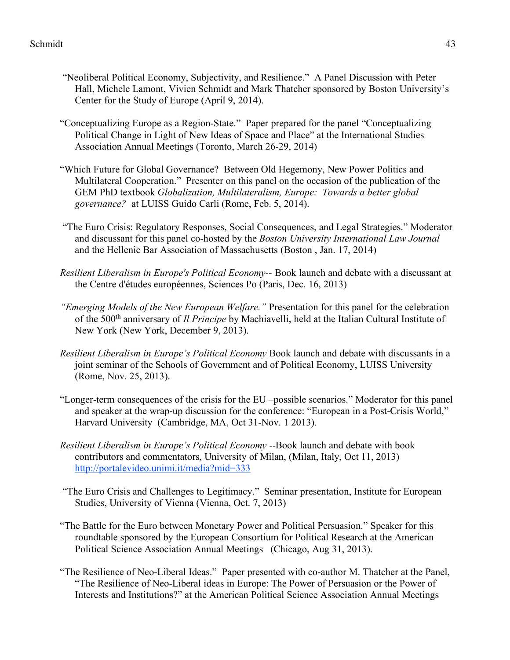- "Neoliberal Political Economy, Subjectivity, and Resilience." A Panel Discussion with Peter Hall, Michele Lamont, Vivien Schmidt and Mark Thatcher sponsored by Boston University's Center for the Study of Europe (April 9, 2014).
- "Conceptualizing Europe as a Region-State." Paper prepared for the panel "Conceptualizing Political Change in Light of New Ideas of Space and Place" at the International Studies Association Annual Meetings (Toronto, March 26-29, 2014)
- "Which Future for Global Governance? Between Old Hegemony, New Power Politics and Multilateral Cooperation." Presenter on this panel on the occasion of the publication of the GEM PhD textbook *Globalization, Multilateralism, Europe: Towards a better global governance?* at LUISS Guido Carli (Rome, Feb. 5, 2014).
- "The Euro Crisis: Regulatory Responses, Social Consequences, and Legal Strategies." Moderator and discussant for this panel co-hosted by the *Boston University International Law Journal*  and the Hellenic Bar Association of Massachusetts (Boston , Jan. 17, 2014)
- *Resilient Liberalism in Europe's Political Economy--* Book launch and debate with a discussant at the Centre d'études européennes, Sciences Po (Paris, Dec. 16, 2013)
- *"Emerging Models of the New European Welfare."* Presentation for this panel for the celebration of the 500th anniversary of *Il Principe* by Machiavelli, held at the Italian Cultural Institute of New York (New York, December 9, 2013).
- *Resilient Liberalism in Europe's Political Economy* Book launch and debate with discussants in a joint seminar of the Schools of Government and of Political Economy, LUISS University (Rome, Nov. 25, 2013).
- "Longer-term consequences of the crisis for the EU –possible scenarios." Moderator for this panel and speaker at the wrap-up discussion for the conference: "European in a Post-Crisis World," Harvard University (Cambridge, MA, Oct 31-Nov. 1 2013).
- *Resilient Liberalism in Europe's Political Economy* --Book launch and debate with book contributors and commentators, University of Milan, (Milan, Italy, Oct 11, 2013) http://portalevideo.unimi.it/media?mid=333
- "The Euro Crisis and Challenges to Legitimacy." Seminar presentation, Institute for European Studies, University of Vienna (Vienna, Oct. 7, 2013)
- "The Battle for the Euro between Monetary Power and Political Persuasion." Speaker for this roundtable sponsored by the European Consortium for Political Research at the American Political Science Association Annual Meetings (Chicago, Aug 31, 2013).
- "The Resilience of Neo-Liberal Ideas." Paper presented with co-author M. Thatcher at the Panel, "The Resilience of Neo-Liberal ideas in Europe: The Power of Persuasion or the Power of Interests and Institutions?" at the American Political Science Association Annual Meetings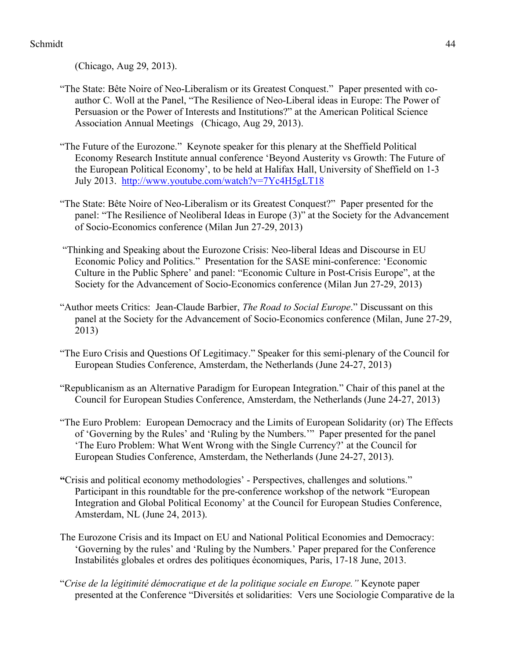(Chicago, Aug 29, 2013).

- "The State: Bête Noire of Neo-Liberalism or its Greatest Conquest." Paper presented with coauthor C. Woll at the Panel, "The Resilience of Neo-Liberal ideas in Europe: The Power of Persuasion or the Power of Interests and Institutions?" at the American Political Science Association Annual Meetings (Chicago, Aug 29, 2013).
- "The Future of the Eurozone." Keynote speaker for this plenary at the Sheffield Political Economy Research Institute annual conference 'Beyond Austerity vs Growth: The Future of the European Political Economy', to be held at Halifax Hall, University of Sheffield on 1-3 July 2013. http://www.youtube.com/watch?v=7Yc4H5gLT18
- "The State: Bête Noire of Neo-Liberalism or its Greatest Conquest?" Paper presented for the panel: "The Resilience of Neoliberal Ideas in Europe (3)" at the Society for the Advancement of Socio-Economics conference (Milan Jun 27-29, 2013)
- "Thinking and Speaking about the Eurozone Crisis: Neo-liberal Ideas and Discourse in EU Economic Policy and Politics." Presentation for the SASE mini-conference: 'Economic Culture in the Public Sphere' and panel: "Economic Culture in Post-Crisis Europe", at the Society for the Advancement of Socio-Economics conference (Milan Jun 27-29, 2013)
- "Author meets Critics: Jean-Claude Barbier, *The Road to Social Europe*." Discussant on this panel at the Society for the Advancement of Socio-Economics conference (Milan, June 27-29, 2013)
- "The Euro Crisis and Questions Of Legitimacy." Speaker for this semi-plenary of the Council for European Studies Conference, Amsterdam, the Netherlands (June 24-27, 2013)
- "Republicanism as an Alternative Paradigm for European Integration." Chair of this panel at the Council for European Studies Conference, Amsterdam, the Netherlands (June 24-27, 2013)
- "The Euro Problem: European Democracy and the Limits of European Solidarity (or) The Effects of 'Governing by the Rules' and 'Ruling by the Numbers.'" Paper presented for the panel 'The Euro Problem: What Went Wrong with the Single Currency?' at the Council for European Studies Conference, Amsterdam, the Netherlands (June 24-27, 2013).
- **"**Crisis and political economy methodologies' Perspectives, challenges and solutions." Participant in this roundtable for the pre-conference workshop of the network "European Integration and Global Political Economy' at the Council for European Studies Conference, Amsterdam, NL (June 24, 2013).
- The Eurozone Crisis and its Impact on EU and National Political Economies and Democracy: 'Governing by the rules' and 'Ruling by the Numbers.' Paper prepared for the Conference Instabilités globales et ordres des politiques économiques, Paris, 17-18 June, 2013.
- "*Crise de la légitimité démocratique et de la politique sociale en Europe."* Keynote paper presented at the Conference "Diversités et solidarities: Vers une Sociologie Comparative de la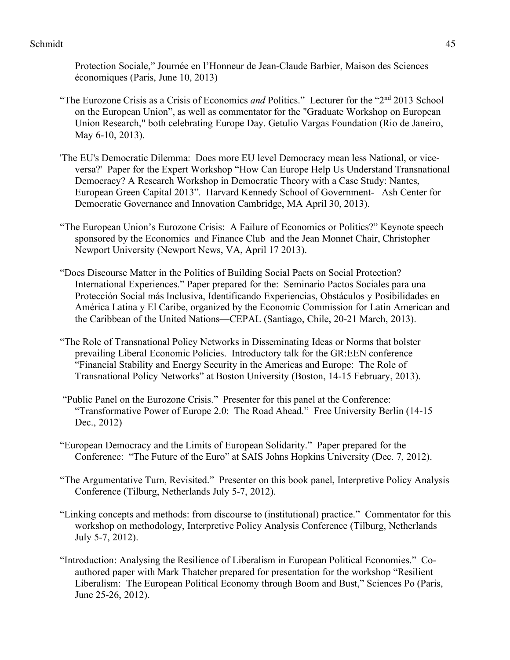Protection Sociale," Journée en l'Honneur de Jean-Claude Barbier, Maison des Sciences économiques (Paris, June 10, 2013)

- "The Eurozone Crisis as a Crisis of Economics *and* Politics." Lecturer for the "2nd 2013 School on the European Union", as well as commentator for the "Graduate Workshop on European Union Research," both celebrating Europe Day. Getulio Vargas Foundation (Rio de Janeiro, May 6-10, 2013).
- 'The EU's Democratic Dilemma: Does more EU level Democracy mean less National, or viceversa?' Paper for the Expert Workshop "How Can Europe Help Us Understand Transnational Democracy? A Research Workshop in Democratic Theory with a Case Study: Nantes, European Green Capital 2013". Harvard Kennedy School of Government-- Ash Center for Democratic Governance and Innovation Cambridge, MA April 30, 2013).
- "The European Union's Eurozone Crisis: A Failure of Economics or Politics?" Keynote speech sponsored by the Economics and Finance Club and the Jean Monnet Chair, Christopher Newport University (Newport News, VA, April 17 2013).
- "Does Discourse Matter in the Politics of Building Social Pacts on Social Protection? International Experiences." Paper prepared for the: Seminario Pactos Sociales para una Protección Social más Inclusiva, Identificando Experiencias, Obstáculos y Posibilidades en América Latina y El Caribe, organized by the Economic Commission for Latin American and the Caribbean of the United Nations—CEPAL (Santiago, Chile, 20-21 March, 2013).
- "The Role of Transnational Policy Networks in Disseminating Ideas or Norms that bolster prevailing Liberal Economic Policies. Introductory talk for the GR:EEN conference "Financial Stability and Energy Security in the Americas and Europe: The Role of Transnational Policy Networks" at Boston University (Boston, 14-15 February, 2013).
- "Public Panel on the Eurozone Crisis." Presenter for this panel at the Conference: "Transformative Power of Europe 2.0: The Road Ahead." Free University Berlin (14-15 Dec., 2012)
- "European Democracy and the Limits of European Solidarity." Paper prepared for the Conference: "The Future of the Euro" at SAIS Johns Hopkins University (Dec. 7, 2012).
- "The Argumentative Turn, Revisited." Presenter on this book panel, Interpretive Policy Analysis Conference (Tilburg, Netherlands July 5-7, 2012).
- "Linking concepts and methods: from discourse to (institutional) practice." Commentator for this workshop on methodology, Interpretive Policy Analysis Conference (Tilburg, Netherlands July 5-7, 2012).
- "Introduction: Analysing the Resilience of Liberalism in European Political Economies." Coauthored paper with Mark Thatcher prepared for presentation for the workshop "Resilient Liberalism: The European Political Economy through Boom and Bust," Sciences Po (Paris, June 25-26, 2012).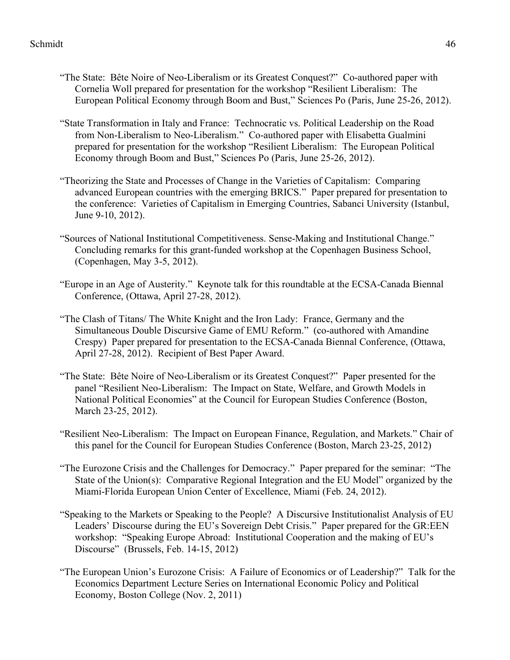- "The State: Bête Noire of Neo-Liberalism or its Greatest Conquest?" Co-authored paper with Cornelia Woll prepared for presentation for the workshop "Resilient Liberalism: The European Political Economy through Boom and Bust," Sciences Po (Paris, June 25-26, 2012).
- "State Transformation in Italy and France: Technocratic vs. Political Leadership on the Road from Non-Liberalism to Neo-Liberalism." Co-authored paper with Elisabetta Gualmini prepared for presentation for the workshop "Resilient Liberalism: The European Political Economy through Boom and Bust," Sciences Po (Paris, June 25-26, 2012).
- "Theorizing the State and Processes of Change in the Varieties of Capitalism: Comparing advanced European countries with the emerging BRICS." Paper prepared for presentation to the conference: Varieties of Capitalism in Emerging Countries, Sabanci University (Istanbul, June 9-10, 2012).
- "Sources of National Institutional Competitiveness. Sense-Making and Institutional Change." Concluding remarks for this grant-funded workshop at the Copenhagen Business School, (Copenhagen, May 3-5, 2012).
- "Europe in an Age of Austerity." Keynote talk for this roundtable at the ECSA-Canada Biennal Conference, (Ottawa, April 27-28, 2012).
- "The Clash of Titans/ The White Knight and the Iron Lady: France, Germany and the Simultaneous Double Discursive Game of EMU Reform." (co-authored with Amandine Crespy) Paper prepared for presentation to the ECSA-Canada Biennal Conference, (Ottawa, April 27-28, 2012). Recipient of Best Paper Award.
- "The State: Bête Noire of Neo-Liberalism or its Greatest Conquest?" Paper presented for the panel "Resilient Neo-Liberalism: The Impact on State, Welfare, and Growth Models in National Political Economies" at the Council for European Studies Conference (Boston, March 23-25, 2012).
- "Resilient Neo-Liberalism: The Impact on European Finance, Regulation, and Markets." Chair of this panel for the Council for European Studies Conference (Boston, March 23-25, 2012)
- "The Eurozone Crisis and the Challenges for Democracy." Paper prepared for the seminar: "The State of the Union(s): Comparative Regional Integration and the EU Model" organized by the Miami-Florida European Union Center of Excellence, Miami (Feb. 24, 2012).
- "Speaking to the Markets or Speaking to the People? A Discursive Institutionalist Analysis of EU Leaders' Discourse during the EU's Sovereign Debt Crisis." Paper prepared for the GR:EEN workshop: "Speaking Europe Abroad: Institutional Cooperation and the making of EU's Discourse" (Brussels, Feb. 14-15, 2012)
- "The European Union's Eurozone Crisis: A Failure of Economics or of Leadership?" Talk for the Economics Department Lecture Series on International Economic Policy and Political Economy, Boston College (Nov. 2, 2011)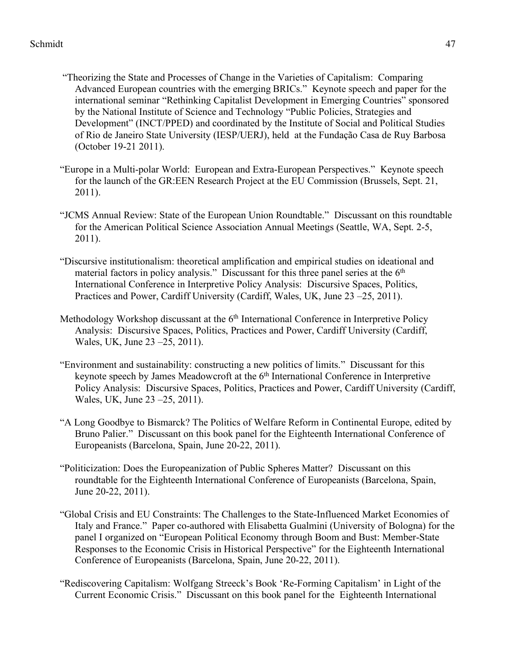- "Theorizing the State and Processes of Change in the Varieties of Capitalism: Comparing Advanced European countries with the emerging BRICs." Keynote speech and paper for the international seminar "Rethinking Capitalist Development in Emerging Countries" sponsored by the National Institute of Science and Technology "Public Policies, Strategies and Development" (INCT/PPED) and coordinated by the Institute of Social and Political Studies of Rio de Janeiro State University (IESP/UERJ), held at the Fundação Casa de Ruy Barbosa (October 19-21 2011).
- "Europe in a Multi-polar World: European and Extra-European Perspectives." Keynote speech for the launch of the GR:EEN Research Project at the EU Commission (Brussels, Sept. 21, 2011).
- "JCMS Annual Review: State of the European Union Roundtable." Discussant on this roundtable for the American Political Science Association Annual Meetings (Seattle, WA, Sept. 2-5, 2011).
- "Discursive institutionalism: theoretical amplification and empirical studies on ideational and material factors in policy analysis." Discussant for this three panel series at the  $6<sup>th</sup>$ International Conference in Interpretive Policy Analysis: Discursive Spaces, Politics, Practices and Power, Cardiff University (Cardiff, Wales, UK, June 23 –25, 2011).
- Methodology Workshop discussant at the 6<sup>th</sup> International Conference in Interpretive Policy Analysis: Discursive Spaces, Politics, Practices and Power, Cardiff University (Cardiff, Wales, UK, June 23 –25, 2011).
- "Environment and sustainability: constructing a new politics of limits." Discussant for this keynote speech by James Meadowcroft at the 6<sup>th</sup> International Conference in Interpretive Policy Analysis: Discursive Spaces, Politics, Practices and Power, Cardiff University (Cardiff, Wales, UK, June 23 –25, 2011).
- "A Long Goodbye to Bismarck? The Politics of Welfare Reform in Continental Europe, edited by Bruno Palier." Discussant on this book panel for the Eighteenth International Conference of Europeanists (Barcelona, Spain, June 20-22, 2011).
- "Politicization: Does the Europeanization of Public Spheres Matter? Discussant on this roundtable for the Eighteenth International Conference of Europeanists (Barcelona, Spain, June 20-22, 2011).
- "Global Crisis and EU Constraints: The Challenges to the State-Influenced Market Economies of Italy and France." Paper co-authored with Elisabetta Gualmini (University of Bologna) for the panel I organized on "European Political Economy through Boom and Bust: Member-State Responses to the Economic Crisis in Historical Perspective" for the Eighteenth International Conference of Europeanists (Barcelona, Spain, June 20-22, 2011).
- "Rediscovering Capitalism: Wolfgang Streeck's Book 'Re-Forming Capitalism' in Light of the Current Economic Crisis." Discussant on this book panel for the Eighteenth International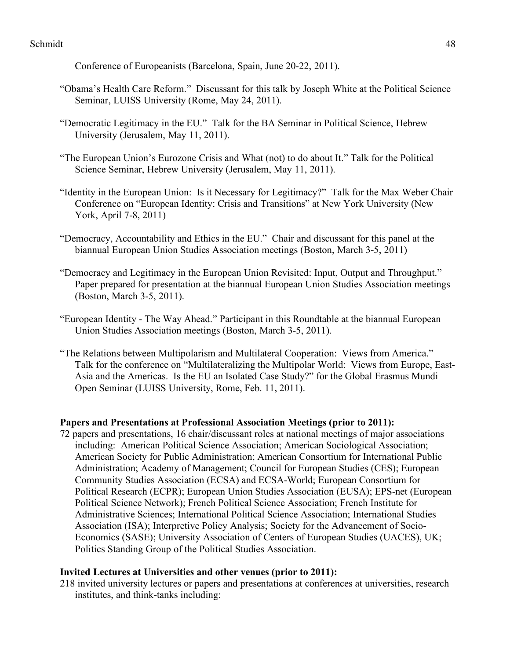Conference of Europeanists (Barcelona, Spain, June 20-22, 2011).

- "Obama's Health Care Reform." Discussant for this talk by Joseph White at the Political Science Seminar, LUISS University (Rome, May 24, 2011).
- "Democratic Legitimacy in the EU." Talk for the BA Seminar in Political Science, Hebrew University (Jerusalem, May 11, 2011).
- "The European Union's Eurozone Crisis and What (not) to do about It." Talk for the Political Science Seminar, Hebrew University (Jerusalem, May 11, 2011).
- "Identity in the European Union: Is it Necessary for Legitimacy?" Talk for the Max Weber Chair Conference on "European Identity: Crisis and Transitions" at New York University (New York, April 7-8, 2011)
- "Democracy, Accountability and Ethics in the EU." Chair and discussant for this panel at the biannual European Union Studies Association meetings (Boston, March 3-5, 2011)
- "Democracy and Legitimacy in the European Union Revisited: Input, Output and Throughput." Paper prepared for presentation at the biannual European Union Studies Association meetings (Boston, March 3-5, 2011).
- "European Identity The Way Ahead." Participant in this Roundtable at the biannual European Union Studies Association meetings (Boston, March 3-5, 2011).
- "The Relations between Multipolarism and Multilateral Cooperation: Views from America." Talk for the conference on "Multilateralizing the Multipolar World: Views from Europe, East-Asia and the Americas. Is the EU an Isolated Case Study?" for the Global Erasmus Mundi Open Seminar (LUISS University, Rome, Feb. 11, 2011).

## **Papers and Presentations at Professional Association Meetings (prior to 2011):**

72 papers and presentations, 16 chair/discussant roles at national meetings of major associations including: American Political Science Association; American Sociological Association; American Society for Public Administration; American Consortium for International Public Administration; Academy of Management; Council for European Studies (CES); European Community Studies Association (ECSA) and ECSA-World; European Consortium for Political Research (ECPR); European Union Studies Association (EUSA); EPS-net (European Political Science Network); French Political Science Association; French Institute for Administrative Sciences; International Political Science Association; International Studies Association (ISA); Interpretive Policy Analysis; Society for the Advancement of Socio-Economics (SASE); University Association of Centers of European Studies (UACES), UK; Politics Standing Group of the Political Studies Association.

## **Invited Lectures at Universities and other venues (prior to 2011):**

218 invited university lectures or papers and presentations at conferences at universities, research institutes, and think-tanks including: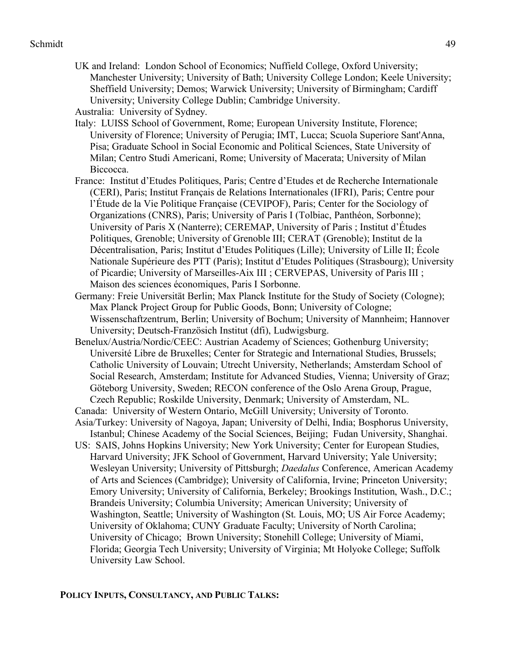UK and Ireland: London School of Economics; Nuffield College, Oxford University; Manchester University; University of Bath; University College London; Keele University; Sheffield University; Demos; Warwick University; University of Birmingham; Cardiff University; University College Dublin; Cambridge University.

Australia: University of Sydney.

- Italy: LUISS School of Government, Rome; European University Institute, Florence; University of Florence; University of Perugia; IMT, Lucca; Scuola Superiore Sant'Anna, Pisa; Graduate School in Social Economic and Political Sciences, State University of Milan; Centro Studi Americani, Rome; University of Macerata; University of Milan Biccocca.
- France: Institut d'Etudes Politiques, Paris; Centre d'Etudes et de Recherche Internationale (CERI), Paris; Institut Français de Relations Internationales (IFRI), Paris; Centre pour l'Étude de la Vie Politique Française (CEVIPOF), Paris; Center for the Sociology of Organizations (CNRS), Paris; University of Paris I (Tolbiac, Panthéon, Sorbonne); University of Paris X (Nanterre); CEREMAP, University of Paris ; Institut d'Études Politiques, Grenoble; University of Grenoble III; CERAT (Grenoble); Institut de la Décentralisation, Paris; Institut d'Etudes Politiques (Lille); University of Lille II; École Nationale Supérieure des PTT (Paris); Institut d'Etudes Politiques (Strasbourg); University of Picardie; University of Marseilles-Aix III ; CERVEPAS, University of Paris III ; Maison des sciences économiques, Paris I Sorbonne.
- Germany: Freie Universität Berlin; Max Planck Institute for the Study of Society (Cologne); Max Planck Project Group for Public Goods, Bonn; University of Cologne; Wissenschaftzentrum, Berlin; University of Bochum; University of Mannheim; Hannover University; Deutsch-Französich Institut (dfi), Ludwigsburg.
- Benelux/Austria/Nordic/CEEC: Austrian Academy of Sciences; Gothenburg University; Université Libre de Bruxelles; Center for Strategic and International Studies, Brussels; Catholic University of Louvain; Utrecht University, Netherlands; Amsterdam School of Social Research, Amsterdam; Institute for Advanced Studies, Vienna; University of Graz; Göteborg University, Sweden; RECON conference of the Oslo Arena Group, Prague, Czech Republic; Roskilde University, Denmark; University of Amsterdam, NL.
- Canada: University of Western Ontario, McGill University; University of Toronto.
- Asia/Turkey: University of Nagoya, Japan; University of Delhi, India; Bosphorus University, Istanbul; Chinese Academy of the Social Sciences, Beijing; Fudan University, Shanghai.
- US: SAIS, Johns Hopkins University; New York University; Center for European Studies, Harvard University; JFK School of Government, Harvard University; Yale University; Wesleyan University; University of Pittsburgh; *Daedalus* Conference, American Academy of Arts and Sciences (Cambridge); University of California, Irvine; Princeton University; Emory University; University of California, Berkeley; Brookings Institution, Wash., D.C.; Brandeis University; Columbia University; American University; University of Washington, Seattle; University of Washington (St. Louis, MO; US Air Force Academy; University of Oklahoma; CUNY Graduate Faculty; University of North Carolina; University of Chicago; Brown University; Stonehill College; University of Miami, Florida; Georgia Tech University; University of Virginia; Mt Holyoke College; Suffolk University Law School.

#### **POLICY INPUTS, CONSULTANCY, AND PUBLIC TALKS:**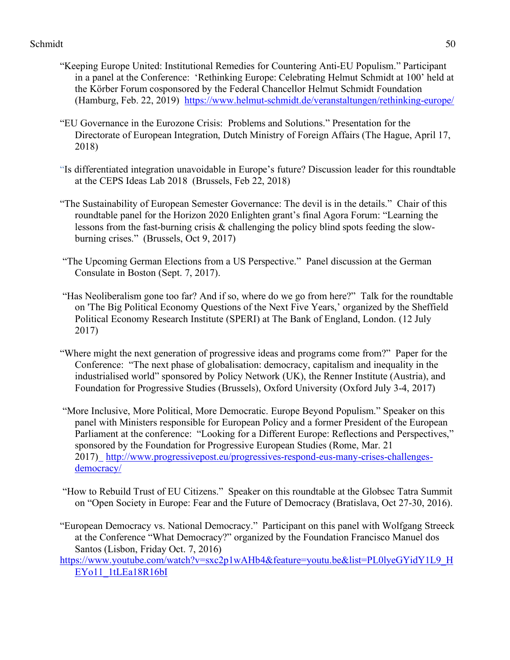- "Keeping Europe United: Institutional Remedies for Countering Anti-EU Populism." Participant in a panel at the Conference: 'Rethinking Europe: Celebrating Helmut Schmidt at 100' held at the Körber Forum cosponsored by the Federal Chancellor Helmut Schmidt Foundation (Hamburg, Feb. 22, 2019) https://www.helmut-schmidt.de/veranstaltungen/rethinking-europe/
- "EU Governance in the Eurozone Crisis: Problems and Solutions." Presentation for the Directorate of European Integration, Dutch Ministry of Foreign Affairs (The Hague, April 17, 2018)
- "Is differentiated integration unavoidable in Europe's future? Discussion leader for this roundtable at the CEPS Ideas Lab 2018 (Brussels, Feb 22, 2018)
- "The Sustainability of European Semester Governance: The devil is in the details." Chair of this roundtable panel for the Horizon 2020 Enlighten grant's final Agora Forum: "Learning the lessons from the fast-burning crisis & challenging the policy blind spots feeding the slowburning crises." (Brussels, Oct 9, 2017)
- "The Upcoming German Elections from a US Perspective." Panel discussion at the German Consulate in Boston (Sept. 7, 2017).
- "Has Neoliberalism gone too far? And if so, where do we go from here?" Talk for the roundtable on 'The Big Political Economy Questions of the Next Five Years,' organized by the Sheffield Political Economy Research Institute (SPERI) at The Bank of England, London. (12 July 2017)
- "Where might the next generation of progressive ideas and programs come from?" Paper for the Conference: "The next phase of globalisation: democracy, capitalism and inequality in the industrialised world" sponsored by Policy Network (UK), the Renner Institute (Austria), and Foundation for Progressive Studies (Brussels), Oxford University (Oxford July 3-4, 2017)
- "More Inclusive, More Political, More Democratic. Europe Beyond Populism." Speaker on this panel with Ministers responsible for European Policy and a former President of the European Parliament at the conference: "Looking for a Different Europe: Reflections and Perspectives," sponsored by the Foundation for Progressive European Studies (Rome, Mar. 21 2017) http://www.progressivepost.eu/progressives-respond-eus-many-crises-challengesdemocracy/
- "How to Rebuild Trust of EU Citizens." Speaker on this roundtable at the Globsec Tatra Summit on "Open Society in Europe: Fear and the Future of Democracy (Bratislava, Oct 27-30, 2016).
- "European Democracy vs. National Democracy." Participant on this panel with Wolfgang Streeck at the Conference "What Democracy?" organized by the Foundation Francisco Manuel dos Santos (Lisbon, Friday Oct. 7, 2016)
- https://www.youtube.com/watch?v=sxc2p1wAHb4&feature=youtu.be&list=PL0lyeGYidY1L9\_H EYo11\_1tLEa18R16bI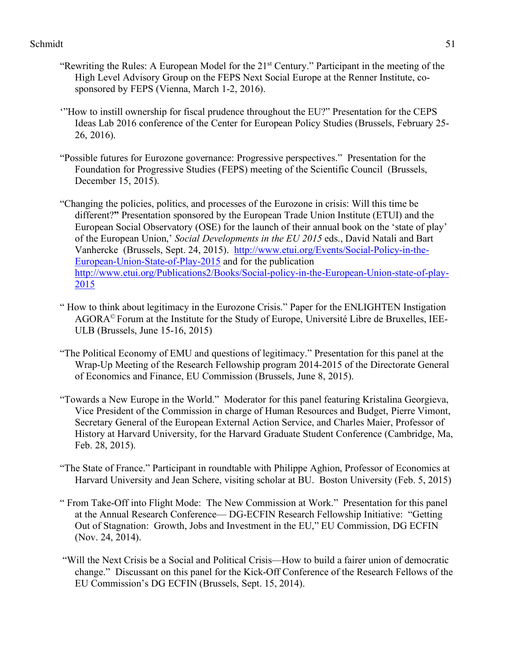- "Rewriting the Rules: A European Model for the 21st Century." Participant in the meeting of the High Level Advisory Group on the FEPS Next Social Europe at the Renner Institute, cosponsored by FEPS (Vienna, March 1-2, 2016).
- '"How to instill ownership for fiscal prudence throughout the EU?" Presentation for the CEPS Ideas Lab 2016 conference of the Center for European Policy Studies (Brussels, February 25- 26, 2016).
- "Possible futures for Eurozone governance: Progressive perspectives." Presentation for the Foundation for Progressive Studies (FEPS) meeting of the Scientific Council (Brussels, December 15, 2015).

"Changing the policies, politics, and processes of the Eurozone in crisis: Will this time be different?**"** Presentation sponsored by the European Trade Union Institute (ETUI) and the European Social Observatory (OSE) for the launch of their annual book on the 'state of play' of the European Union,' *Social Developments in the EU 2015* eds., David Natali and Bart Vanhercke (Brussels, Sept. 24, 2015). http://www.etui.org/Events/Social-Policy-in-the-European-Union-State-of-Play-2015 and for the publication http://www.etui.org/Publications2/Books/Social-policy-in-the-European-Union-state-of-play-2015

- " How to think about legitimacy in the Eurozone Crisis." Paper for the ENLIGHTEN Instigation AGORA© Forum at the Institute for the Study of Europe, Université Libre de Bruxelles, IEE-ULB (Brussels, June 15-16, 2015)
- "The Political Economy of EMU and questions of legitimacy." Presentation for this panel at the Wrap-Up Meeting of the Research Fellowship program 2014-2015 of the Directorate General of Economics and Finance, EU Commission (Brussels, June 8, 2015).
- "Towards a New Europe in the World." Moderator for this panel featuring Kristalina Georgieva, Vice President of the Commission in charge of Human Resources and Budget, Pierre Vimont, Secretary General of the European External Action Service, and Charles Maier, Professor of History at Harvard University, for the Harvard Graduate Student Conference (Cambridge, Ma, Feb. 28, 2015).
- "The State of France." Participant in roundtable with Philippe Aghion, Professor of Economics at Harvard University and Jean Schere, visiting scholar at BU. Boston University (Feb. 5, 2015)
- " From Take-Off into Flight Mode: The New Commission at Work." Presentation for this panel at the Annual Research Conference— DG-ECFIN Research Fellowship Initiative: "Getting Out of Stagnation: Growth, Jobs and Investment in the EU," EU Commission, DG ECFIN (Nov. 24, 2014).
- "Will the Next Crisis be a Social and Political Crisis—How to build a fairer union of democratic change." Discussant on this panel for the Kick-Off Conference of the Research Fellows of the EU Commission's DG ECFIN (Brussels, Sept. 15, 2014).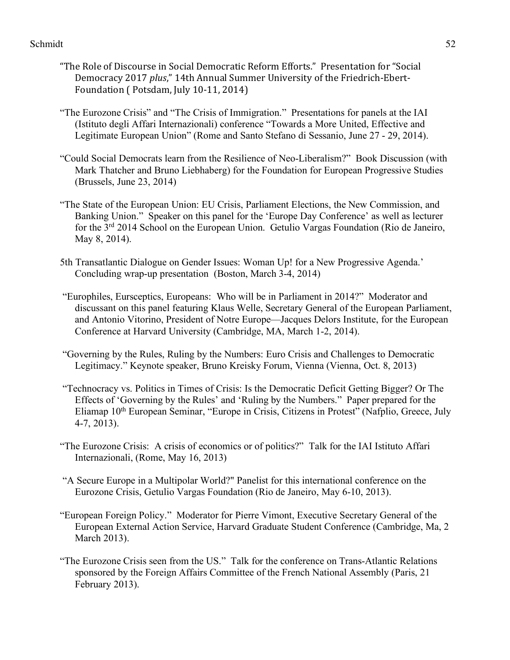- "The Role of Discourse in Social Democratic Reform Efforts." Presentation for "Social Democracy 2017 *plus*," 14th Annual Summer University of the Friedrich-Ebert-Foundation ( Potsdam, July 10-11, 2014)
- "The Eurozone Crisis" and "The Crisis of Immigration." Presentations for panels at the IAI (Istituto degli Affari Internazionali) conference "Towards a More United, Effective and Legitimate European Union" (Rome and Santo Stefano di Sessanio, June 27 - 29, 2014).
- "Could Social Democrats learn from the Resilience of Neo-Liberalism?" Book Discussion (with Mark Thatcher and Bruno Liebhaberg) for the Foundation for European Progressive Studies (Brussels, June 23, 2014)
- "The State of the European Union: EU Crisis, Parliament Elections, the New Commission, and Banking Union." Speaker on this panel for the 'Europe Day Conference' as well as lecturer for the 3rd 2014 School on the European Union. Getulio Vargas Foundation (Rio de Janeiro, May 8, 2014).
- 5th Transatlantic Dialogue on Gender Issues: Woman Up! for a New Progressive Agenda.' Concluding wrap-up presentation (Boston, March 3-4, 2014)
- "Europhiles, Eursceptics, Europeans: Who will be in Parliament in 2014?" Moderator and discussant on this panel featuring Klaus Welle, Secretary General of the European Parliament, and Antonio Vitorino, President of Notre Europe—Jacques Delors Institute, for the European Conference at Harvard University (Cambridge, MA, March 1-2, 2014).
- "Governing by the Rules, Ruling by the Numbers: Euro Crisis and Challenges to Democratic Legitimacy." Keynote speaker, Bruno Kreisky Forum, Vienna (Vienna, Oct. 8, 2013)
- "Technocracy vs. Politics in Times of Crisis: Is the Democratic Deficit Getting Bigger? Or The Effects of 'Governing by the Rules' and 'Ruling by the Numbers." Paper prepared for the Eliamap 10th European Seminar, "Europe in Crisis, Citizens in Protest" (Nafplio, Greece, July 4-7, 2013).
- "The Eurozone Crisis: A crisis of economics or of politics?" Talk for the IAI Istituto Affari Internazionali, (Rome, May 16, 2013)
- "A Secure Europe in a Multipolar World?" Panelist for this international conference on the Eurozone Crisis, Getulio Vargas Foundation (Rio de Janeiro, May 6-10, 2013).
- "European Foreign Policy." Moderator for Pierre Vimont, Executive Secretary General of the European External Action Service, Harvard Graduate Student Conference (Cambridge, Ma, 2 March 2013).
- "The Eurozone Crisis seen from the US." Talk for the conference on Trans-Atlantic Relations sponsored by the Foreign Affairs Committee of the French National Assembly (Paris, 21 February 2013).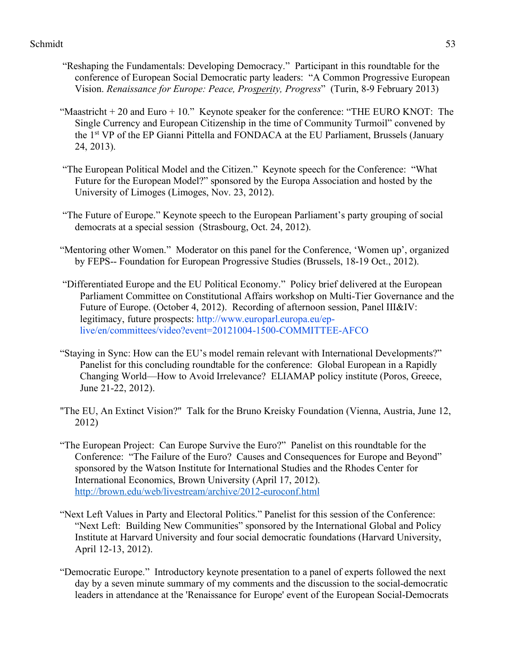- "Reshaping the Fundamentals: Developing Democracy." Participant in this roundtable for the conference of European Social Democratic party leaders: "A Common Progressive European Vision. *Renaissance for Europe: Peace, Prosperity, Progress*"(Turin, 8-9 February 2013)
- "Maastricht  $+ 20$  and Euro  $+ 10$ ." Keynote speaker for the conference: "THE EURO KNOT: The Single Currency and European Citizenship in the time of Community Turmoil" convened by the 1st VP of the EP Gianni Pittella and FONDACA at the EU Parliament, Brussels (January 24, 2013).
- "The European Political Model and the Citizen." Keynote speech for the Conference: "What Future for the European Model?" sponsored by the Europa Association and hosted by the University of Limoges (Limoges, Nov. 23, 2012).
- "The Future of Europe." Keynote speech to the European Parliament's party grouping of social democrats at a special session (Strasbourg, Oct. 24, 2012).
- "Mentoring other Women." Moderator on this panel for the Conference, 'Women up', organized by FEPS-- Foundation for European Progressive Studies (Brussels, 18-19 Oct., 2012).
- "Differentiated Europe and the EU Political Economy." Policy brief delivered at the European Parliament Committee on Constitutional Affairs workshop on Multi-Tier Governance and the Future of Europe. (October 4, 2012). Recording of afternoon session, Panel III&IV: legitimacy, future prospects: http://www.europarl.europa.eu/eplive/en/committees/video?event=20121004-1500-COMMITTEE-AFCO
- "Staying in Sync: How can the EU's model remain relevant with International Developments?" Panelist for this concluding roundtable for the conference: Global European in a Rapidly Changing World—How to Avoid Irrelevance? ELIAMAP policy institute (Poros, Greece, June 21-22, 2012).
- "The EU, An Extinct Vision?" Talk for the Bruno Kreisky Foundation (Vienna, Austria, June 12, 2012)
- "The European Project: Can Europe Survive the Euro?" Panelist on this roundtable for the Conference: "The Failure of the Euro? Causes and Consequences for Europe and Beyond" sponsored by the Watson Institute for International Studies and the Rhodes Center for International Economics, Brown University (April 17, 2012). http://brown.edu/web/livestream/archive/2012-euroconf.html
- "Next Left Values in Party and Electoral Politics." Panelist for this session of the Conference: "Next Left: Building New Communities" sponsored by the International Global and Policy Institute at Harvard University and four social democratic foundations (Harvard University, April 12-13, 2012).
- "Democratic Europe." Introductory keynote presentation to a panel of experts followed the next day by a seven minute summary of my comments and the discussion to the social-democratic leaders in attendance at the 'Renaissance for Europe' event of the European Social-Democrats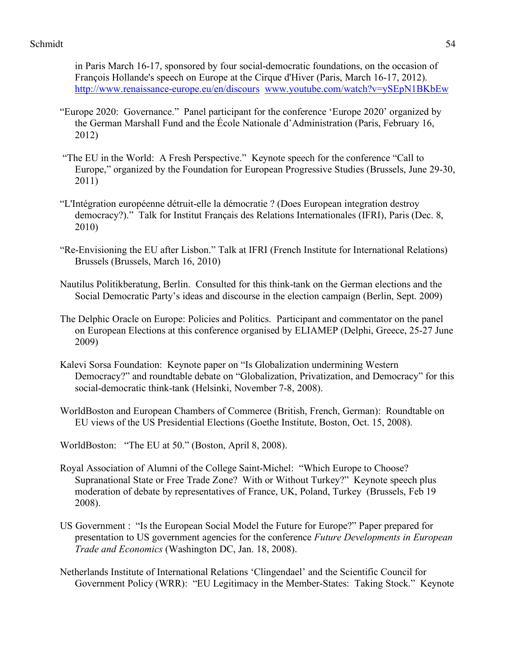in Paris March 16-17, sponsored by four social-democratic foundations, on the occasion of François Hollande's speech on Europe at the Cirque d'Hiver (Paris, March 16-17, 2012). http://www.renaissance-europe.eu/en/discours www.youtube.com/watch?v=ySEpN1BKbEw

- "Europe 2020: Governance." Panel participant for the conference 'Europe 2020' organized by the German Marshall Fund and the École Nationale d'Administration (Paris, February 16, 2012)
- "The EU in the World: A Fresh Perspective." Keynote speech for the conference "Call to Europe," organized by the Foundation for European Progressive Studies (Brussels, June 29-30, 2011)
- "L'Intégration européenne détruit-elle la démocratie ? (Does European integration destroy democracy?)." Talk for Institut Français des Relations Internationales (IFRI), Paris (Dec. 8, 2010)
- "Re-Envisioning the EU after Lisbon." Talk at IFRI (French Institute for International Relations) Brussels (Brussels, March 16, 2010)
- Nautilus Politikberatung, Berlin. Consulted for this think-tank on the German elections and the Social Democratic Party's ideas and discourse in the election campaign (Berlin, Sept. 2009)
- The Delphic Oracle on Europe: Policies and Politics. Participant and commentator on the panel on European Elections at this conference organised by ELIAMEP (Delphi, Greece, 25-27 June 2009)
- Kalevi Sorsa Foundation: Keynote paper on "Is Globalization undermining Western Democracy?" and roundtable debate on "Globalization, Privatization, and Democracy" for this social-democratic think-tank (Helsinki, November 7-8, 2008).
- WorldBoston and European Chambers of Commerce (British, French, German): Roundtable on EU views of the US Presidential Elections (Goethe Institute, Boston, Oct. 15, 2008).
- WorldBoston: "The EU at 50." (Boston, April 8, 2008).
- Royal Association of Alumni of the College Saint-Michel: "Which Europe to Choose? Supranational State or Free Trade Zone? With or Without Turkey?" Keynote speech plus moderation of debate by representatives of France, UK, Poland, Turkey (Brussels, Feb 19 2008).
- US Government : "Is the European Social Model the Future for Europe?" Paper prepared for presentation to US government agencies for the conference *Future Developments in European Trade and Economics* (Washington DC, Jan. 18, 2008).
- Netherlands Institute of International Relations 'Clingendael' and the Scientific Council for Government Policy (WRR): "EU Legitimacy in the Member-States: Taking Stock." Keynote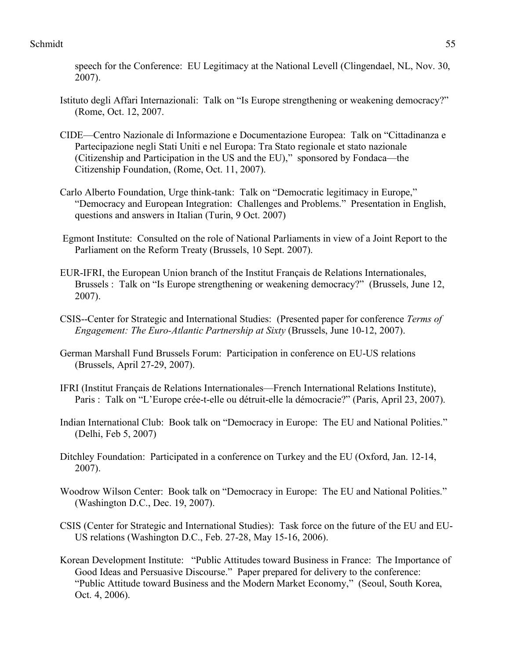speech for the Conference: EU Legitimacy at the National Levell (Clingendael, NL, Nov. 30, 2007).

- Istituto degli Affari Internazionali: Talk on "Is Europe strengthening or weakening democracy?" (Rome, Oct. 12, 2007.
- CIDE—Centro Nazionale di Informazione e Documentazione Europea: Talk on "Cittadinanza e Partecipazione negli Stati Uniti e nel Europa: Tra Stato regionale et stato nazionale (Citizenship and Participation in the US and the EU)," sponsored by Fondaca—the Citizenship Foundation, (Rome, Oct. 11, 2007).
- Carlo Alberto Foundation, Urge think-tank: Talk on "Democratic legitimacy in Europe," "Democracy and European Integration: Challenges and Problems." Presentation in English, questions and answers in Italian (Turin, 9 Oct. 2007)
- Egmont Institute: Consulted on the role of National Parliaments in view of a Joint Report to the Parliament on the Reform Treaty (Brussels, 10 Sept. 2007).
- EUR-IFRI, the European Union branch of the Institut Français de Relations Internationales, Brussels : Talk on "Is Europe strengthening or weakening democracy?" (Brussels, June 12, 2007).
- CSIS--Center for Strategic and International Studies: (Presented paper for conference *Terms of Engagement: The Euro-Atlantic Partnership at Sixty* (Brussels, June 10-12, 2007).
- German Marshall Fund Brussels Forum: Participation in conference on EU-US relations (Brussels, April 27-29, 2007).
- IFRI (Institut Français de Relations Internationales—French International Relations Institute), Paris : Talk on "L'Europe crée-t-elle ou détruit-elle la démocracie?" (Paris, April 23, 2007).
- Indian International Club: Book talk on "Democracy in Europe: The EU and National Polities." (Delhi, Feb 5, 2007)
- Ditchley Foundation: Participated in a conference on Turkey and the EU (Oxford, Jan. 12-14, 2007).
- Woodrow Wilson Center: Book talk on "Democracy in Europe: The EU and National Polities." (Washington D.C., Dec. 19, 2007).
- CSIS (Center for Strategic and International Studies): Task force on the future of the EU and EU-US relations (Washington D.C., Feb. 27-28, May 15-16, 2006).
- Korean Development Institute: "Public Attitudes toward Business in France: The Importance of Good Ideas and Persuasive Discourse." Paper prepared for delivery to the conference: "Public Attitude toward Business and the Modern Market Economy," (Seoul, South Korea, Oct. 4, 2006).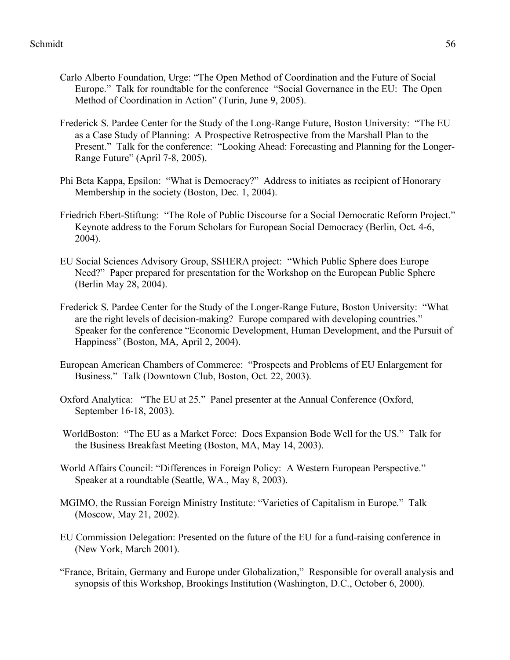- Carlo Alberto Foundation, Urge: "The Open Method of Coordination and the Future of Social Europe." Talk for roundtable for the conference "Social Governance in the EU: The Open Method of Coordination in Action" (Turin, June 9, 2005).
- Frederick S. Pardee Center for the Study of the Long-Range Future, Boston University: "The EU as a Case Study of Planning: A Prospective Retrospective from the Marshall Plan to the Present." Talk for the conference: "Looking Ahead: Forecasting and Planning for the Longer-Range Future" (April 7-8, 2005).
- Phi Beta Kappa, Epsilon: "What is Democracy?" Address to initiates as recipient of Honorary Membership in the society (Boston, Dec. 1, 2004).
- Friedrich Ebert-Stiftung: "The Role of Public Discourse for a Social Democratic Reform Project." Keynote address to the Forum Scholars for European Social Democracy (Berlin, Oct. 4-6, 2004).
- EU Social Sciences Advisory Group, SSHERA project: "Which Public Sphere does Europe Need?" Paper prepared for presentation for the Workshop on the European Public Sphere (Berlin May 28, 2004).
- Frederick S. Pardee Center for the Study of the Longer-Range Future, Boston University: "What are the right levels of decision-making? Europe compared with developing countries." Speaker for the conference "Economic Development, Human Development, and the Pursuit of Happiness" (Boston, MA, April 2, 2004).
- European American Chambers of Commerce: "Prospects and Problems of EU Enlargement for Business." Talk (Downtown Club, Boston, Oct. 22, 2003).
- Oxford Analytica: "The EU at 25." Panel presenter at the Annual Conference (Oxford, September 16-18, 2003).
- WorldBoston: "The EU as a Market Force: Does Expansion Bode Well for the US." Talk for the Business Breakfast Meeting (Boston, MA, May 14, 2003).
- World Affairs Council: "Differences in Foreign Policy: A Western European Perspective." Speaker at a roundtable (Seattle, WA., May 8, 2003).
- MGIMO, the Russian Foreign Ministry Institute: "Varieties of Capitalism in Europe." Talk (Moscow, May 21, 2002).
- EU Commission Delegation: Presented on the future of the EU for a fund-raising conference in (New York, March 2001).
- "France, Britain, Germany and Europe under Globalization," Responsible for overall analysis and synopsis of this Workshop, Brookings Institution (Washington, D.C., October 6, 2000).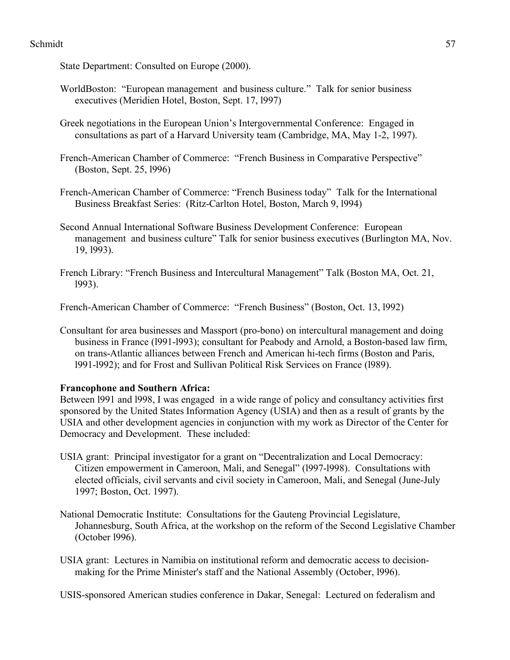State Department: Consulted on Europe (2000).

- WorldBoston: "European management and business culture." Talk for senior business executives (Meridien Hotel, Boston, Sept. 17, l997)
- Greek negotiations in the European Union's Intergovernmental Conference: Engaged in consultations as part of a Harvard University team (Cambridge, MA, May 1-2, 1997).
- French-American Chamber of Commerce: "French Business in Comparative Perspective" (Boston, Sept. 25, l996)
- French-American Chamber of Commerce: "French Business today" Talk for the International Business Breakfast Series: (Ritz-Carlton Hotel, Boston, March 9, l994)
- Second Annual International Software Business Development Conference: European management and business culture" Talk for senior business executives (Burlington MA, Nov. 19, l993).
- French Library: "French Business and Intercultural Management" Talk (Boston MA, Oct. 21, l993).

French-American Chamber of Commerce: "French Business" (Boston, Oct. 13, l992)

Consultant for area businesses and Massport (pro-bono) on intercultural management and doing business in France (l991-l993); consultant for Peabody and Arnold, a Boston-based law firm, on trans-Atlantic alliances between French and American hi-tech firms (Boston and Paris, l991-l992); and for Frost and Sullivan Political Risk Services on France (l989).

# **Francophone and Southern Africa:**

Between l991 and l998, I was engaged in a wide range of policy and consultancy activities first sponsored by the United States Information Agency (USIA) and then as a result of grants by the USIA and other development agencies in conjunction with my work as Director of the Center for Democracy and Development. These included:

- USIA grant: Principal investigator for a grant on "Decentralization and Local Democracy: Citizen empowerment in Cameroon, Mali, and Senegal" (l997-l998). Consultations with elected officials, civil servants and civil society in Cameroon, Mali, and Senegal (June-July 1997; Boston, Oct. 1997).
- National Democratic Institute: Consultations for the Gauteng Provincial Legislature, Johannesburg, South Africa, at the workshop on the reform of the Second Legislative Chamber (October l996).
- USIA grant: Lectures in Namibia on institutional reform and democratic access to decisionmaking for the Prime Minister's staff and the National Assembly (October, l996).

USIS-sponsored American studies conference in Dakar, Senegal: Lectured on federalism and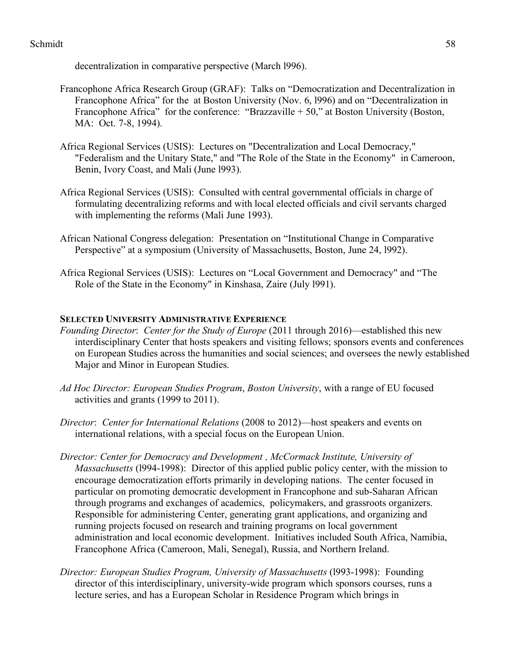decentralization in comparative perspective (March l996).

- Francophone Africa Research Group (GRAF): Talks on "Democratization and Decentralization in Francophone Africa" for the at Boston University (Nov. 6, l996) and on "Decentralization in Francophone Africa" for the conference: "Brazzaville  $+ 50$ ," at Boston University (Boston, MA: Oct. 7-8, 1994).
- Africa Regional Services (USIS): Lectures on "Decentralization and Local Democracy," "Federalism and the Unitary State," and "The Role of the State in the Economy" in Cameroon, Benin, Ivory Coast, and Mali (June l993).
- Africa Regional Services (USIS): Consulted with central governmental officials in charge of formulating decentralizing reforms and with local elected officials and civil servants charged with implementing the reforms (Mali June 1993).
- African National Congress delegation: Presentation on "Institutional Change in Comparative Perspective" at a symposium (University of Massachusetts, Boston, June 24, l992).
- Africa Regional Services (USIS): Lectures on "Local Government and Democracy" and "The Role of the State in the Economy" in Kinshasa, Zaire (July l991).

## **SELECTED UNIVERSITY ADMINISTRATIVE EXPERIENCE**

- *Founding Director*: *Center for the Study of Europe* (2011 through 2016)—established this new interdisciplinary Center that hosts speakers and visiting fellows; sponsors events and conferences on European Studies across the humanities and social sciences; and oversees the newly established Major and Minor in European Studies.
- *Ad Hoc Director: European Studies Program*, *Boston University*, with a range of EU focused activities and grants (1999 to 2011).
- *Director*: *Center for International Relations* (2008 to 2012)—host speakers and events on international relations, with a special focus on the European Union.
- *Director: Center for Democracy and Development , McCormack Institute, University of Massachusetts* (1994-1998): Director of this applied public policy center, with the mission to encourage democratization efforts primarily in developing nations. The center focused in particular on promoting democratic development in Francophone and sub-Saharan African through programs and exchanges of academics, policymakers, and grassroots organizers. Responsible for administering Center, generating grant applications, and organizing and running projects focused on research and training programs on local government administration and local economic development. Initiatives included South Africa, Namibia, Francophone Africa (Cameroon, Mali, Senegal), Russia, and Northern Ireland.
- *Director: European Studies Program, University of Massachusetts* (l993-1998): Founding director of this interdisciplinary, university-wide program which sponsors courses, runs a lecture series, and has a European Scholar in Residence Program which brings in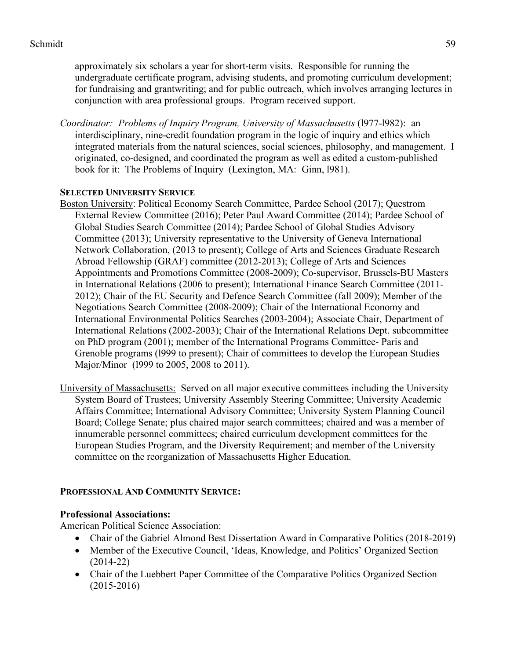approximately six scholars a year for short-term visits. Responsible for running the undergraduate certificate program, advising students, and promoting curriculum development; for fundraising and grantwriting; and for public outreach, which involves arranging lectures in conjunction with area professional groups. Program received support.

*Coordinator: Problems of Inquiry Program, University of Massachusetts* (l977-l982): an interdisciplinary, nine-credit foundation program in the logic of inquiry and ethics which integrated materials from the natural sciences, social sciences, philosophy, and management. I originated, co-designed, and coordinated the program as well as edited a custom-published book for it: The Problems of Inquiry (Lexington, MA: Ginn, l981).

# **SELECTED UNIVERSITY SERVICE**

- Boston University: Political Economy Search Committee, Pardee School (2017); Questrom External Review Committee (2016); Peter Paul Award Committee (2014); Pardee School of Global Studies Search Committee (2014); Pardee School of Global Studies Advisory Committee (2013); University representative to the University of Geneva International Network Collaboration, (2013 to present); College of Arts and Sciences Graduate Research Abroad Fellowship (GRAF) committee (2012-2013); College of Arts and Sciences Appointments and Promotions Committee (2008-2009); Co-supervisor, Brussels-BU Masters in International Relations (2006 to present); International Finance Search Committee (2011- 2012); Chair of the EU Security and Defence Search Committee (fall 2009); Member of the Negotiations Search Committee (2008-2009); Chair of the International Economy and International Environmental Politics Searches (2003-2004); Associate Chair, Department of International Relations (2002-2003); Chair of the International Relations Dept. subcommittee on PhD program (2001); member of the International Programs Committee- Paris and Grenoble programs (l999 to present); Chair of committees to develop the European Studies Major/Minor (l999 to 2005, 2008 to 2011).
- University of Massachusetts: Served on all major executive committees including the University System Board of Trustees; University Assembly Steering Committee; University Academic Affairs Committee; International Advisory Committee; University System Planning Council Board; College Senate; plus chaired major search committees; chaired and was a member of innumerable personnel committees; chaired curriculum development committees for the European Studies Program, and the Diversity Requirement; and member of the University committee on the reorganization of Massachusetts Higher Education.

# **PROFESSIONAL AND COMMUNITY SERVICE:**

# **Professional Associations:**

American Political Science Association:

- Chair of the Gabriel Almond Best Dissertation Award in Comparative Politics (2018-2019)
- Member of the Executive Council, 'Ideas, Knowledge, and Politics' Organized Section (2014-22)
- Chair of the Luebbert Paper Committee of the Comparative Politics Organized Section (2015-2016)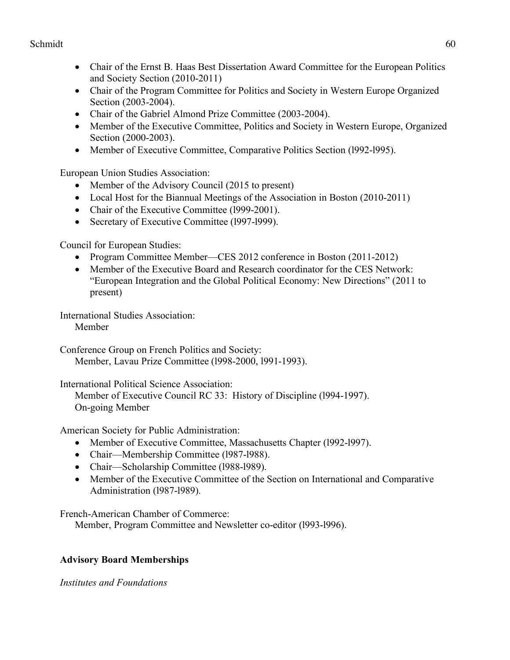- Chair of the Ernst B. Haas Best Dissertation Award Committee for the European Politics and Society Section (2010-2011)
- Chair of the Program Committee for Politics and Society in Western Europe Organized Section (2003-2004).
- Chair of the Gabriel Almond Prize Committee (2003-2004).
- Member of the Executive Committee, Politics and Society in Western Europe, Organized Section (2000-2003).
- Member of Executive Committee, Comparative Politics Section (l992-l995).

European Union Studies Association:

- Member of the Advisory Council (2015 to present)
- Local Host for the Biannual Meetings of the Association in Boston (2010-2011)
- Chair of the Executive Committee (1999-2001).
- Secretary of Executive Committee (1997-1999).

Council for European Studies:

- Program Committee Member—CES 2012 conference in Boston (2011-2012)
- Member of the Executive Board and Research coordinator for the CES Network: "European Integration and the Global Political Economy: New Directions" (2011 to present)

International Studies Association:

Member

Conference Group on French Politics and Society: Member, Lavau Prize Committee (l998-2000, l991-1993).

International Political Science Association:

Member of Executive Council RC 33: History of Discipline (l994-1997). On-going Member

American Society for Public Administration:

- Member of Executive Committee, Massachusetts Chapter (1992-1997).
- Chair—Membership Committee (1987-1988).
- Chair—Scholarship Committee (1988-1989).
- Member of the Executive Committee of the Section on International and Comparative Administration (l987-l989).

French-American Chamber of Commerce:

Member, Program Committee and Newsletter co-editor (l993-l996).

# **Advisory Board Memberships**

*Institutes and Foundations*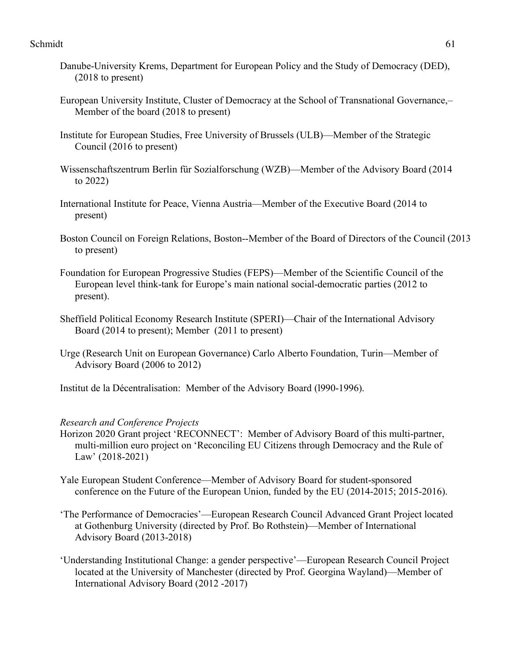- Danube-University Krems, Department for European Policy and the Study of Democracy (DED), (2018 to present)
- European University Institute, Cluster of Democracy at the School of Transnational Governance,– Member of the board (2018 to present)
- Institute for European Studies, Free University of Brussels (ULB)—Member of the Strategic Council (2016 to present)
- Wissenschaftszentrum Berlin für Sozialforschung (WZB)—Member of the Advisory Board (2014 to 2022)
- International Institute for Peace, Vienna Austria—Member of the Executive Board (2014 to present)
- Boston Council on Foreign Relations, Boston--Member of the Board of Directors of the Council (2013 to present)
- Foundation for European Progressive Studies (FEPS)—Member of the Scientific Council of the European level think-tank for Europe's main national social-democratic parties (2012 to present).
- Sheffield Political Economy Research Institute (SPERI)—Chair of the International Advisory Board (2014 to present); Member (2011 to present)
- Urge (Research Unit on European Governance) Carlo Alberto Foundation, Turin—Member of Advisory Board (2006 to 2012)
- Institut de la Décentralisation: Member of the Advisory Board (l990-1996).

## *Research and Conference Projects*

- Horizon 2020 Grant project 'RECONNECT': Member of Advisory Board of this multi-partner, multi-million euro project on 'Reconciling EU Citizens through Democracy and the Rule of Law' (2018-2021)
- Yale European Student Conference—Member of Advisory Board for student-sponsored conference on the Future of the European Union, funded by the EU (2014-2015; 2015-2016).
- 'The Performance of Democracies'—European Research Council Advanced Grant Project located at Gothenburg University (directed by Prof. Bo Rothstein)—Member of International Advisory Board (2013-2018)
- 'Understanding Institutional Change: a gender perspective'—European Research Council Project located at the University of Manchester (directed by Prof. Georgina Wayland)—Member of International Advisory Board (2012 -2017)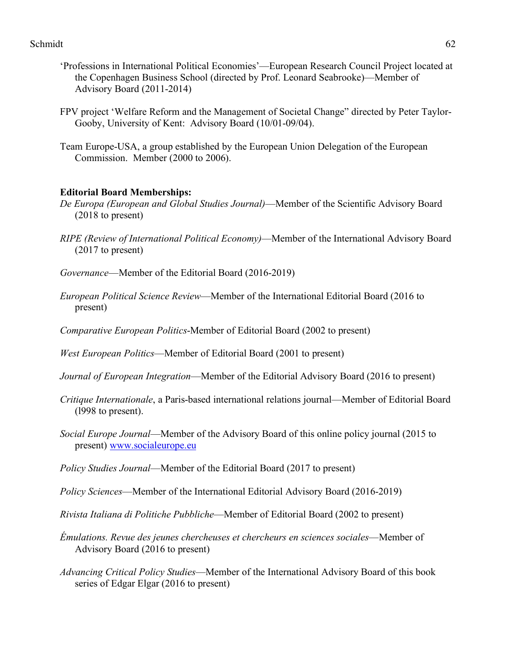- 'Professions in International Political Economies'—European Research Council Project located at the Copenhagen Business School (directed by Prof. Leonard Seabrooke)—Member of Advisory Board (2011-2014)
- FPV project 'Welfare Reform and the Management of Societal Change" directed by Peter Taylor-Gooby, University of Kent: Advisory Board (10/01-09/04).
- Team Europe-USA, a group established by the European Union Delegation of the European Commission. Member (2000 to 2006).

## **Editorial Board Memberships:**

- *De Europa (European and Global Studies Journal)*—Member of the Scientific Advisory Board (2018 to present)
- *RIPE (Review of International Political Economy)*—Member of the International Advisory Board (2017 to present)
- *Governance*—Member of the Editorial Board (2016-2019)
- *European Political Science Review*—Member of the International Editorial Board (2016 to present)
- *Comparative European Politics*-Member of Editorial Board (2002 to present)
- *West European Politics*—Member of Editorial Board (2001 to present)
- *Journal of European Integration*—Member of the Editorial Advisory Board (2016 to present)
- *Critique Internationale*, a Paris-based international relations journal—Member of Editorial Board (l998 to present).
- *Social Europe Journal*—Member of the Advisory Board of this online policy journal (2015 to present) www.socialeurope.eu
- *Policy Studies Journal*—Member of the Editorial Board (2017 to present)
- *Policy Sciences*—Member of the International Editorial Advisory Board (2016-2019)
- *Rivista Italiana di Politiche Pubbliche*—Member of Editorial Board (2002 to present)
- *Émulations. Revue des jeunes chercheuses et chercheurs en sciences sociales*—Member of Advisory Board (2016 to present)
- *Advancing Critical Policy Studies*—Member of the International Advisory Board of this book series of Edgar Elgar (2016 to present)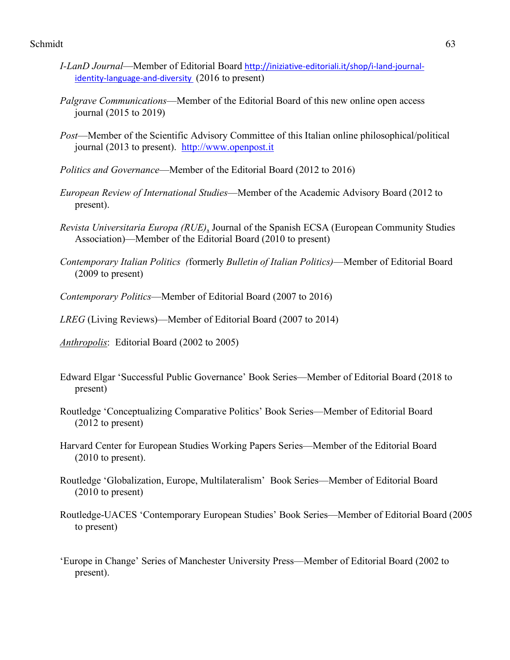- *I-LanD Journal*—Member of Editorial Board http://iniziative-editoriali.it/shop/i-land-journalidentity-language-and-diversity (2016 to present)
- *Palgrave Communications*—Member of the Editorial Board of this new online open access journal (2015 to 2019)
- *Post*—Member of the Scientific Advisory Committee of this Italian online philosophical/political journal (2013 to present). http://www.openpost.it
- *Politics and Governance*—Member of the Editorial Board (2012 to 2016)
- *European Review of International Studies*—Member of the Academic Advisory Board (2012 to present).
- *Revista Universitaria Europa (RUE)*, Journal of the Spanish ECSA (European Community Studies Association)—Member of the Editorial Board (2010 to present)
- *Contemporary Italian Politics (*formerly *Bulletin of Italian Politics)*—Member of Editorial Board (2009 to present)
- *Contemporary Politics*—Member of Editorial Board (2007 to 2016)

*LREG* (Living Reviews)—Member of Editorial Board (2007 to 2014)

- *Anthropolis*: Editorial Board (2002 to 2005)
- Edward Elgar 'Successful Public Governance' Book Series—Member of Editorial Board (2018 to present)
- Routledge 'Conceptualizing Comparative Politics' Book Series—Member of Editorial Board (2012 to present)
- Harvard Center for European Studies Working Papers Series—Member of the Editorial Board (2010 to present).
- Routledge 'Globalization, Europe, Multilateralism' Book Series—Member of Editorial Board (2010 to present)
- Routledge-UACES 'Contemporary European Studies' Book Series—Member of Editorial Board (2005 to present)
- 'Europe in Change' Series of Manchester University Press—Member of Editorial Board (2002 to present).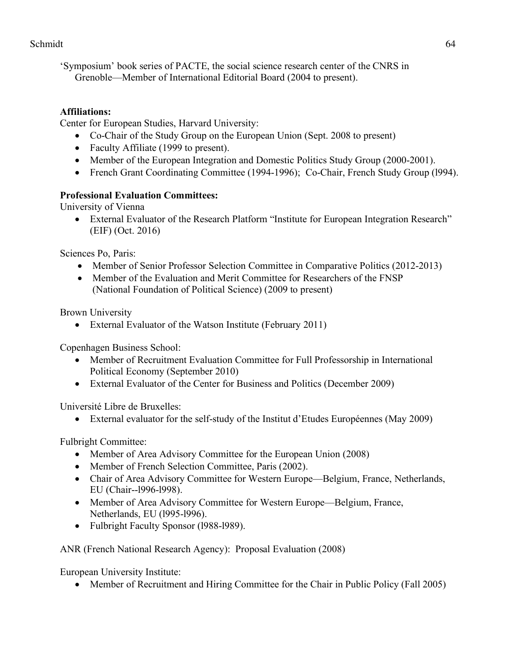'Symposium' book series of PACTE, the social science research center of the CNRS in Grenoble—Member of International Editorial Board (2004 to present).

# **Affiliations:**

Center for European Studies, Harvard University:

- Co-Chair of the Study Group on the European Union (Sept. 2008 to present)
- Faculty Affiliate (1999 to present).
- Member of the European Integration and Domestic Politics Study Group (2000-2001).
- French Grant Coordinating Committee (1994-1996); Co-Chair, French Study Group (1994).

# **Professional Evaluation Committees:**

University of Vienna

• External Evaluator of the Research Platform "Institute for European Integration Research" (EIF) (Oct. 2016)

Sciences Po, Paris:

- Member of Senior Professor Selection Committee in Comparative Politics (2012-2013)
- Member of the Evaluation and Merit Committee for Researchers of the FNSP (National Foundation of Political Science) (2009 to present)

Brown University

• External Evaluator of the Watson Institute (February 2011)

Copenhagen Business School:

- Member of Recruitment Evaluation Committee for Full Professorship in International Political Economy (September 2010)
- External Evaluator of the Center for Business and Politics (December 2009)

Université Libre de Bruxelles:

• External evaluator for the self-study of the Institut d'Etudes Européennes (May 2009)

Fulbright Committee:

- Member of Area Advisory Committee for the European Union (2008)
- Member of French Selection Committee, Paris (2002).
- Chair of Area Advisory Committee for Western Europe—Belgium, France, Netherlands, EU (Chair--l996-l998).
- Member of Area Advisory Committee for Western Europe—Belgium, France, Netherlands, EU (l995-l996).
- Fulbright Faculty Sponsor (1988-1989).

ANR (French National Research Agency): Proposal Evaluation (2008)

European University Institute:

• Member of Recruitment and Hiring Committee for the Chair in Public Policy (Fall 2005)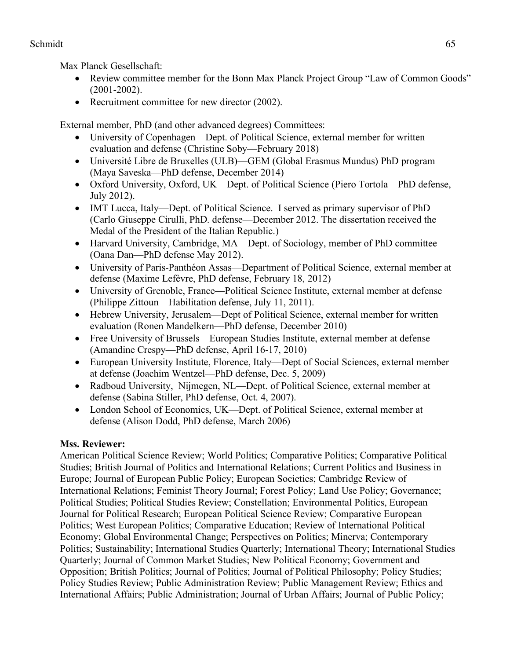Max Planck Gesellschaft:

- Review committee member for the Bonn Max Planck Project Group "Law of Common Goods" (2001-2002).
- Recruitment committee for new director (2002).

External member, PhD (and other advanced degrees) Committees:

- University of Copenhagen—Dept. of Political Science, external member for written evaluation and defense (Christine Soby—February 2018)
- Université Libre de Bruxelles (ULB)—GEM (Global Erasmus Mundus) PhD program (Maya Saveska—PhD defense, December 2014)
- Oxford University, Oxford, UK—Dept. of Political Science (Piero Tortola—PhD defense, July 2012).
- IMT Lucca, Italy—Dept. of Political Science. I served as primary supervisor of PhD (Carlo Giuseppe Cirulli, PhD. defense—December 2012. The dissertation received the Medal of the President of the Italian Republic.)
- Harvard University, Cambridge, MA—Dept. of Sociology, member of PhD committee (Oana Dan—PhD defense May 2012).
- University of Paris-Panthéon Assas—Department of Political Science, external member at defense (Maxime Lefèvre, PhD defense, February 18, 2012)
- University of Grenoble, France—Political Science Institute, external member at defense (Philippe Zittoun—Habilitation defense, July 11, 2011).
- Hebrew University, Jerusalem—Dept of Political Science, external member for written evaluation (Ronen Mandelkern—PhD defense, December 2010)
- Free University of Brussels—European Studies Institute, external member at defense (Amandine Crespy—PhD defense, April 16-17, 2010)
- European University Institute, Florence, Italy—Dept of Social Sciences, external member at defense (Joachim Wentzel—PhD defense, Dec. 5, 2009)
- Radboud University, Nijmegen, NL—Dept. of Political Science, external member at defense (Sabina Stiller, PhD defense, Oct. 4, 2007).
- London School of Economics, UK—Dept. of Political Science, external member at defense (Alison Dodd, PhD defense, March 2006)

# **Mss. Reviewer:**

American Political Science Review; World Politics; Comparative Politics; Comparative Political Studies; British Journal of Politics and International Relations; Current Politics and Business in Europe; Journal of European Public Policy; European Societies; Cambridge Review of International Relations; Feminist Theory Journal; Forest Policy; Land Use Policy; Governance; Political Studies; Political Studies Review; Constellation; Environmental Politics, European Journal for Political Research; European Political Science Review; Comparative European Politics; West European Politics; Comparative Education; Review of International Political Economy; Global Environmental Change; Perspectives on Politics; Minerva; Contemporary Politics; Sustainability; International Studies Quarterly; International Theory; International Studies Quarterly; Journal of Common Market Studies; New Political Economy; Government and Opposition; British Politics; Journal of Politics; Journal of Political Philosophy; Policy Studies; Policy Studies Review; Public Administration Review; Public Management Review; Ethics and International Affairs; Public Administration; Journal of Urban Affairs; Journal of Public Policy;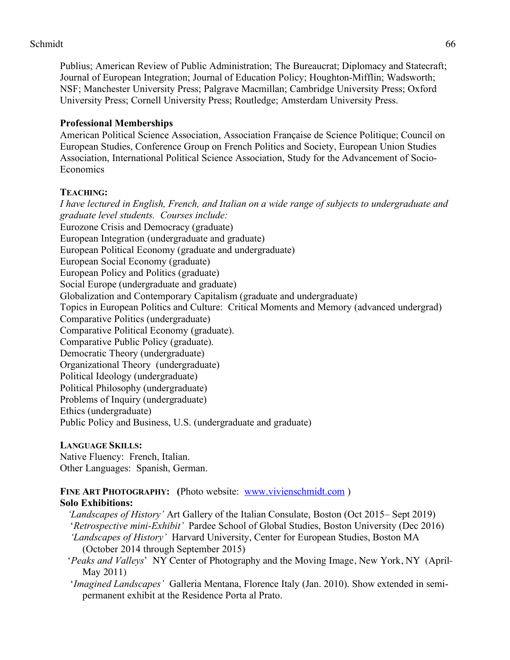Publius; American Review of Public Administration; The Bureaucrat; Diplomacy and Statecraft; Journal of European Integration; Journal of Education Policy; Houghton-Mifflin; Wadsworth; NSF; Manchester University Press; Palgrave Macmillan; Cambridge University Press; Oxford University Press; Cornell University Press; Routledge; Amsterdam University Press.

# **Professional Memberships**

American Political Science Association, Association Française de Science Politique; Council on European Studies, Conference Group on French Politics and Society, European Union Studies Association, International Political Science Association, Study for the Advancement of Socio-**Economics** 

# **TEACHING:**

*I have lectured in English, French, and Italian on a wide range of subjects to undergraduate and graduate level students. Courses include:*  Eurozone Crisis and Democracy (graduate) European Integration (undergraduate and graduate) European Political Economy (graduate and undergraduate) European Social Economy (graduate) European Policy and Politics (graduate) Social Europe (undergraduate and graduate) Globalization and Contemporary Capitalism (graduate and undergraduate) Topics in European Politics and Culture: Critical Moments and Memory (advanced undergrad) Comparative Politics (undergraduate) Comparative Political Economy (graduate). Comparative Public Policy (graduate). Democratic Theory (undergraduate) Organizational Theory (undergraduate) Political Ideology (undergraduate) Political Philosophy (undergraduate) Problems of Inquiry (undergraduate) Ethics (undergraduate) Public Policy and Business, U.S. (undergraduate and graduate)

# **LANGUAGE SKILLS:**

Native Fluency: French, Italian. Other Languages: Spanish, German.

#### FINE ART PHOTOGRAPHY: (Photo website: www.vivienschmidt.com) **Solo Exhibitions:**

*'Landscapes of History'* Art Gallery of the Italian Consulate, Boston (Oct 2015– Sept 2019) '*Retrospective mini-Exhibit'* Pardee School of Global Studies, Boston University (Dec 2016) *'Landscapes of History'* Harvard University, Center for European Studies, Boston MA (October 2014 through September 2015)

- '*Peaks and Valleys*' NY Center of Photography and the Moving Image, New York, NY (April-May 2011)
- '*Imagined Landscapes'* Galleria Mentana, Florence Italy (Jan. 2010). Show extended in semipermanent exhibit at the Residence Porta al Prato.